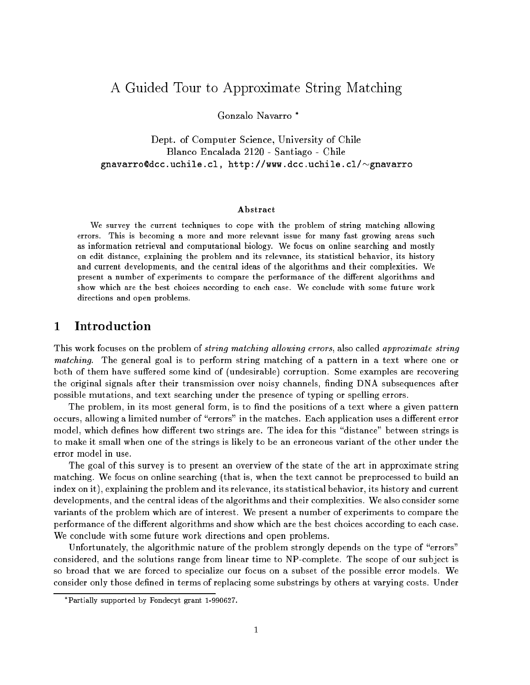# A Guided Tour to Approximate String Matching

Gonzalo Navarro

Dept. of Computer Science, University of Chile Blanco Encarado - Santiago - Chile gnavarrow.uchile.cl/gnavarrow.uchile.cl/gnavarrow.uchile.cl/gnavarrow.uchile.cl/

### Abstract

We survey the current techniques to cope with the problem of string matching allowing errors. This is becoming a more and more relevant issue for many fast growing areas such as information retrieval and computational biology. We focus on online searching and mostly on edit distance, explaining the problem and its relevance, its statistical behavior, its history and current developments, and the central ideas of the algorithms and their complexities. We present a number of experiments to compare the performance of the different algorithms and show which are the best choices according to each case. We conclude with some future work directions and open problems.

# 1 Introduction

This work focuses on the problem of *string matching allowing errors*, also called *approximate string* matching. The general goal is to perform string matching of a pattern in a text where one or both of them have suffered some kind of (undesirable) corruption. Some examples are recovering the original signals after their transmission over noisy channels, finding DNA subsequences after possible mutations, and text searching under the presence of typing or spelling errors.

The problem, in its most general form, is to find the positions of a text where a given pattern occurs, allowing a limited number of "errors" in the matches. Each application uses a different error model, which defines how different two strings are. The idea for this "distance" between strings is to make it small when one of the strings is likely to be an erroneous variant of the other under the error model in use.

The goal of this survey is to present an overview of the state of the art in approximate string matching. We focus on online searching (that is, when the text cannot be preprocessed to build an index on it), explaining the problem and its relevance, its statistical behavior, its history and current developments, and the central ideas of the algorithms and their complexities. We also consider some variants of the problem which are of interest. We present a number of experiments to compare the performance of the different algorithms and show which are the best choices according to each case. We conclude with some future work directions and open problems.

Unfortunately, the algorithmic nature of the problem strongly depends on the type of "errors" considered, and the solutions range from linear time to NP-complete. The scope of our sub ject is so broad that we are forced to specialize our focus on a subset of the possible error models. We consider only those defined in terms of replacing some substrings by others at varying costs. Under

Partially supported by Fondecyt grant 1-990627.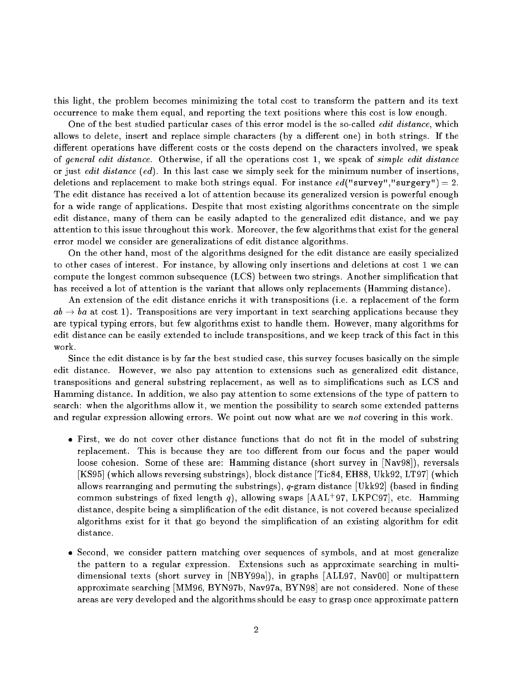this light, the problem becomes minimizing the total cost to transform the pattern and its text occurrence to make them equal, and reporting the text positions where this cost is low enough.

One of the best studied particular cases of this error model is the so-called *edit distance*, which allows to delete, insert and replace simple characters (by a different one) in both strings. If the different operations have different costs or the costs depend on the characters involved, we speak of general edit distance. Otherwise, if all the operations cost 1, we speak of simple edit distance or just *edit distance*  $(ed)$ . In this last case we simply seek for the minimum number of insertions. deletions and replacement to make both strings equal. For instance  $ed("survey", "surgery") = 2.$ The edit distance has received a lot of attention because its generalized version is powerful enough for a wide range of applications. Despite that most existing algorithms concentrate on the simple edit distance, many of them can be easily adapted to the generalized edit distance, and we pay attention to this issue throughout this work. Moreover, the few algorithms that exist for the general error model we consider are generalizations of edit distance algorithms.

On the other hand, most of the algorithms designed for the edit distance are easily specialized to other cases of interest. For instance, by allowing only insertions and deletions at cost 1 we can compute the longest common subsequence (LCS) between two strings. Another simplication that has received a lot of attention is the variant that allows only replacements (Hamming distance).

An extension of the edit distance enrichs it with transpositions (i.e. a replacement of the form ab ! ba at cost 1). Transpositions are very important in text searching applications because they are typical typing errors, but few algorithms exist to handle them. However, many algorithms for edit distance can be easily extended to include transpositions, and we keep track of this fact in this work.

Since the edit distance is by far the best studied case, this survey focuses basically on the simple edit distance. However, we also pay attention to extensions such as generalized edit distance, transpositions and general substring replacement, as well as to simplications such as LCS and Hamming distance. In addition, we also pay attention to some extensions of the type of pattern to search: when the algorithms allow it, we mention the possibility to search some extended patterns and regular expression allowing errors. We point out now what are we not covering in this work.

- First, we do not cover other distance functions that do not t in the model of substring replacement. This is because they are too different from our focus and the paper would loose cohesion. Some of these are: Hamming distance (short survey in [Nav98]), reversals [KS95] (which allows reversing substrings), block distance [Tic84, EH88, Ukk92, LT97] (which allows rearranging and permuting the substrings),  $q$ -gram distance [Ukk92] (based in finding common substrings of fixed length  $q$ ), anowing swaps  $|{\rm AAL}||y|$ ,  ${\rm L}\Lambda P \cup y$ ), etc. Hamming distance, despite being a simplication of the edit distance, is not covered because specialized algorithms exist for it that go beyond the simplication of an existing algorithm for edit distance.
- Second, we consider pattern matching over sequences of symbols, and at most generalize the pattern to a regular expression. Extensions such as approximate searching in multidimensional texts (short survey in [NBY99a]), in graphs [ALL97, Nav00] or multipattern approximate searching [MM96, BYN97b, Nav97a, BYN98] are not considered. None of these areas are very developed and the algorithms should be easy to grasp once approximate pattern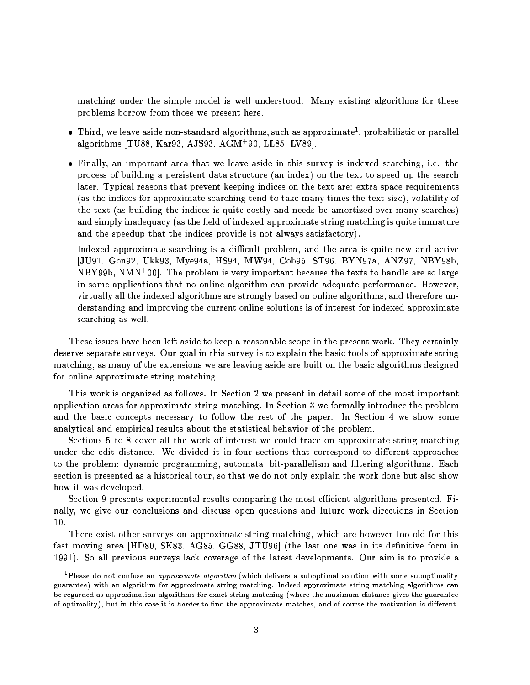matching under the simple model is well understood. Many existing algorithms for these problems borrow from those we present here.

- $\bullet$  -finite, we leave aside non-standard algorithms, such as approximate , probabilistic or parallel algorithms | I U88, Kar93, AJS93, AGM+90, LL85, LV89|.
- Finally, an important area that we leave aside in this survey is indexed searching, i.e. the process of building a persistent data structure (an index) on the text to speed up the search later. Typical reasons that prevent keeping indices on the text are: extra space requirements (as the indices for approximate searching tend to take many times the text size), volatility of the text (as building the indices is quite costly and needs be amortized over many searches) and simply inadequacy (as the field of indexed approximate string matching is quite immature and the speedup that the indices provide is not always satisfactory).

Indexed approximate searching is a difficult problem, and the area is quite new and active [JU91, Gon92, Ukk93, Mye94a, HS94, MW94, Cob95, ST96, BYN97a, ANZ97, NBY98b, NBY99b, NMN<sup>+</sup> 00]. The problem is very important because the texts to handle are so large in some applications that no online algorithm can provide adequate performance. However, virtually all the indexed algorithms are strongly based on online algorithms, and therefore understanding and improving the current online solutions is of interest for indexed approximate searching as well.

These issues have been left aside to keep a reasonable scope in the present work. They certainly deserve separate surveys. Our goal in this survey is to explain the basic tools of approximate string matching, as many of the extensions we are leaving aside are built on the basic algorithms designed for online approximate string matching.

This work is organized as follows. In Section 2 we present in detail some of the most important application areas for approximate string matching. In Section 3 we formally introduce the problem and the basic concepts necessary to follow the rest of the paper. In Section 4 we show some analytical and empirical results about the statistical behavior of the problem.

Sections 5 to 8 cover all the work of interest we could trace on approximate string matching under the edit distance. We divided it in four sections that correspond to different approaches to the problem: dynamic programming, automata, bit-parallelism and filtering algorithms. Each section is presented as a historical tour, so that we do not only explain the work done but also show how it was developed.

Section 9 presents experimental results comparing the most efficient algorithms presented. Finally, we give our conclusions and discuss open questions and future work directions in Section 10.

There exist other surveys on approximate string matching, which are however too old for this fast moving area [HD80, SK83, AG85, GG88, JTU96] (the last one was in its definitive form in 1991). So all previous surveys lack coverage of the latest developments. Our aim is to provide a

Thease do not confuse an *approximate algorithm* (which delivers a suboptimal solution with some suboptimality guarantee) with an algorithm for approximate string matching. Indeed approximate string matching algorithms can be regarded as approximation algorithms for exact string matching (where the maximum distance gives the guarantee of optimality), but in this case it is *harder* to find the approximate matches, and of course the motivation is different.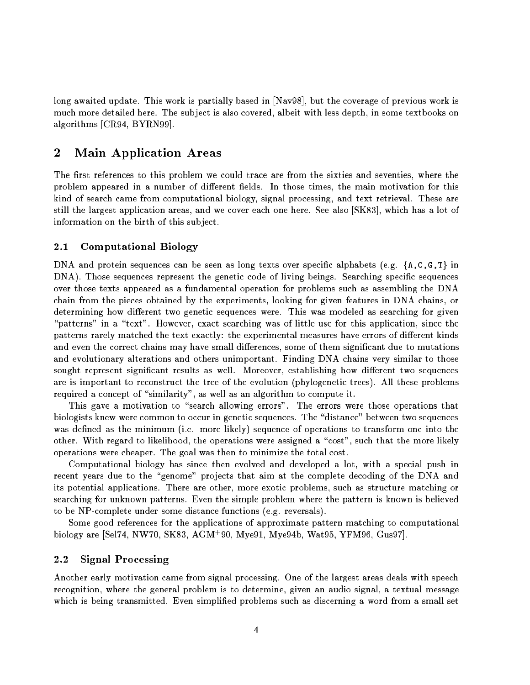long awaited update. This work is partially based in [Nav98], but the coverage of previous work is much more detailed here. The subject is also covered, albeit with less depth, in some textbooks on algorithms [CR94, BYRN99].

# 2 Main Application Areas

The first references to this problem we could trace are from the sixties and seventies, where the problem appeared in a number of different fields. In those times, the main motivation for this kind of search came from computational biology, signal processing, and text retrieval. These are still the largest application areas, and we cover each one here. See also [SK83], which has a lot of information on the birth of this subject.

## 2.1 Computational Biology

DNA and protein sequences can be seen as long texts over specific alphabets (e.g.  $\{A, C, G, T\}$  in DNA). Those sequences represent the genetic code of living beings. Searching specific sequences over those texts appeared as a fundamental operation for problems such as assembling the DNA chain from the pieces obtained by the experiments, looking for given features in DNA chains, or determining how different two genetic sequences were. This was modeled as searching for given "patterns" in a "text". However, exact searching was of little use for this application, since the patterns rarely matched the text exactly: the experimental measures have errors of different kinds and even the correct chains may have small differences, some of them significant due to mutations and evolutionary alterations and others unimportant. Finding DNA chains very similar to those sought represent significant results as well. Moreover, establishing how different two sequences are is important to reconstruct the tree of the evolution (phylogenetic trees). All these problems required a concept of "similarity", as well as an algorithm to compute it.

This gave a motivation to "search allowing errors". The errors were those operations that biologists knew were common to occur in genetic sequences. The "distance" between two sequences was defined as the minimum (i.e. more likely) sequence of operations to transform one into the other. With regard to likelihood, the operations were assigned a "cost", such that the more likely operations were cheaper. The goal was then to minimize the total cost.

Computational biology has since then evolved and developed a lot, with a special push in recent years due to the "genome" projects that aim at the complete decoding of the DNA and its potential applications. There are other, more exotic problems, such as structure matching or searching for unknown patterns. Even the simple problem where the pattern is known is believed to be NP-complete under some distance functions (e.g. reversals).

Some good references for the applications of approximate pattern matching to computational biology are [Sel74, NW70, SK83, AGM<sup>+</sup> 90, Mye91, Mye94b, Wat95, YFM96, Gus97].

## 2.2 Signal Processing

Another early motivation came from signal processing. One of the largest areas deals with speech recognition, where the general problem is to determine, given an audio signal, a textual message which is being transmitted. Even simplified problems such as discerning a word from a small set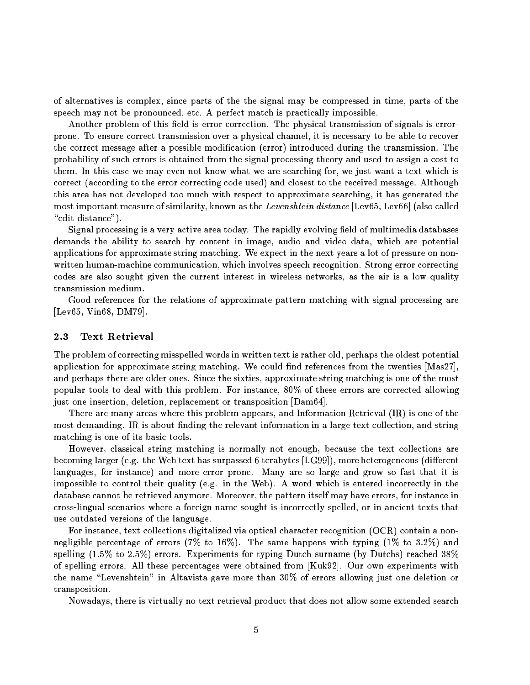of alternatives is complex, since parts of the the signal may be compressed in time, parts of the speech may not be pronounced, etc. A perfect match is practically impossible.

Another problem of this field is error correction. The physical transmission of signals is errorprone. To ensure correct transmission over a physical channel, it is necessary to be able to recover the correct message after a possible modication (error) introduced during the transmission. The probability of such errors is obtained from the signal processing theory and used to assign a cost to them. In this case we may even not know what we are searching for, we just want a text which is correct (according to the error correcting code used) and closest to the received message. Although this area has not developed too much with respect to approximate searching, it has generated the most important measure of similarity, known as the Levenshtein distance [Lev65, Lev66] (also called "edit distance").

Signal processing is a very active area today. The rapidly evolving field of multimedia databases demands the ability to search by content in image, audio and video data, which are potential applications for approximate string matching. We expect in the next years a lot of pressure on nonwritten human-machine communication, which involves speech recognition. Strong error correcting codes are also sought given the current interest in wireless networks, as the air is a low quality transmission medium.

Good references for the relations of approximate pattern matching with signal processing are [Lev65, Vin68, DM79].

### 2.3 Text Retrieval

The problem of correcting misspelled words in written text is rather old, perhaps the oldest potential application for approximate string matching. We could find references from the twenties [Mas27], and perhaps there are older ones. Since the sixties, approximate string matching is one of the most popular tools to deal with this problem. For instance, 80% of these errors are corrected allowing just one insertion, deletion, replacement or transposition [Dam64].

There are many areas where this problem appears, and Information Retrieval (IR) is one of the most demanding. IR is about finding the relevant information in a large text collection, and string matching is one of its basic tools.

However, classical string matching is normally not enough, because the text collections are becoming larger (e.g. the Web text has surpassed 6 terabytes  $[LG99]$ ), more heterogeneous (different languages, for instance) and more error prone. Many are so large and grow so fast that it is impossible to control their quality (e.g. in the Web). A word which is entered incorrectly in the database cannot be retrieved anymore. Moreover, the pattern itself may have errors, for instance in cross-lingual scenarios where a foreign name sought is incorrectly spelled, or in ancient texts that use outdated versions of the language.

For instance, text collections digitalized via optical character recognition (OCR) contain a nonnegligible percentage of errors (7% to 16%). The same happens with typing (1% to 3.2%) and spelling (1.5% to 2.5%) errors. Experiments for typing Dutch surname (by Dutchs) reached 38% of spelling errors. All these percentages were obtained from [Kuk92]. Our own experiments with the name "Levenshtein" in Altavista gave more than  $30\%$  of errors allowing just one deletion or transposition.

Nowadays, there is virtually no text retrieval product that does not allow some extended search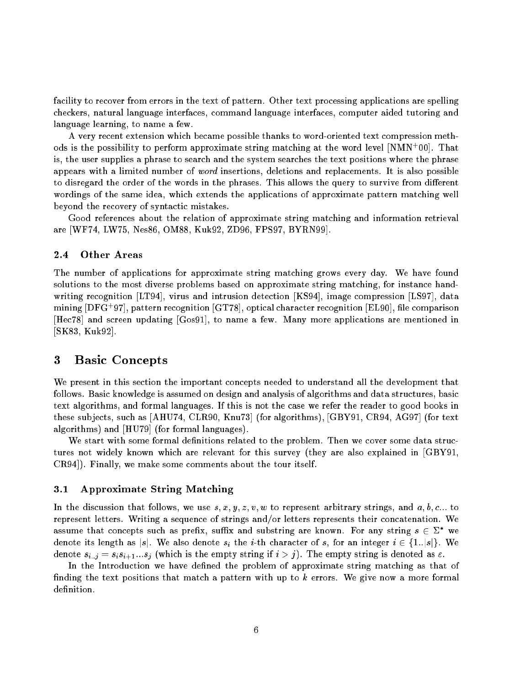facility to recover from errors in the text of pattern. Other text processing applications are spelling checkers, natural language interfaces, command language interfaces, computer aided tutoring and language learning, to name a few.

A very recent extension which became possible thanks to word-oriented text compression methods is the possibility to perform approximate string matching at the word level [NMN+] '00]. I hat is, the user supplies a phrase to search and the system searches the text positions where the phrase appears with a limited number of word insertions, deletions and replacements. It is also possible to disregard the order of the words in the phrases. This allows the query to survive from different wordings of the same idea, which extends the applications of approximate pattern matching well beyond the recovery of syntactic mistakes.

Good references about the relation of approximate string matching and information retrieval are [WF74, LW75, Nes86, OM88, Kuk92, ZD96, FPS97, BYRN99].

#### **Other Areas**  $2.4$

The number of applications for approximate string matching grows every day. We have found solutions to the most diverse problems based on approximate string matching, for instance handwriting recognition [LT94], virus and intrusion detection [KS94], image compression [LS97], data  $\min$ ing [DFG+97], pattern recognition [GT78], optical character recognition [EL90], ine comparison [Hec78] and screen updating [Gos91], to name a few. Many more applications are mentioned in [SK83, Kuk92].

# 3 Basic Concepts

We present in this section the important concepts needed to understand all the development that follows. Basic knowledge is assumed on design and analysis of algorithms and data structures, basic text algorithms, and formal languages. If this is not the case we refer the reader to good books in these subjects, such as [AHU74, CLR90, Knu73] (for algorithms), [GBY91, CR94, AG97] (for text algorithms) and [HU79] (for formal languages).

We start with some formal definitions related to the problem. Then we cover some data structures not widely known which are relevant for this survey (they are also explained in [GBY91, CR94]). Finally, we make some comments about the tour itself.

# 3.1 Approximate String Matching

In the discussion that follows, we use  $s, x, y, z, v, w$  to represent arbitrary strings, and  $a, b, c...$  to represent letters. Writing a sequence of strings and/or letters represents their concatenation. We assume that concepts such as prefix, suffix and substring are known. For any string  $s \in \Sigma^*$  we denote its length as |s|. We also denote  $s_i$  the *i*-th character of s, for an integer  $i \in \{1..|s|\}$ . We denote  $s_{i,j} = s_i s_{i+1}...s_j$  (which is the empty string if  $i > j$ ). The empty string is denoted as  $\varepsilon$ .

In the Introduction we have defined the problem of approximate string matching as that of finding the text positions that match a pattern with up to  $k$  errors. We give now a more formal definition.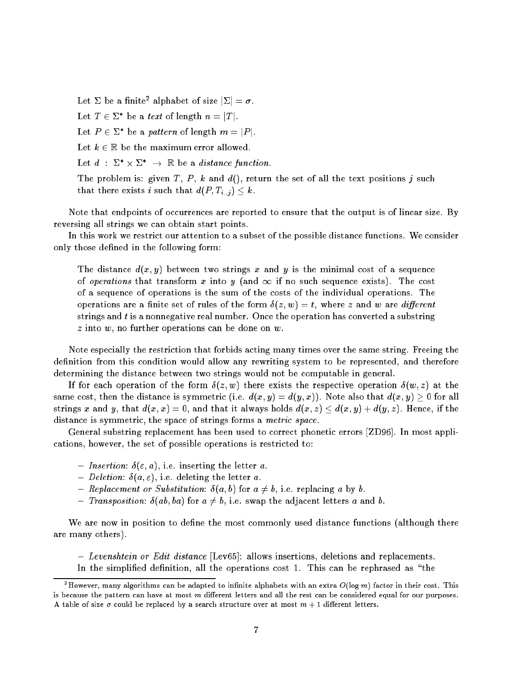Let  $\Delta$  be a nime appliable of size  $|\Delta| = \theta$ .

Let  $I \in \mathcal{Z}$  be a text of length  $n = |I|$ .

Let  $P \in \mathbb{Z}$  be a pattern of length  $m = |P|$ .

Let  $k \in \mathbb{R}$  be the maximum error allowed.

Let  $a$  :  $\Delta \times \Delta \rightarrow \mathbb{R}$  be a distance function.

The problem is: given T, P, k and  $d()$ , return the set of all the text positions j such that there exists i such that  $d(P, T_{i,j}) \leq k$ .

Note that endpoints of occurrences are reported to ensure that the output is of linear size. By reversing all strings we can obtain start points.

In this work we restrict our attention to a subset of the possible distance functions. We consider only those defined in the following form:

The distance  $d(x, y)$  between two strings x and y is the minimal cost of a sequence of operations that transform x into y (and  $\infty$  if no such sequence exists). The cost of a sequence of operations is the sum of the costs of the individual operations. The operations are a finite set of rules of the form  $\delta(z, w) = t$ , where z and w are different strings and  $t$  is a nonnegative real number. Once the operation has converted a substring z into w, no further operations can be done on w.

Note especially the restriction that forbids acting many times over the same string. Freeing the definition from this condition would allow any rewriting system to be represented, and therefore determining the distance between two strings would not be computable in general.

If for each operation of the form  $\delta(z, w)$  there exists the respective operation  $\delta(w, z)$  at the same cost, then the distance is symmetric (i.e.  $d(x, y) = d(y, x)$ ). Note also that  $d(x, y) \geq 0$  for all strings x and y, that  $d(x, x) = 0$ , and that it always holds  $d(x, z) \leq d(x, y) + d(y, z)$ . Hence, if the distance is symmetric, the space of strings forms a metric space.

General substring replacement has been used to correct phonetic errors [ZD96]. In most applications, however, the set of possible operations is restricted to:

- Insertion: ("; a), i.e. inserting the letter a.
- Deletion: (a; "), i.e. deleting the letter a.
- Replacement or Substitution: (a; b) for <sup>a</sup> 6= b, i.e. replacing <sup>a</sup> by b.
- Transposition: (ab; ba) for <sup>a</sup> 6= b, i.e. swap the adjacent letters <sup>a</sup> and b.

We are now in position to define the most commonly used distance functions (although there are many others).

 Levenshtein or Edit distance [Lev65]: allows insertions, deletions and replacements. In the simplified definition, all the operations cost 1. This can be rephrased as "the

<sup>&</sup>quot;However, many algorithms can be adapted to infinite alphabets with an extra  $O(\log m)$  factor in their cost. This is because the pattern can have at most  $m$  different letters and all the rest can be considered equal for our purposes. A table of size  $\sigma$  could be replaced by a search structure over at most  $m + 1$  different letters.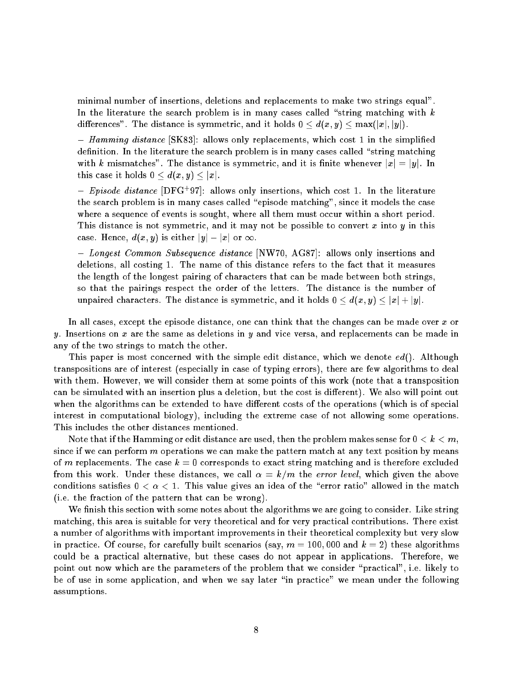minimal number of insertions, deletions and replacements to make two strings equal". In the literature the search problem is in many cases called "string matching with  $k$ differences". The distance is symmetric, and it holds  $0 \lt d(x, y) \lt max(|x|, |y|)$ .

 Hamming distance [SK83]: allows only replacements, which cost 1 in the simplied definition. In the literature the search problem is in many cases called "string matching with k mismatches". The distance is symmetric, and it is finite whenever  $|x| = |y|$ . In this case it holds  $0 \leq d(x, y) \leq |x|$ .

 $\sim$  *Episode distance* [DFG+97]: allows only insertions, which cost 1. In the interature the search problem is in many cases called "episode matching", since it models the case where a sequence of events is sought, where all them must occur within a short period. This distance is not symmetric, and it may not be possible to convert x into y in this case. Hence,  $d(x, y)$  is either  $|y| - |x|$  or  $\infty$ .

 Longest Common Subsequence distance [NW70, AG87]: allows only insertions and deletions, all costing 1. The name of this distance refers to the fact that it measures the length of the longest pairing of characters that can be made between both strings, so that the pairings respect the order of the letters. The distance is the number of unpaired characters. The distance is symmetric, and it holds  $0 < d(x, y) < |x| + |y|$ .

In all cases, except the episode distance, one can think that the changes can be made over  $x$  or y. Insertions on  $x$  are the same as deletions in  $y$  and vice versa, and replacements can be made in any of the two strings to match the other.

This paper is most concerned with the simple edit distance, which we denote  $ed()$ . Although transpositions are of interest (especially in case of typing errors), there are few algorithms to deal with them. However, we will consider them at some points of this work (note that a transposition can be simulated with an insertion plus a deletion, but the cost is different). We also will point out when the algorithms can be extended to have different costs of the operations (which is of special interest in computational biology), including the extreme case of not allowing some operations. This includes the other distances mentioned.

Note that if the Hamming or edit distance are used, then the problem makes sense for  $0 < k < m,$ since if we can perform  $m$  operations we can make the pattern match at any text position by means of m replacements. The case  $k = 0$  corresponds to exact string matching and is therefore excluded from this work. Under these distances, we call  $\alpha=k/m$  the error level, which given the above conditions satisfies  $0 < \alpha < 1$ . This value gives an idea of the "error ratio" allowed in the match (i.e. the fraction of the pattern that can be wrong).

We finish this section with some notes about the algorithms we are going to consider. Like string matching, this area is suitable for very theoretical and for very practical contributions. There exist a number of algorithms with important improvements in their theoretical complexity but very slow in practice. Of course, for carefully built scenarios (say,  $m = 100,000$  and  $k = 2$ ) these algorithms could be a practical alternative, but these cases do not appear in applications. Therefore, we point out now which are the parameters of the problem that we consider "practical", i.e. likely to be of use in some application, and when we say later "in practice" we mean under the following assumptions.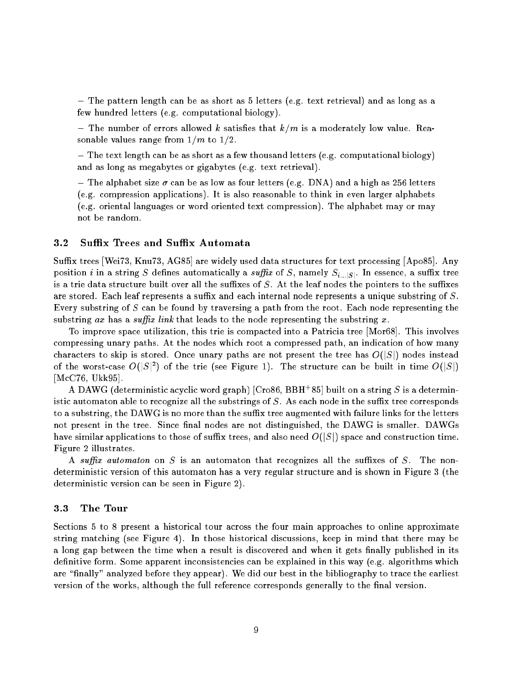The pattern length can be as short as 5 letters (e.g. text retrieval) and as long as a few hundred letters (e.g. computational biology).

 The number of errors allowed <sup>k</sup> satises that k=m is a moderately low value. Reasonable values range from  $1/m$  to  $1/2$ .

 The text length can be as short as a few thousand letters (e.g. computational biology) and as long as megabytes or gigabytes (e.g. text retrieval).

 The alphabet size can be as low as four letters (e.g. DNA) and a high as 256 letters (e.g. compression applications). It is also reasonable to think in even larger alphabets (e.g. oriental languages or word oriented text compression). The alphabet may or may not be random.

#### $3.2$ Suffix Trees and Suffix Automata

Suffix trees [Wei73, Knu73, AG85] are widely used data structures for text processing [Apo85]. Any position <sup>i</sup> in a string <sup>S</sup> denes automatically a sux of S, namely Si:::jSj . In essence, a sux tree is a trie data structure built over all the suffixes of  $S$ . At the leaf nodes the pointers to the suffixes are stored. Each leaf represents a suffix and each internal node represents a unique substring of  $S$ . Every substring of <sup>S</sup> can be found by traversing a path from the root. Each node representing the substring ax has a suffix link that leads to the node representing the substring x.

To improve space utilization, this trie is compacted into a Patricia tree [Mor68]. This involves compressing unary paths. At the nodes which root a compressed path, an indication of how many characters to skip is stored. Once unary paths are not present the tree has  $O(|S|)$  nodes instead of the worst-case  $O(|S|)$  ) of the trie (see Figure 1). The structure can be built in time  $O(|S|)$ [McC76, Ukk95].

A DAWG (deterministic acyclic word graph) [Cro86, BBH+85] built on a string  $S$  is a deterministic automaton able to recognize all the substrings of  $S$ . As each node in the suffix tree corresponds to a substring, the DAWG is no more than the suffix tree augmented with failure links for the letters not present in the tree. Since final nodes are not distinguished, the DAWG is smaller. DAWGs have similar applications to those of suffix trees, and also need  $O(|S|)$  space and construction time. Figure 2 illustrates.

A suffix automaton on S is an automaton that recognizes all the suffixes of S. The nondeterministic version of this automaton has a very regular structure and is shown in Figure 3 (the deterministic version can be seen in Figure 2).

## 3.3 The Tour

Sections 5 to 8 present a historical tour across the four main approaches to online approximate string matching (see Figure 4). In those historical discussions, keep in mind that there may be a long gap between the time when a result is discovered and when it gets finally published in its definitive form. Some apparent inconsistencies can be explained in this way (e.g. algorithms which are "finally" analyzed before they appear). We did our best in the bibliography to trace the earliest version of the works, although the full reference corresponds generally to the final version.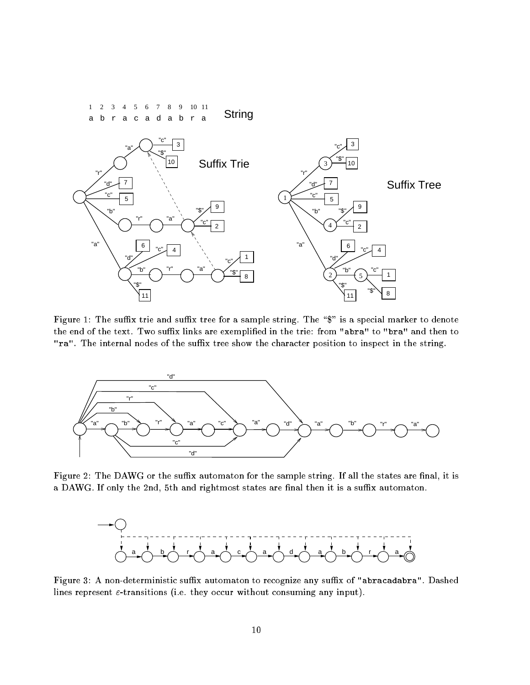

Figure 1: The suffix trie and suffix tree for a sample string. The "\$" is a special marker to denote the end of the text. Two suffix links are exemplified in the trie: from "abra" to "bra" and then to "ra". The internal nodes of the suffix tree show the character position to inspect in the string.



Figure 2: The DAWG or the suffix automaton for the sample string. If all the states are final, it is a DAWG. If only the 2nd, 5th and rightmost states are final then it is a suffix automaton.



Figure 3: A non-deterministic suffix automaton to recognize any suffix of "abracadabra". Dashed lines represent  $\varepsilon$ -transitions (i.e. they occur without consuming any input).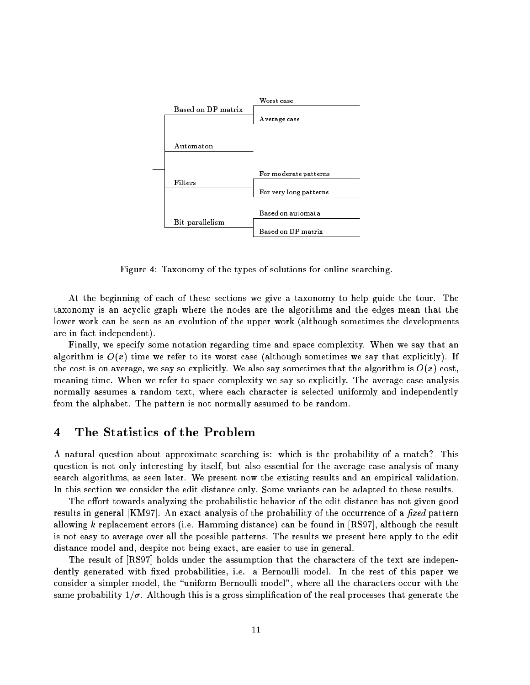

Figure 4: Taxonomy of the types of solutions for online searching.

At the beginning of each of these sections we give a taxonomy to help guide the tour. The taxonomy is an acyclic graph where the nodes are the algorithms and the edges mean that the lower work can be seen as an evolution of the upper work (although sometimes the developments are in fact independent).

Finally, we specify some notation regarding time and space complexity. When we say that an algorithm is  $O(x)$  time we refer to its worst case (although sometimes we say that explicitly). If the cost is on average, we say so explicitly. We also say sometimes that the algorithm is  $O(x)$  cost, meaning time. When we refer to space complexity we say so explicitly. The average case analysis normally assumes a random text, where each character is selected uniformly and independently from the alphabet. The pattern is not normally assumed to be random.

#### 4 The Statistics of the Problem

A natural question about approximate searching is: which is the probability of a match? This question is not only interesting by itself, but also essential for the average case analysis of many search algorithms, as seen later. We present now the existing results and an empirical validation. In this section we consider the edit distance only. Some variants can be adapted to these results.

The effort towards analyzing the probabilistic behavior of the edit distance has not given good results in general  $[KM97]$ . An exact analysis of the probability of the occurrence of a *fixed* pattern allowing k replacement errors (i.e. Hamming distance) can be found in  $[RS97]$ , although the result is not easy to average over all the possible patterns. The results we present here apply to the edit distance model and, despite not being exact, are easier to use in general.

The result of [RS97] holds under the assumption that the characters of the text are independently generated with fixed probabilities, i.e. a Bernoulli model. In the rest of this paper we consider a simpler model, the "uniform Bernoulli model", where all the characters occur with the same probability  $1/\sigma$ . Although this is a gross simplification of the real processes that generate the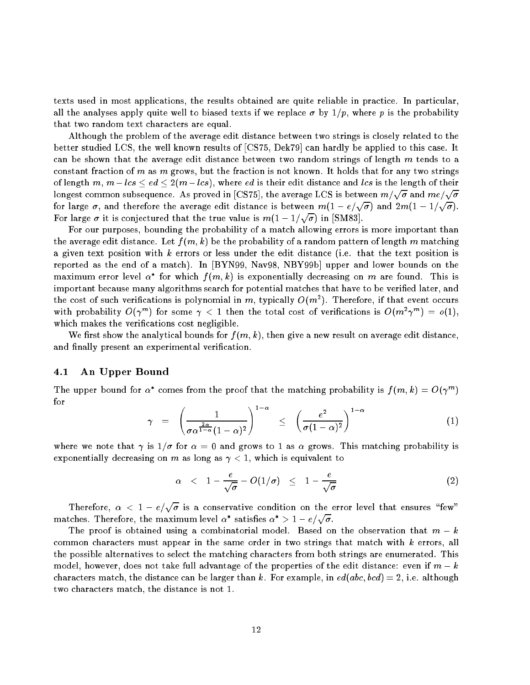texts used in most applications, the results obtained are quite reliable in practice. In particular, all the analyses apply quite well to biased texts if we replace  $\sigma$  by  $1/p,$  where  $p$  is the probability that two random text characters are equal.

Although the problem of the average edit distance between two strings is closely related to the better studied LCS, the well known results of [CS75, Dek79] can hardly be applied to this case. It can be shown that the average edit distance between two random strings of length  $m$  tends to a constant fraction of  $m$  as  $m$  grows, but the fraction is not known. It holds that for any two strings of length m,  $m - lcs \leq ed \leq 2(m - lcs)$ , where ed is their edit distance and lcs is the length of their longest common subsequence. As proved in [CS75], the average LCS is between  $m/\sqrt{\sigma}$  and  $me/\sqrt{\sigma}$ for large  $\sigma$ , and therefore the average edit distance is between  $m(1-e/\sqrt{\sigma})$  and  $2m(1-1/\sqrt{\sigma})$ . For large  $\sigma$  it is conjectured that the true value is  $m(1 - 1/\sqrt{\sigma})$  in [SM83].

For our purposes, bounding the probability of a match allowing errors is more important than the average edit distance. Let  $f(m, k)$  be the probability of a random pattern of length m matching a given text position with k errors or less under the edit distance (i.e. that the text position is reported as the end of a match). In [BYN99, Nav98, NBY99b] upper and lower bounds on the maximum error level  $\alpha$  for which  $f(m, \kappa)$  is exponentially decreasing on  $m$  are found. This is important because many algorithms search for potential matches that have to be verified later, and the cost of such verifications is polynomial in  $m$ , typically  $O(m^2)$ . Therefore, if that event occurs with probability  $O(\gamma^m)$  for some  $\gamma < 1$  then the total cost of verifications is  $O(m\gamma^m) = o(1)$ , which makes the verifications cost negligible.

We first show the analytical bounds for  $f(m, k)$ , then give a new result on average edit distance, and finally present an experimental verification.

### 4.1 An Upper Bound

The upper bound for  $\alpha$  comes from the proof that the matching probability is  $f(m, \kappa) = O(\gamma^{\alpha})$ for

$$
\gamma = \left(\frac{1}{\sigma \alpha^{\frac{2\alpha}{1-\alpha}}(1-\alpha)^2}\right)^{1-\alpha} \leq \left(\frac{e^2}{\sigma (1-\alpha)^2}\right)^{1-\alpha} \tag{1}
$$

where we note that  $\gamma$  is  $1/\sigma$  for  $\alpha = 0$  and grows to 1 as  $\alpha$  grows. This matching probability is exponentially decreasing on m as long as  $\gamma < 1$ , which is equivalent to

$$
\alpha \quad < \quad 1 - \frac{e}{\sqrt{\sigma}} - O(1/\sigma) \quad \leq \quad 1 - \frac{e}{\sqrt{\sigma}} \tag{2}
$$

Therefore,  $\alpha < 1-e/\sqrt{\sigma}$  is a conservative condition on the error level that ensures "few" matches. Therefore, the maximum level  $\alpha^*$  satisfies  $\alpha^*>1-e/\sqrt{\sigma}.$ 

The proof is obtained using a combinatorial model. Based on the observation that  $m - k$ common characters must appear in the same order in two strings that match with  $k$  errors, all the possible alternatives to select the matching characters from both strings are enumerated. This model, however, does not take full advantage of the properties of the edit distance: even if  $m - k$ characters match, the distance can be larger than k. For example, in  $ed(abc, bcd) = 2$ , i.e. although two characters match, the distance is not 1.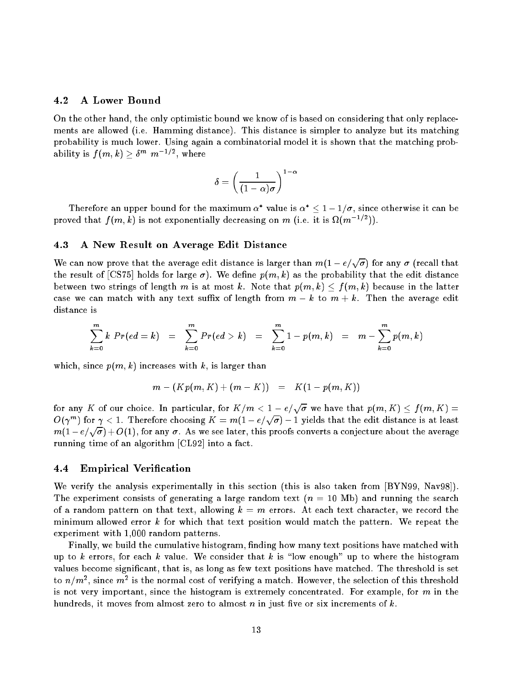### 4.2 A Lower Bound

On the other hand, the only optimistic bound we know of is based on considering that only replacements are allowed (i.e. Hamming distance). This distance is simpler to analyze but its matching probability is much lower. Using again a combinatorial model it is shown that the matching probability is  $f(m, \kappa) \geq o - m$  . where

$$
\delta = \left(\frac{1}{(1-\alpha)\sigma}\right)^{1-\alpha}
$$

Therefore an upper bound for the maximum  $\alpha$  value is  $\alpha$   $\leq$  1  $-$  1/ $\sigma$ , since otherwise it can be proved that  $f(m, \kappa)$  is not exponentially decreasing on  $m$  (i.e. it is  $\Omega(m^{-\gamma-1})$ ).

# 4.3 A New Result on Average Edit Distance

We can now prove that the average edit distance is larger than  $m(1-e/\sqrt{\sigma})$  for any  $\sigma$  (recall that the result of [CS75] holds for large  $\sigma$ ). We define  $p(m, k)$  as the probability that the edit distance between two strings of length m is at most k. Note that  $p(m, k) < f(m, k)$  because in the latter case we can match with any text suffix of length from  $m - k$  to  $m + k$ . Then the average edit distance is

$$
\sum_{k=0}^{m} k \ Pr(ed = k) = \sum_{k=0}^{m} Pr(ed > k) = \sum_{k=0}^{m} 1 - p(m, k) = m - \sum_{k=0}^{m} p(m, k)
$$

which, since  $p(m, k)$  increases with k, is larger than

$$
m - (Kp(m, K) + (m - K)) = K(1 - p(m, K))
$$

for any K of our choice. In particular, for  $K/m < 1 - e/\sqrt{\sigma}$  we have that  $p(m, K) < f(m, K) =$  $O(\gamma^m)$  for  $\gamma < 1$ . Therefore choosing  $K = m(1-e/\sqrt{\sigma})-1$  yields that the edit distance is at least  $m(1-e/\sqrt{\sigma})+O(1)$ , for any  $\sigma$ . As we see later, this proofs converts a conjecture about the average running time of an algorithm [CL92] into a fact.

# 4.4 Empirical Verification

We verify the analysis experimentally in this section (this is also taken from [BYN99, Nav98]). The experiment consists of generating a large random text  $(n = 10 \text{ Mb})$  and running the search of a random pattern on that text, allowing  $k = m$  errors. At each text character, we record the minimum allowed error  $k$  for which that text position would match the pattern. We repeat the experiment with 1,000 random patterns.

Finally, we build the cumulative histogram, finding how many text positions have matched with up to  $k$  errors, for each  $k$  value. We consider that  $k$  is "low enough" up to where the histogram values become signicant, that is, as long as few text positions have matched. The threshold is set to  $n/m$  , since  $m$  is the normal cost of verifying a match. However, the selection of this threshold is not very important, since the histogram is extremely concentrated. For example, for  $m$  in the hundreds, it moves from almost zero to almost n in just five or six increments of  $k$ .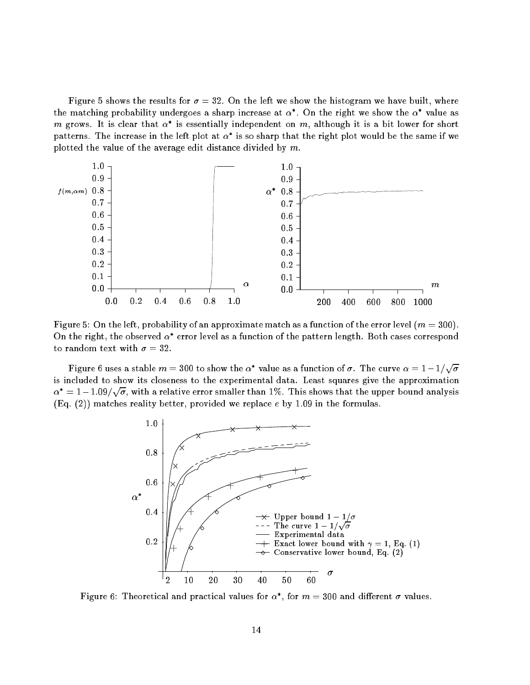Figure 5 shows the results for  $\sigma = 32$ . On the left we show the histogram we have built, where the matching probability undergoes a sharp increase at  $\alpha$  . On the right we show the  $\alpha$  -value as  $m$  grows. It is clear that  $\alpha$  is essentially independent on  $m,$  although it is a bit lower for short patterns. The increase in the left plot at  $\alpha$  is so sharp that the right plot would be the same if we plotted the value of the average edit distance divided by  $m$ .



Figure 5: On the left, probability of an approximate match as a function of the error level  $(m = 300)$ . On the right, the observed  $\alpha^*$  error level as a function of the pattern length. Both cases correspond to random text with  $\sigma = 32$ .

Figure 6 uses a stable  $m = 300$  to show the  $\alpha^*$  value as a function of  $\sigma$ . The curve  $\alpha = 1 - 1/\sqrt{\sigma}$ is included to show its closeness to the experimental data. Least squares give the approximation  $\alpha^*=1-1.09/\sqrt{\sigma}$ , with a relative error smaller than 1%. This shows that the upper bound analysis (Eq.  $(2)$ ) matches reality better, provided we replace e by 1.09 in the formulas.



Figure 6: Theoretical and practical values for  $\alpha$  , for  $m=$  300 and different  $\sigma$  values.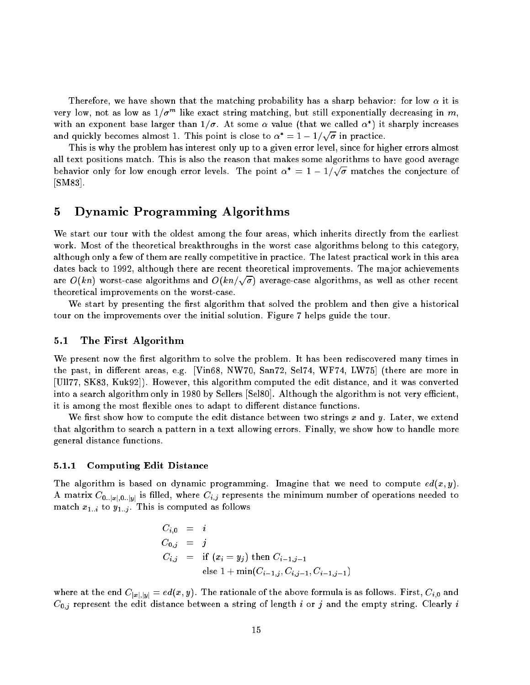Therefore, we have shown that the matching probability has a sharp behavior: for low  $\alpha$  it is very low, not as low as  $1/\sigma$  inke exact string matching, but still exponentially decreasing in  $m,$ with an exponent base larger than  $1/\sigma$ . At some  $\alpha$  value (that we called  $\alpha$  ) it sharply increases and quickly becomes almost 1. This point is close to  $\alpha^* = 1 - 1/\sqrt{\sigma}$  in practice.

This is why the problem has interest only up to a given error level, since for higher errors almost all text positions match. This is also the reason that makes some algorithms to have good average behavior only for low enough error levels. The point  $\alpha^* = 1 - 1/\sqrt{\sigma}$  matches the conjecture of [SM83].

# 5 Dynamic Programming Algorithms

We start our tour with the oldest among the four areas, which inherits directly from the earliest work. Most of the theoretical breakthroughs in the worst case algorithms belong to this category, although only a few of them are really competitive in practice. The latest practical work in this area dates back to 1992, although there are recent theoretical improvements. The major achievements are  $O(kn)$  worst-case algorithms and  $O(kn/\sqrt{\sigma})$  average-case algorithms, as well as other recent theoretical improvements on the worst-case.

We start by presenting the first algorithm that solved the problem and then give a historical tour on the improvements over the initial solution. Figure 7 helps guide the tour.

# 5.1 The First Algorithm

We present now the first algorithm to solve the problem. It has been rediscovered many times in the past, in different areas, e.g. [Vin68, NW70, San72, Sel74, WF74, LW75] (there are more in [Ull77, SK83, Kuk92]). However, this algorithm computed the edit distance, and it was converted into a search algorithm only in 1980 by Sellers [Sel80]. Although the algorithm is not very efficient, it is among the most flexible ones to adapt to different distance functions.

We first show how to compute the edit distance between two strings x and y. Later, we extend that algorithm to search a pattern in a text allowing errors. Finally, we show how to handle more general distance functions.

### 5.1.1 Computing Edit Distance

The algorithm is based on dynamic programming. Imagine that we need to compute  $ed(x, y)$ . A matrix  $\sim 0$ ::i $x$ i; $0$ :;i $y$ j represents the minimum number of operations the minimum number of operations needed to match  $x_{1..i}$  to  $y_{1..j}$ . This is computed as follows

$$
C_{i,0} = i
$$
  
\n
$$
C_{0,j} = j
$$
  
\n
$$
C_{i,j} = \text{if } (x_i = y_j) \text{ then } C_{i-1,j-1}
$$
  
\nelse 1 + min $(C_{i-1,j}, C_{i,j-1}, C_{i-1,j-1})$ 

where at the end  $C_{|x|,|y|} = ed(x, y)$ . The rationale of the above formula is as follows. First,  $C_{i,0}$  and  $C_{0,j}$  represent the edit distance between a string of length i or j and the empty string. Clearly i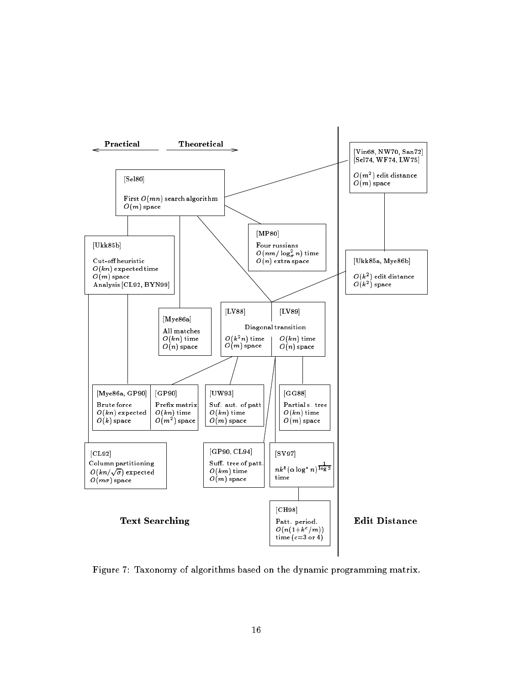

Figure 7: Taxonomy of algorithms based on the dynamic programming matrix.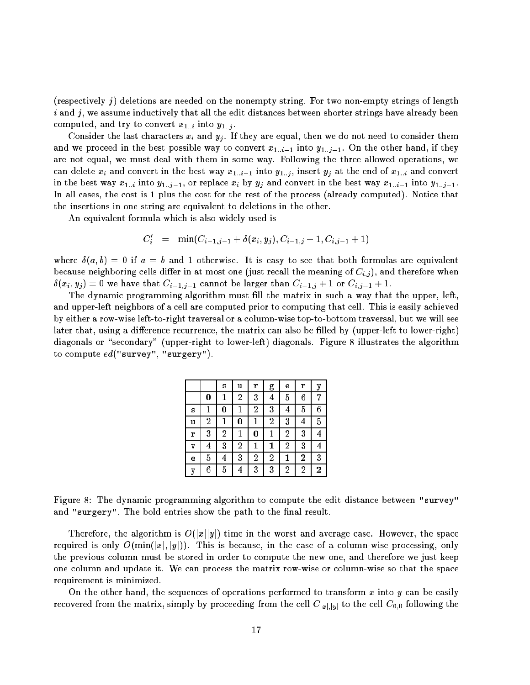(respectively  $j$ ) deletions are needed on the nonempty string. For two non-empty strings of length i and j, we assume inductively that all the edit distances between shorter strings have already been computed, and try to convert  $x_{1,i}$  into  $y_{1,i}$ .

Consider the last characters  $x_i$  and  $y_j$ . If they are equal, then we do not need to consider them and we proceed in the best possible way to convert  $x_{1..i-1}$  into  $y_{1..j-1}$ . On the other hand, if they are not equal, we must deal with them in some way. Following the three allowed operations, we can delete  $x_i$  and convert in the best way  $x_{1..i-1}$  into  $y_{1..j}$ , insert  $y_j$  at the end of  $x_{1..i}$  and convert in the best way  $x_{1..i}$  into  $y_{1..j-1}$ , or replace  $x_i$  by  $y_j$  and convert in the best way  $x_{1..i-1}$  into  $y_{1..j-1}$ . In all cases, the cost is 1 plus the cost for the rest of the process (already computed). Notice that the insertions in one string are equivalent to deletions in the other.

An equivalent formula which is also widely used is

$$
C'_i = \min(C_{i-1,j-1} + \delta(x_i, y_j), C_{i-1,j} + 1, C_{i,j-1} + 1)
$$

where  $\delta(a, b) = 0$  if  $a = b$  and 1 otherwise. It is easy to see that both formulas are equivalent because neighboring cells differ in at most one (just recall the meaning of  $C_{i,j}$ ), and therefore when  $\delta(x_i, y_j) = 0$  we have that  $C_{i-1,j-1}$  cannot be larger than  $C_{i-1,j} + 1$  or  $C_{i,j-1} + 1$ .

The dynamic programming algorithm must fill the matrix in such a way that the upper, left, and upper-left neighbors of a cell are computed prior to computing that cell. This is easily achieved by either a row-wise left-to-right traversal or a column-wise top-to-bottom traversal, but we will see later that, using a difference recurrence, the matrix can also be filled by (upper-left to lower-right) diagonals or "secondary" (upper-right to lower-left) diagonals. Figure 8 illustrates the algorithm to compute  $ed("survey", "surgery").$ 

|   |                | S              | u              | r              | g              | e              | r           | у              |
|---|----------------|----------------|----------------|----------------|----------------|----------------|-------------|----------------|
|   | 0              | 1              | $\overline{2}$ | 3              | 4              | 5              | 6           |                |
| S | 1              | 0              | $\mathbf 1$    | $\overline{2}$ | 3              | 4              | 5           | 6              |
| u | $\overline{2}$ | 1              | 0              | $\mathbf 1$    | $\overline{2}$ | 3              | 4           | 5              |
| r | 3              | $\overline{2}$ | 1              | 0              | 1              | $\overline{2}$ | 3           | 4              |
| V | 4              | 3              | $\overline{2}$ | 1              | 1              | $\overline{2}$ | 3           | $\overline{4}$ |
| e | 5              | $\overline{4}$ | 3              | $\overline{2}$ | $\overline{2}$ | 1              | $\mathbf 2$ | 3              |
| у | 6              | 5              | 4              | 3              | 3              | 2              | 2           | $\bf{2}$       |

Figure 8: The dynamic programming algorithm to compute the edit distance between "survey" and "surgery". The bold entries show the path to the final result.

Therefore, the algorithm is  $O(|x||y|)$  time in the worst and average case. However, the space required is only  $O(\min(|x|, |y|))$ . This is because, in the case of a column-wise processing, only the previous column must be stored in order to compute the new one, and therefore we just keep one column and update it. We can process the matrix row-wise or column-wise so that the space requirement is minimized.

On the other hand, the sequences of operations performed to transform x into y can be easily recovered from the matrix, simply by proceeding from the cell  $C_{[x],[y]}$  to the cell  $C_{0,0}$  following the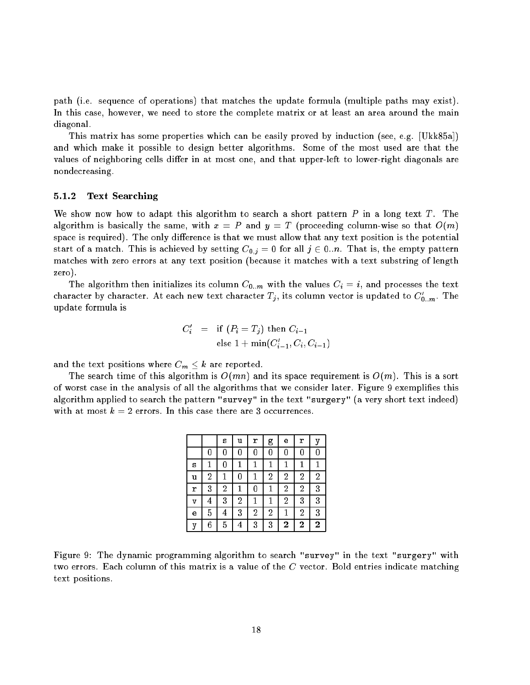path (i.e. sequence of operations) that matches the update formula (multiple paths may exist). In this case, however, we need to store the complete matrix or at least an area around the main diagonal.

This matrix has some properties which can be easily proved by induction (see, e.g. [Ukk85a]) and which make it possible to design better algorithms. Some of the most used are that the values of neighboring cells differ in at most one, and that upper-left to lower-right diagonals are nondecreasing.

### 5.1.2 Text Searching

We show now how to adapt this algorithm to search a short pattern  $P$  in a long text  $T$ . The algorithm is basically the same, with  $x = P$  and  $y = T$  (proceeding column-wise so that  $O(m)$ ) space is required). The only difference is that we must allow that any text position is the potential start of a match. This is achieved by setting  $C_{0,j} = 0$  for all  $j \in 0..n$ . That is, the empty pattern matches with zero errors at any text position (because it matches with a text substring of length zero).

The algorithm then initializes its column  $C_{0..m}$  with the values  $C_i = i$ , and processes the text character by character. At each new text character  $T_j,$  its column vector is updated to  $\cup_{[0..m]}$ . The update formula is

$$
C'_{i} = \text{if } (P_{i} = T_{j}) \text{ then } C_{i-1}
$$
  
else  $1 + \min(C'_{i-1}, C_{i}, C_{i-1})$ 

and the text positions where  $C_m \leq k$  are reported.

The search time of this algorithm is  $O(mn)$  and its space requirement is  $O(m)$ . This is a sort of worst case in the analysis of all the algorithms that we consider later. Figure 9 exemplies this algorithm applied to search the pattern "survey" in the text "surgery" (a very short text indeed) with at most  $k = 2$  errors. In this case there are 3 occurrences.

|   |                | S              | u              | r              | g              | е              | r              | у              |
|---|----------------|----------------|----------------|----------------|----------------|----------------|----------------|----------------|
|   | 0              | 0              | 0              | 0              | 0              | 0              | 0              | 0              |
| S |                | 0              | 1              | 1              | 1              | 1              | $\mathbf{1}$   | $\mathbf{1}$   |
| u | 2              | 1              | 0              | 1              | $\overline{2}$ | $\overline{2}$ | $\overline{2}$ | $\overline{2}$ |
| r | 3              | $\overline{2}$ | 1              | 0              | 1              | $\overline{2}$ | $\overline{2}$ | 3              |
| V | $\overline{4}$ | 3              | $\overline{2}$ | 1              | 1              | $\overline{2}$ | 3              | 3              |
| e | 5              | 4              | 3              | $\overline{2}$ | $\overline{2}$ |                | $\overline{2}$ | 3              |
| y | 6              | 5              | $\overline{4}$ | 3              | 3              | 2              | $\mathbf 2$    | $\overline{2}$ |

Figure 9: The dynamic programming algorithm to search "survey" in the text "surgery" with two errors. Each column of this matrix is a value of the <sup>C</sup> vector. Bold entries indicate matching text positions.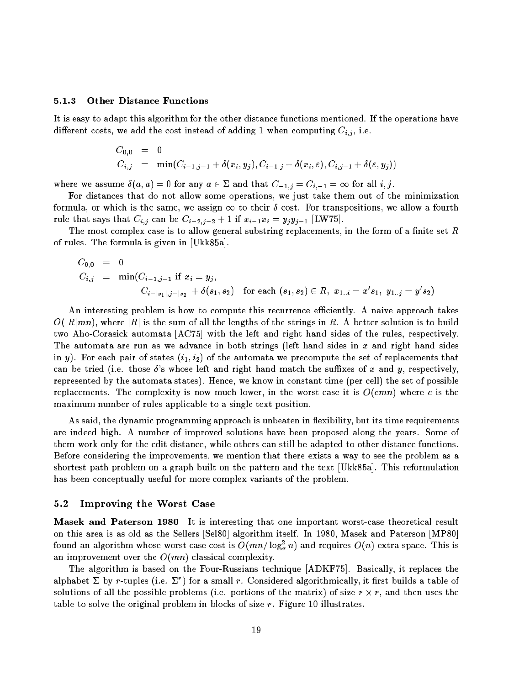#### 5.1.3 Other Distance Functions

It is easy to adapt this algorithm for the other distance functions mentioned. If the operations have different costs, we add the cost instead of adding 1 when computing  $C_{i,j}$ , i.e.

$$
C_{0,0} = 0
$$
  
\n
$$
C_{i,j} = \min(C_{i-1,j-1} + \delta(x_i, y_j), C_{i-1,j} + \delta(x_i, \varepsilon), C_{i,j-1} + \delta(\varepsilon, y_j))
$$

where we assume  $\delta(a, a) = 0$  for any  $a \in \Sigma$  and that  $C_{-1,j} = C_{i,-1} = \infty$  for all  $i, j$ .

For distances that do not allow some operations, we just take them out of the minimization formula, or which is the same, we assign  $\infty$  to their  $\delta$  cost. For transpositions, we allow a fourth rule that says that  $C_{i,j}$  can be  $C_{i-2,j-2} + 1$  if  $x_{i-1}x_i = y_j y_{j-1}$  [LW75].

The most complex case is to allow general substring replacements, in the form of a finite set  $R$ of rules. The formula is given in [Ukk85a].

$$
C_{0,0} = 0
$$
  
\n
$$
C_{i,j} = \min(C_{i-1,j-1} \text{ if } x_i = y_j,
$$
  
\n
$$
C_{i-|s_1|,j-|s_2|} + \delta(s_1, s_2) \text{ for each } (s_1, s_2) \in R, x_{1..i} = x's_1, y_{1..j} = y's_2)
$$

An interesting problem is how to compute this recurrence efficiently. A naive approach takes  $O(|R|mn)$ , where  $|R|$  is the sum of all the lengths of the strings in R. A better solution is to build two Aho-Corasick automata [AC75] with the left and right hand sides of the rules, respectively. The automata are run as we advance in both strings (left hand sides in x and right hand sides in y). For each pair of states  $(i_1, i_2)$  of the automata we precompute the set of replacements that can be tried (i.e. those  $\delta$ 's whose left and right hand match the suffixes of x and y, respectively, represented by the automata states). Hence, we know in constant time (per cell) the set of possible replacements. The complexity is now much lower, in the worst case it is  $O(cmn)$  where c is the maximum number of rules applicable to a single text position.

As said, the dynamic programming approach is unbeaten in flexibility, but its time requirements are indeed high. A number of improved solutions have been proposed along the years. Some of them work only for the edit distance, while others can still be adapted to other distance functions. Before considering the improvements, we mention that there exists a way to see the problem as a shortest path problem on a graph built on the pattern and the text [Ukk85a]. This reformulation has been conceptually useful for more complex variants of the problem.

### 5.2 Improving the Worst Case

Masek and Paterson 1980 It is interesting that one important worst-case theoretical result on this area is as old as the Sellers [Sel80] algorithm itself. In 1980, Masek and Paterson [MP80] found an algorithm whose worst case cost is  $O(mn/\log_\sigma n)$  and requires  $O(n)$  extra space. This is an improvement over the  $O(mn)$  classical complexity.

The algorithm is based on the Four-Russians technique [ADKF75]. Basically, it replaces the alphabet  $\varSigma$  by  $r$ -tuples (i.e.  $\varSigma$  ) for a small  $r.$  Considered algorithmically, it first builds a table of solutions of all the possible problems (i.e. portions of the matrix) of the matrix (i.e.  $\alpha$ table to solve the original problem in blocks of size  $r$ . Figure 10 illustrates.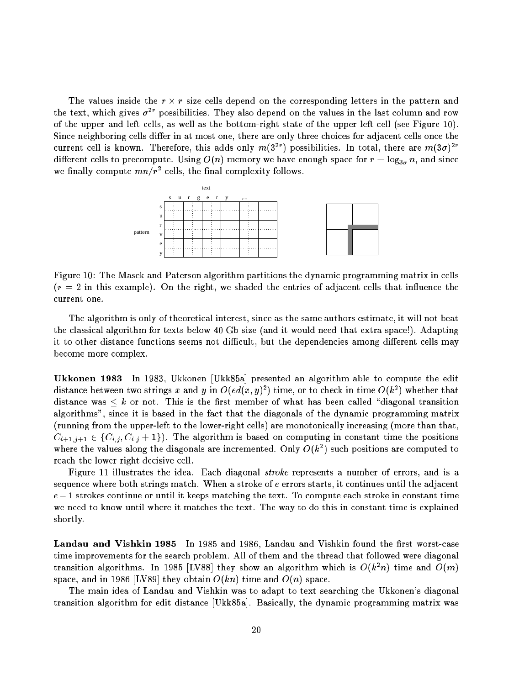the values inside the r r size cells depend on the corresponding letters in the pattern and the text, which gives  $\sigma^-$  possibilities. They also depend on the values in the last column and row of the upper and left cells, as well as the bottom-right state of the upper left cell (see Figure 10). Since neighboring cells differ in at most one, there are only three choices for adjacent cells once the current cen is known. Therefore, this adds only  $m(\mathfrak{z}^-$  possibilities. In total, there are  $m(\mathfrak{z}\sigma)^$ different cells to precompute. Using  $O(n)$  memory we have enough space for  $r = \log_{3\sigma} n$ , and since we milany compute  $mn/r$  -cells, the milar complexity follows.



Figure 10: The Masek and Paterson algorithm partitions the dynamic programming matrix in cells  $(r = 2$  in this example). On the right, we shaded the entries of adjacent cells that influence the current one.

The algorithm is only of theoretical interest, since as the same authors estimate, it will not beat the classical algorithm for texts below 40 Gb size (and it would need that extra space!). Adapting it to other distance functions seems not difficult, but the dependencies among different cells may become more complex.

Ukkonen 1983 In 1983, Ukkonen [Ukk85a] presented an algorithm able to compute the edit distance between two strings x and y in  $O(\epsilon a(x, y)$  ) time, or to check in time  $O(k^2)$  whether that distance was  $\leq k$  or not. This is the first member of what has been called "diagonal transition algorithms", since it is based in the fact that the diagonals of the dynamic programming matrix (running from the upper-left to the lower-right cells) are monotonically increasing (more than that,  $C_{i+1,j+1} \in \{C_{i,j}, C_{i,j} + 1\}$ . The algorithm is based on computing in constant time the positions where the values along the diagonals are incremented. Only  $O(\kappa^2)$  such positions are computed to reach the lower-right decisive cell.

Figure 11 illustrates the idea. Each diagonal *stroke* represents a number of errors, and is a sequence where both strings match. When a stroke of <sup>e</sup> errors starts, it continues until the adjacent e a strokes continue or units it keeps matching the text. To compute even stroke in computer in computer we need to know until where it matches the text. The way to do this in constant time is explained shortly.

**Landau and Vishkin 1985** In 1985 and 1986, Landau and Vishkin found the first worst-case time improvements for the search problem. All of them and the thread that followed were diagonal transition algorithms. In 1985 [LV88] they show an algorithm which is  $O(k^2n)$  thme and  $O(m)$ space, and in 1986 [LV89] they obtain  $O(kn)$  time and  $O(n)$  space.

The main idea of Landau and Vishkin was to adapt to text searching the Ukkonen's diagonal transition algorithm for edit distance [Ukk85a]. Basically, the dynamic programming matrix was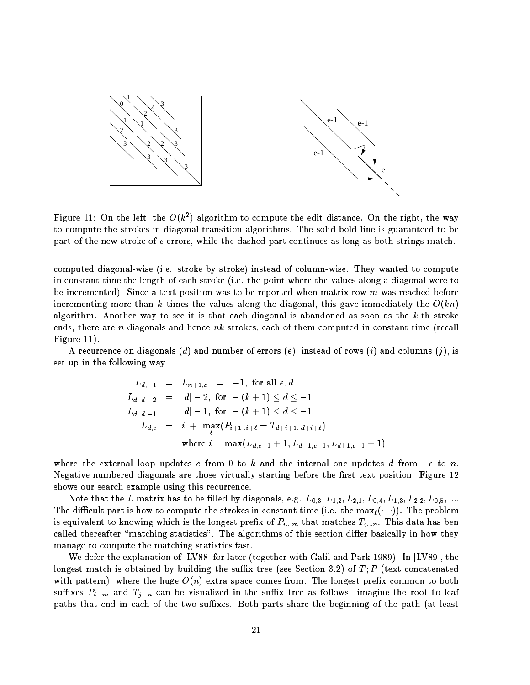

Figure II: On the left, the  $O(k^+)$  algorithm to compute the edit distance. On the right, the way to compute the strokes in diagonal transition algorithms. The solid bold line is guaranteed to be part of the new stroke of <sup>e</sup> errors, while the dashed part continues as long as both strings match.

computed diagonal-wise (i.e. stroke by stroke) instead of column-wise. They wanted to compute in constant time the length of each stroke (i.e. the point where the values along a diagonal were to be incremented). Since a text position was to be reported when matrix row  $m$  was reached before incrementing more than k times the values along the diagonal, this gave immediately the  $O(kn)$ algorithm. Another way to see it is that each diagonal is abandoned as soon as the k-th stroke ends, there are n diagonals and hence nk strokes, each of them computed in constant time (recall Figure 11).

A recurrence on diagonals  $(d)$  and number of errors  $(e)$ , instead of rows  $(i)$  and columns  $(j)$ , is set up in the following way

$$
\begin{array}{rcl} L_{d,-1} & = & L_{n+1,e} & = & -1, \; \text{for all} \; e,d \\[2mm] L_{d,|d|-2} & = & |d|-2, \; \text{for} \; -(k+1) \leq d \leq -1 \\[2mm] L_{d,|d|-1} & = & |d|-1, \; \text{for} \; -(k+1) \leq d \leq -1 \\[2mm] L_{d,e} & = & i \; + \; \max_{\ell} (P_{i+1..i+\ell} = T_{d+i+1..d+i+\ell}) \\[2mm] \text{where} \; i = \max (L_{d,e-1}+1, L_{d-1,e-1}, L_{d+1,e-1}+1) \end{array}
$$

where the external loop updates e from 0 to k and the internal one updates d from  $-e$  to n. Negative numbered diagonals are those virtually starting before the first text position. Figure 12 shows our search example using this recurrence.

Note that the L matrix has to be filled by diagonals, e.g.  $L_{0,3}$ ,  $L_{1,2}$ ,  $L_{2,1}$ ,  $L_{0,4}$ ,  $L_{1,3}$ ,  $L_{2,2}$ ,  $L_{0,5}$ , .... The difficult part is how to compute the strokes in constant time (i.e. the  $\max_{\ell}(\cdot\cdot\cdot)$ ). The problem is equivalent to knowing which is the longest prefix of  $P_{i...m}$  that matches  $T_{j...n}$ . This data has ben called thereafter "matching statistics". The algorithms of this section differ basically in how they manage to compute the matching statistics fast.

We defer the explanation of [LV88] for later (together with Galil and Park 1989). In [LV89], the longest match is obtained by building the suffix tree (see Section 3.2) of  $T$ ; P (text concatenated with pattern), where the huge  $O(n)$  extra space comes from. The longest prefix common to both suffixes  $P_{i...m}$  and  $T_{j...n}$  can be visualized in the suffix tree as follows: imagine the root to leaf paths that end in each of the two suffixes. Both parts share the beginning of the path (at least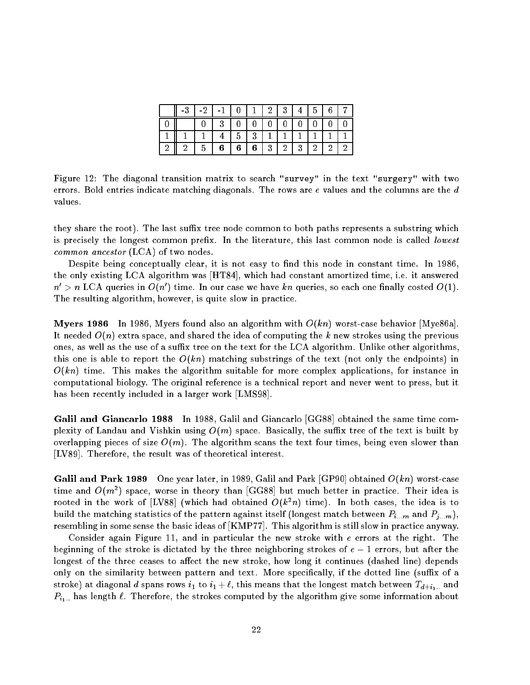| $-2^{\circ}$ | $-2$ 1 -1 1 0   |  | l 3 | $5 -$ |  |
|--------------|-----------------|--|-----|-------|--|
|              | $\vert 3 \vert$ |  |     |       |  |
|              |                 |  |     |       |  |
|              |                 |  |     |       |  |

Figure 12: The diagonal transition matrix to search "survey" in the text "surgery" with two errors. Bold entries indicate matching diagonals. The rows are  $e$  values and the columns are the  $d$ values.

they share the root). The last suffix tree node common to both paths represents a substring which is precisely the longest common prefix. In the literature, this last common node is called lowest common ancestor (LCA) of two nodes.

Despite being conceptually clear, it is not easy to find this node in constant time. In 1986. the only existing LCA algorithm was [HT84], which had constant amortized time, i.e. it answered  $n\,>\,n\,$  LCA queries in  $O(n)$  lume. In our case we have kn queries, so each one finally costed  $O(1)$ . The resulting algorithm, however, is quite slow in practice.

**Myers 1986** In 1986, Myers found also an algorithm with  $O(kn)$  worst-case behavior [Mye86a]. It needed  $O(n)$  extra space, and shared the idea of computing the k new strokes using the previous ones, as well as the use of a suffix tree on the text for the LCA algorithm. Unlike other algorithms, this one is able to report the  $O(kn)$  matching substrings of the text (not only the endpoints) in  $O(kn)$  time. This makes the algorithm suitable for more complex applications, for instance in computational biology. The original reference is a technical report and never went to press, but it has been recently included in a larger work [LMS98].

Galil and Giancarlo 1988 In 1988, Galil and Giancarlo [GG88] obtained the same time complexity of Landau and Vishkin using  $O(m)$  space. Basically, the suffix tree of the text is built by overlapping pieces of size  $O(m)$ . The algorithm scans the text four times, being even slower than [LV89]. Therefore, the result was of theoretical interest.

**Galil and Park 1989** One year later, in 1989, Galil and Park [GP90] obtained  $O(kn)$  worst-case time and  $O(m$  ) space, worse in theory than  $\rm [GG88]$  but much better in practice. Their idea is rooted in the work of  $[\texttt{LV\,\sigma}]$  (which had obtained  $O(k^2n)$  time). In both cases, the idea is to build the matching statistics of the pattern against itself (longest match between  $P_{i...m}$  and  $P_{i...m}$ ), resembling in some sense the basic ideas of [KMP77]. This algorithm is still slow in practice anyway.

Consider again Figure 11, and in particular the new stroke with <sup>e</sup> errors at the right. The beginning of the stroke is dictated by the three neighboring strokes of  $e-1$  errors, but after the longest of the three ceases to affect the new stroke, how long it continues (dashed line) depends only on the similarity between pattern and text. More specifically, if the dotted line (suffix of a stroke) at diagonal d spans rows  $i_1$  to  $i_1 + \ell$ , this means that the longest match between  $T_{d+i_1}$ : and -  $\mathbf{v}_1$  : the strokes computed by the strokes computed by the algorithm give some information about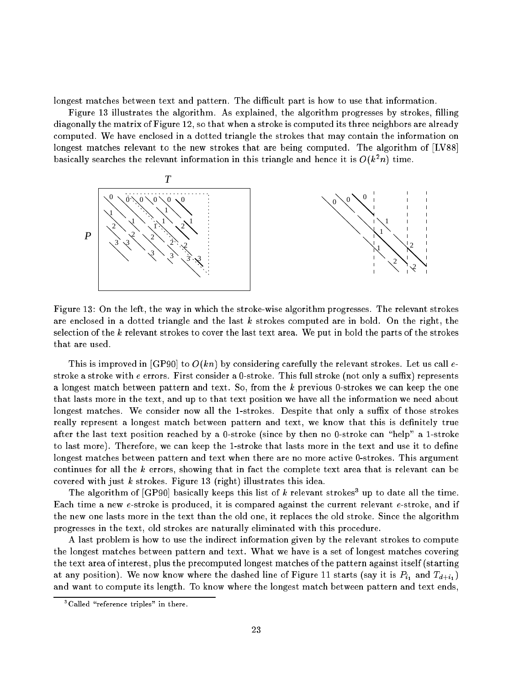longest matches between text and pattern. The difficult part is how to use that information.

Figure 13 illustrates the algorithm. As explained, the algorithm progresses by strokes, filling diagonally the matrix of Figure 12, so that when a stroke is computed its three neighbors are already computed. We have enclosed in a dotted triangle the strokes that may contain the information on longest matches relevant to the new strokes that are being computed. The algorithm of [LV88]  $\alpha$  basically searches the relevant information in this triangle and hence it is  $O(k^2n)$  time.



Figure 13: On the left, the way in which the stroke-wise algorithm progresses. The relevant strokes are enclosed in a dotted triangle and the last k strokes computed are in bold. On the right, the selection of the  $k$  relevant strokes to cover the last text area. We put in bold the parts of the strokes that are used.

This is improved in [GP90] to  $O(kn)$  by considering carefully the relevant strokes. Let us call estroke a stroke with  $e$  errors. First consider a 0-stroke. This full stroke (not only a suffix) represents a longest match between pattern and text. So, from the  $k$  previous 0-strokes we can keep the one that lasts more in the text, and up to that text position we have all the information we need about longest matches. We consider now all the 1-strokes. Despite that only a suffix of those strokes really represent a longest match between pattern and text, we know that this is definitely true after the last text position reached by a 0-stroke (since by then no 0-stroke can "help" a 1-stroke to last more). Therefore, we can keep the 1-stroke that lasts more in the text and use it to define longest matches between pattern and text when there are no more active 0-strokes. This argument continues for all the  $k$  errors, showing that in fact the complete text area that is relevant can be covered with just  $k$  strokes. Figure 13 (right) illustrates this idea.

The algorithm of  $[GF30]$  basically keeps this list of k relevant strokes. Up to date all the time. Each time a new e-stroke is produced, it is compared against the current relevant e-stroke, and if the new one lasts more in the text than the old one, it replaces the old stroke. Since the algorithm progresses in the text, old strokes are naturally eliminated with this procedure.

A last problem is how to use the indirect information given by the relevant strokes to compute the longest matches between pattern and text. What we have is a set of longest matches covering the text area of interest, plus the precomputed longest matches of the pattern against itself (starting at any position). We now where we have the dashed line of Figure 11 starts (say it is Pi1 and Tupil) and want to compute its length. To know where the longest match between pattern and text ends,

<sup>&</sup>quot;Called "reference triples" in there.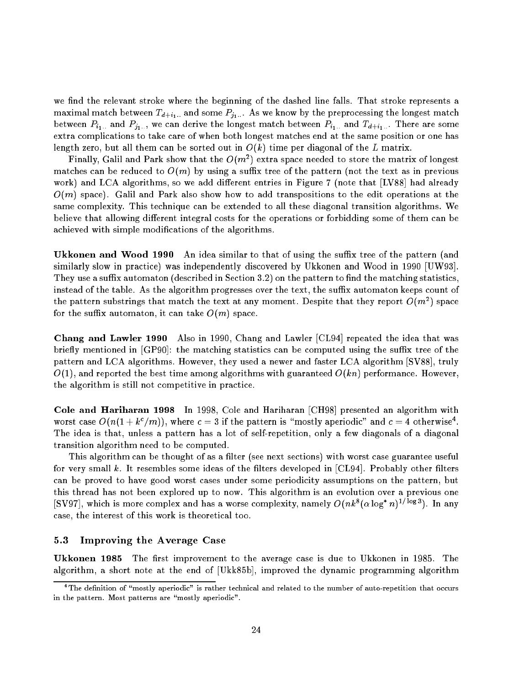we find the relevant stroke where the beginning of the dashed line falls. That stroke represents a maximal match between  $T_{d+i_1}$  and some  $P_{j_1}$ . As we know by the preprocessing the longest match between Pin  $\alpha$  : and Pi1::, we can derive the longest matches in the longest  $\alpha$  in  $\alpha$  Td+i1 ::. There are some extra complications to take care of when both longest matches end at the same position or one has length zero, but all them can be sorted out in  $O(k)$  time per diagonal of the L matrix.

 $\bf r$  many, Gain and Park show that the  $O(m^2)$  extra space needed to store the matrix of longest matches can be reduced to  $O(m)$  by using a suffix tree of the pattern (not the text as in previous work) and LCA algorithms, so we add different entries in Figure 7 (note that [LV88] had already  $O(m)$  space). Galil and Park also show how to add transpositions to the edit operations at the same complexity. This technique can be extended to all these diagonal transition algorithms. We believe that allowing different integral costs for the operations or forbidding some of them can be achieved with simple modications of the algorithms.

Ukkonen and Wood 1990 An idea similar to that of using the suffix tree of the pattern (and similarly slow in practice) was independently discovered by Ukkonen and Wood in 1990 [UW93]. They use a suffix automaton (described in Section 3.2) on the pattern to find the matching statistics, instead of the table. As the algorithm progresses over the text, the suffix automaton keeps count of the pattern substrings that match the text at any moment. Despite that they report  $O(m^2)$  space for the suffix automaton, it can take  $O(m)$  space.

Chang and Lawler 1990 Also in 1990, Chang and Lawler [CL94] repeated the idea that was briefly mentioned in [GP90]: the matching statistics can be computed using the suffix tree of the pattern and LCA algorithms. However, they used a newer and faster LCA algorithm [SV88], truly  $O(1)$ , and reported the best time among algorithms with guaranteed  $O(kn)$  performance. However, the algorithm is still not competitive in practice.

Cole and Hariharan 1998 In 1998, Cole and Hariharan [CH98] presented an algorithm with worst case  $O(n(1 + \kappa^2/m))$ , where  $c = 3$  if the pattern is "mostly aperiodic" and  $c = 4$  otherwise . The idea is that, unless a pattern has a lot of self-repetition, only a few diagonals of a diagonal transition algorithm need to be computed.

This algorithm can be thought of as a filter (see next sections) with worst case guarantee useful for very small k. It resembles some ideas of the filters developed in  $\vert$ CL94. Probably other filters can be proved to have good worst cases under some periodicity assumptions on the pattern, but this thread has not been explored up to now. This algorithm is an evolution over a previous one  $S(VY)$ , which is more complex and has a worse complexity, namely  $U(nk^*(\alpha)$  og  $[n]^{2/(2\delta)^2})$ . In any case, the interest of this work is theoretical too.

### 5.3 Improving the Average Case

Ukkonen 1985 The first improvement to the average case is due to Ukkonen in 1985. The algorithm, a short note at the end of [Ukk85b], improved the dynamic programming algorithm

 $^\circ$  The definition of "mostly aperiodic" is rather technical and related to the number of auto-repetition that occurs in the pattern. Most patterns are "mostly aperiodic".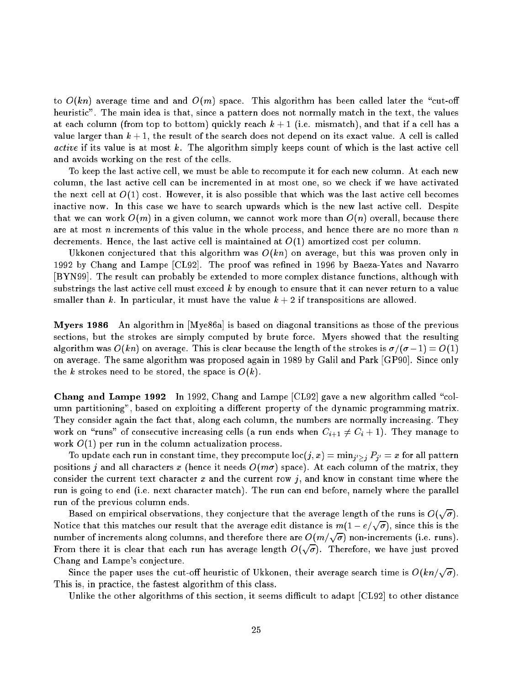to  $O(kn)$  average time and and  $O(m)$  space. This algorithm has been called later the "cut-off heuristic". The main idea is that, since a pattern does not normally match in the text, the values at each column (from top to bottom) quickly reach  $k+1$  (i.e. mismatch), and that if a cell has a value larger than  $k + 1$ , the result of the search does not depend on its exact value. A cell is called *active* if its value is at most  $k$ . The algorithm simply keeps count of which is the last active cell and avoids working on the rest of the cells.

To keep the last active cell, we must be able to recompute it for each new column. At each new column, the last active cell can be incremented in at most one, so we check if we have activated the next cell at  $O(1)$  cost. However, it is also possible that which was the last active cell becomes inactive now. In this case we have to search upwards which is the new last active cell. Despite that we can work  $O(m)$  in a given column, we cannot work more than  $O(n)$  overall, because there are at most n increments of this value in the whole process, and hence there are no more than  $n$ decrements. Hence, the last active cell is maintained at  $O(1)$  amortized cost per column.

Ukkonen conjectured that this algorithm was  $O(kn)$  on average, but this was proven only in 1992 by Chang and Lampe [CL92]. The proof was refined in 1996 by Baeza-Yates and Navarro [BYN99]. The result can probably be extended to more complex distance functions, although with substrings the last active cell must exceed  $k$  by enough to ensure that it can never return to a value smaller than k. In particular, it must have the value  $k + 2$  if transpositions are allowed.

Myers 1986 An algorithm in [Mye86a] is based on diagonal transitions as those of the previous sections, but the strokes are simply computed by brute force. Myers showed that the resulting algorithm was  $O(kn)$  on average. This is clear because the length of the strokes is  $\sigma/(\sigma-1) = O(1)$ on average. The same algorithm was proposed again in 1989 by Galil and Park [GP90]. Since only the k strokes need to be stored, the space is  $O(k)$ .

**Chang and Lampe 1992** In 1992, Chang and Lampe  $\begin{bmatrix} CL92 \end{bmatrix}$  gave a new algorithm called "column partitioning", based on exploiting a different property of the dynamic programming matrix. They consider again the fact that, along each column, the numbers are normally increasing. They work on "runs" of consecutive increasing cells (a run ends when  $C_{i+1} \neq C_i + 1$ ). They manage to work  $O(1)$  per run in the column actualization process.

To update each run in constant time, they precompute  $\mathrm{loc}(j,x) = \min_{j' \geq j} P_{j'} = x$  for all pattern positions j and all characters x (hence it needs  $O(m\sigma)$  space). At each column of the matrix, they consider the current text character x and the current row j, and know in constant time where the run is going to end (i.e. next character match). The run can end before, namely where the parallel run of the previous column ends.

Based on empirical observations, they conjecture that the average length of the runs is  $O(\sqrt{\sigma})$ . Notice that this matches our result that the average edit distance is  $m(1-e/\sqrt{\sigma})$ , since this is the number of increments along columns, and therefore there are  $O(m/\sqrt{\sigma})$  non-increments (i.e. runs). From there it is clear that each run has average length  $O(\sqrt{\sigma})$ . Therefore, we have just proved Chang and Lampe's conjecture.

Since the paper uses the cut-off heuristic of Ukkonen, their average search time is  $O(kn/\sqrt{\sigma})$ . This is, in practice, the fastest algorithm of this class.

Unlike the other algorithms of this section, it seems difficult to adapt  $\lceil CL92 \rceil$  to other distance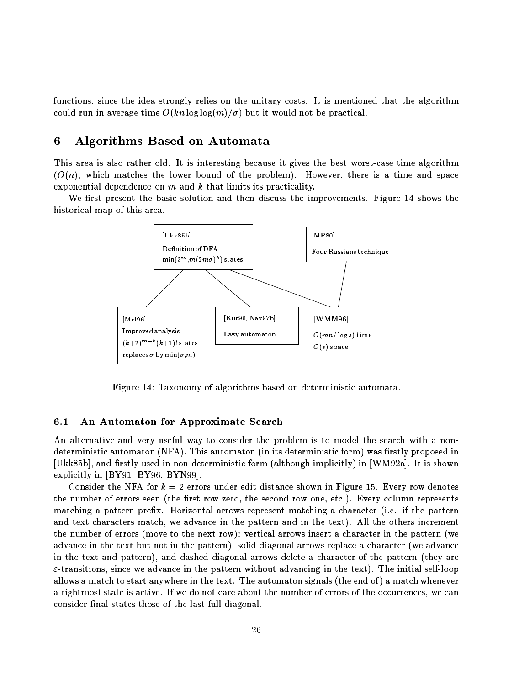functions, since the idea strongly relies on the unitary costs. It is mentioned that the algorithm could run in average time  $O(kn\log\log(m)/\sigma)$  but it would not be practical.

#### 6 6 Algorithms Based on Automata

This area is also rather old. It is interesting because it gives the best worst-case time algorithm  $(O(n))$ , which matches the lower bound of the problem). However, there is a time and space exponential dependence on  $m$  and  $k$  that limits its practicality.

We first present the basic solution and then discuss the improvements. Figure 14 shows the historical map of this area.



Figure 14: Taxonomy of algorithms based on deterministic automata.

### 6.1 An Automaton for Approximate Search

An alternative and very useful way to consider the problem is to model the search with a nondeterministic automaton (NFA). This automaton (in its deterministic form) was firstly proposed in  $[Ukk85b]$ , and firstly used in non-deterministic form (although implicitly) in  $[WM92a]$ . It is shown explicitly in [BY91, BY96, BYN99].

Consider the NFA for  $k = 2$  errors under edit distance shown in Figure 15. Every row denotes the number of errors seen (the first row zero, the second row one, etc.). Every column represents matching a pattern prefix. Horizontal arrows represent matching a character (i.e. if the pattern and text characters match, we advance in the pattern and in the text). All the others increment the number of errors (move to the next row): vertical arrows insert a character in the pattern (we advance in the text but not in the pattern), solid diagonal arrows replace a character (we advance in the text and pattern), and dashed diagonal arrows delete a character of the pattern (they are  $\varepsilon$ -transitions, since we advance in the pattern without advancing in the text). The initial self-loop allows a match to start anywhere in the text. The automaton signals (the end of ) a match whenever a rightmost state is active. If we do not care about the number of errors of the occurrences, we can consider final states those of the last full diagonal.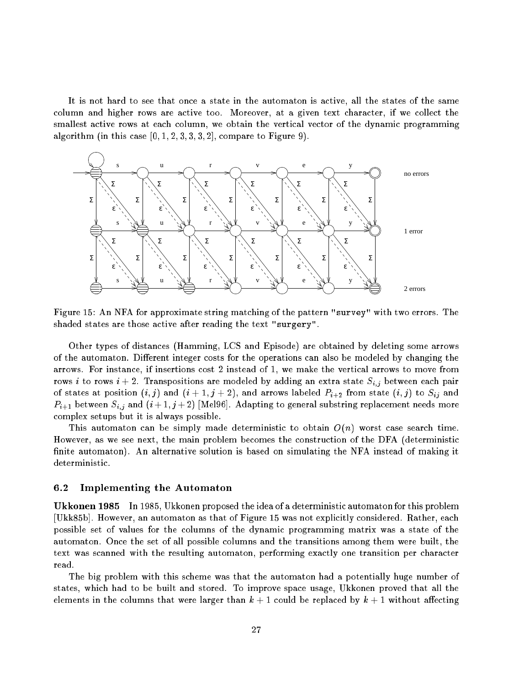It is not hard to see that once a state in the automaton is active, all the states of the same column and higher rows are active too. Moreover, at a given text character, if we collect the smallest active rows at each column, we obtain the vertical vector of the dynamic programming algorithm (in this case  $[0, 1, 2, 3, 3, 3, 2]$ , compare to Figure 9).



Figure 15: An NFA for approximate string matching of the pattern "survey" with two errors. The shaded states are those active after reading the text "surgery".

Other types of distances (Hamming, LCS and Episode) are obtained by deleting some arrows of the automaton. Different integer costs for the operations can also be modeled by changing the arrows. For instance, if insertions cost 2 instead of 1, we make the vertical arrows to move from rows i to rows  $i + 2$ . Transpositions are modeled by adding an extra state  $S_{i,j}$  between each pair of states at position  $(i, j)$  and  $(i + 1, j + 2)$ , and arrows labeled  $P_{i+2}$  from state  $(i, j)$  to  $S_{ij}$  and  $P_{i+1}$  between  $S_{i,j}$  and  $(i+1,j+2)$  [Mel96]. Adapting to general substring replacement needs more complex setups but it is always possible.

This automaton can be simply made deterministic to obtain  $O(n)$  worst case search time. However, as we see next, the main problem becomes the construction of the DFA (deterministic finite automaton). An alternative solution is based on simulating the NFA instead of making it deterministic.

### 6.2 Implementing the Automaton

Ukkonen 1985 In 1985, Ukkonen proposed the idea of a deterministic automaton for this problem [Ukk85b]. However, an automaton as that of Figure 15 was not explicitly considered. Rather, each possible set of values for the columns of the dynamic programming matrix was a state of the automaton. Once the set of all possible columns and the transitions among them were built, the text was scanned with the resulting automaton, performing exactly one transition per character read.

The big problem with this scheme was that the automaton had a potentially huge number of states, which had to be built and stored. To improve space usage, Ukkonen proved that all the elements in the columns that were larger than  $k + 1$  could be replaced by  $k + 1$  without affecting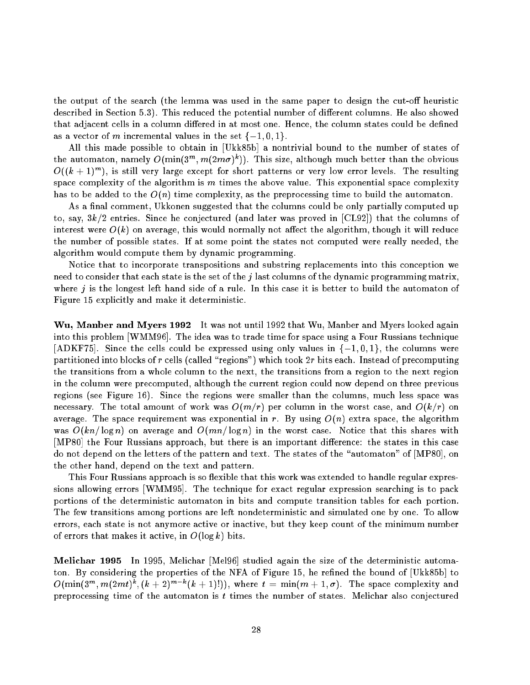the output of the search (the lemma was used in the same paper to design the cut-off heuristic described in Section 5.3). This reduced the potential number of different columns. He also showed that adjacent cells in a column differed in at most one. Hence, the column states could be defined as a vector of m incremental values in the set  $\{-1, 0, 1\}.$ 

All this made possible to obtain in [Ukk85b] a nontrivial bound to the number of states of the automaton, namely  $O(\min(\beta^m, m(2m\sigma)^m))$ . I his size, although much better than the obvious  $O((k+1)^m)$ , is still very large except for short patterns or very low error levels. The resulting space complexity of the algorithm is  $m$  times the above value. This exponential space complexity has to be added to the  $O(n)$  time complexity, as the preprocessing time to build the automaton.

As a final comment, Ukkonen suggested that the columns could be only partially computed up to, say,  $3k/2$  entries. Since he conjectured (and later was proved in [CL92]) that the columns of interest were  $O(k)$  on average, this would normally not affect the algorithm, though it will reduce the number of possible states. If at some point the states not computed were really needed, the algorithm would compute them by dynamic programming.

Notice that to incorporate transpositions and substring replacements into this conception we need to consider that each state is the set of the j last columns of the dynamic programming matrix where  $j$  is the longest left hand side of a rule. In this case it is better to build the automaton of Figure 15 explicitly and make it deterministic.

Wu, Manber and Myers 1992 It was not until 1992 that Wu, Manber and Myers looked again into this problem [WMM96]. The idea was to trade time for space using a Four Russians technique [ADKF75]. Since the cells could be expressed using only values in  $\{-1, 0, 1\}$ , the columns were partitioned into blocks of r cells (called "regions") which took 2r bits each. Instead of precomputing the transitions from a whole column to the next, the transitions from a region to the next region in the column were precomputed, although the current region could now depend on three previous regions (see Figure 16). Since the regions were smaller than the columns, much less space was necessary. The total amount of work was  $O(m/r)$  per column in the worst case, and  $O(k/r)$  on average. The space requirement was exponential in r. By using  $O(n)$  extra space, the algorithm was  $O(kn/\log n)$  on average and  $O(mn/\log n)$  in the worst case. Notice that this shares with [MP80] the Four Russians approach, but there is an important difference: the states in this case do not depend on the letters of the pattern and text. The states of the "automaton" of  $[MP80]$ , on the other hand, depend on the text and pattern.

This Four Russians approach is so flexible that this work was extended to handle regular expressions allowing errors [WMM95]. The technique for exact regular expression searching is to pack portions of the deterministic automaton in bits and compute transition tables for each portion. The few transitions among portions are left nondeterministic and simulated one by one. To allow errors, each state is not anymore active or inactive, but they keep count of the minimum number of errors that makes it active, in  $O(\log k)$  bits.

Melichar 1995 In 1995, Melichar [Mel96] studied again the size of the deterministic automaton. By considering the properties of the NFA of Figure 15, he refined the bound of [Ukk85b] to O (min(3)  $m(zmu)$ ,  $(k+2)$  (k + 1)!)), where  $t = \min(m+1, \sigma)$ . The space complexity and preprocessing time of the automaton is  $t$  times the number of states. Melichar also conjectured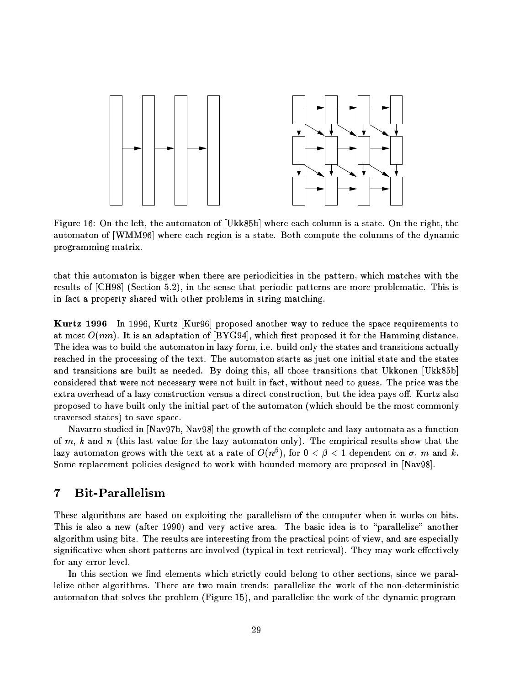

Figure 16: On the left, the automaton of [Ukk85b] where each column is a state. On the right, the automaton of [WMM96] where each region is a state. Both compute the columns of the dynamic programming matrix.

that this automaton is bigger when there are periodicities in the pattern, which matches with the results of [CH98] (Section 5.2), in the sense that periodic patterns are more problematic. This is in fact a property shared with other problems in string matching.

Kurtz 1996 In 1996, Kurtz [Kur96] proposed another way to reduce the space requirements to at most  $O(mn)$ . It is an adaptation of  $\left[\text{BYG94}\right]$ , which first proposed it for the Hamming distance. The idea was to build the automaton in lazy form, i.e. build only the states and transitions actually reached in the processing of the text. The automaton starts as just one initial state and the states and transitions are built as needed. By doing this, all those transitions that Ukkonen [Ukk85b] considered that were not necessary were not built in fact, without need to guess. The price was the extra overhead of a lazy construction versus a direct construction, but the idea pays off. Kurtz also proposed to have built only the initial part of the automaton (which should be the most commonly traversed states) to save space.

Navarro studied in [Nav97b, Nav98] the growth of the complete and lazy automata as a function of m, k and n (this last value for the lazy automaton only). The empirical results show that the lazy automaton grows with the text at a rate of  $O(n^{\epsilon})$ , for  $0 < \rho < 1$  dependent on  $\sigma, \, m$  and  $\kappa.$ Some replacement policies designed to work with bounded memory are proposed in [Nav98].

# 7 Bit-Parallelism

These algorithms are based on exploiting the parallelism of the computer when it works on bits. This is also a new (after 1990) and very active area. The basic idea is to \parallelize" another algorithm using bits. The results are interesting from the practical point of view, and are especially significative when short patterns are involved (typical in text retrieval). They may work effectively for any error level.

In this section we find elements which strictly could belong to other sections, since we parallelize other algorithms. There are two main trends: parallelize the work of the non-deterministic automaton that solves the problem (Figure 15), and parallelize the work of the dynamic program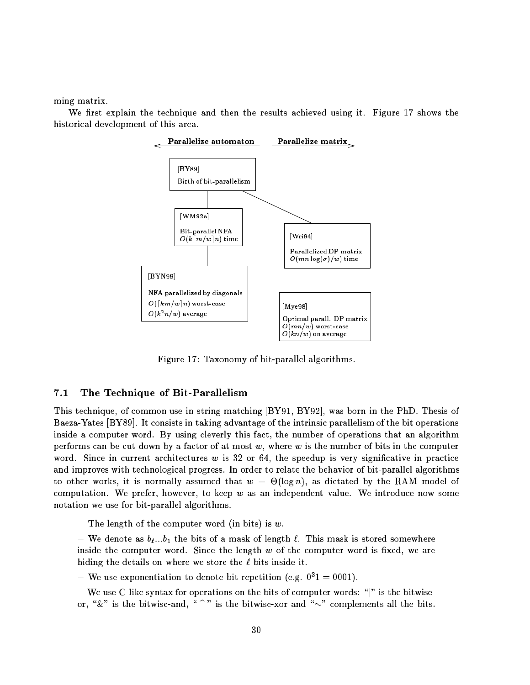ming matrix.

We first explain the technique and then the results achieved using it. Figure 17 shows the historical development of this area.



Figure 17: Taxonomy of bit-parallel algorithms.

## 7.1 The Technique of Bit-Parallelism

This technique, of common use in string matching [BY91, BY92], was born in the PhD. Thesis of Baeza-Yates [BY89]. It consists in taking advantage of the intrinsic parallelism of the bit operations inside a computer word. By using cleverly this fact, the number of operations that an algorithm performs can be cut down by a factor of at most  $w$ , where  $w$  is the number of bits in the computer word. Since in current architectures  $w$  is 32 or 64, the speedup is very significative in practice and improves with technological progress. In order to relate the behavior of bit-parallel algorithms to other working it is normally assumed that was a superpression for the RAM model of  $\alpha$ computation. We prefer, however, to keep  $w$  as an independent value. We introduce now some notation we use for bit-parallel algorithms.

The length of the computer word (in bits) is w.

we denote as bits of the bits of a mask of a mask is stored some mask is stored somewhere somewhere  $\alpha$ inside the computer word. Since the length  $w$  of the computer word is fixed, we are hiding the details on where we store the  $\ell$  bits inside it.

 $-$  we use exponentiation to denote bit repetition (e.g.  $0.1 = 0001$ ).

we use C-like synthesis of the bits of computer words:  $\alpha$  is the bit soft of computer words:  $\alpha$  is the bitwiseor, " $\&$ " is the bitwise-and, " " is the bitwise-xor and " $\sim$ " complements all the bits.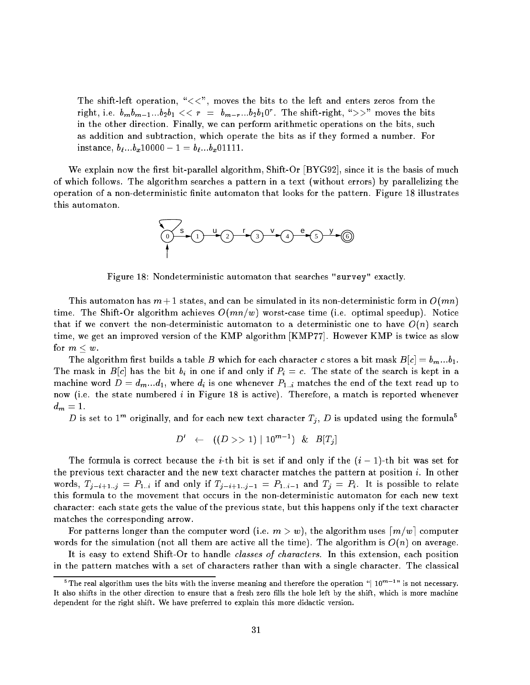The shift-left operation, " $<<$ ", moves the bits to the left and enters zeros from the right, i.e.  $\omega_m o_{m-1}...o_2 o_1 << r ~=~o_{m-r}...o_2 o_1$ u . The shift-right,  $\Rightarrow$  moves the bits in the other direction. Finally, we can perform arithmetic operations on the bits, such as addition and subtraction, which operate the bits as if they formed a number. For instance,  $b_{\ell}...b_{x}10000 - 1 = b_{\ell}...b_{x}01111$ .

We explain now the first bit-parallel algorithm, Shift-Or  $[BYG92]$ , since it is the basis of much of which follows. The algorithm searches a pattern in a text (without errors) by parallelizing the operation of a non-deterministic finite automaton that looks for the pattern. Figure 18 illustrates this automaton.



Figure 18: Nondeterministic automaton that searches "survey" exactly.

This automaton has  $m+1$  states, and can be simulated in its non-deterministic form in  $O(mn)$ time. The Shift-Or algorithm achieves  $O(mn/w)$  worst-case time (i.e. optimal speedup). Notice that if we convert the non-deterministic automaton to a deterministic one to have  $O(n)$  search time, we get an improved version of the KMP algorithm [KMP77]. However KMP is twice as slow for  $m \leq w$ .

The algorithm first builds a table B which for each character c stores a bit mask  $B[c] = b_m...b_1$ . The mask in  $B[c]$  has the bit  $b_i$  in one if and only if  $P_i = c$ . The state of the search is kept in a machine word  $D = d_m...d_1$ , where  $d_i$  is one whenever  $P_{1..i}$  matches the end of the text read up to now (i.e. the state numbered  $i$  in Figure 18 is active). Therefore, a match is reported whenever  $d_m=1$ .

 $\nu$  is set to 1 m originally, and for each new text character  $T_j, \, \nu$  is updated using the formula  $^*$ 

$$
D' \;\;\gets \;\; \left( (D >> 1) \;\vert\; 10^{m-1} \right) \;\; \& \;\; B[T_j]
$$

The formula is correct because the *i*-th bit is set if and only if the  $(i - 1)$ -th bit was set for the previous text character and the new text character matches the pattern at position i. In other words,  $T_{j-i+1..j} = P_{1..i}$  if and only if  $T_{j-i+1..j-1} = P_{1..i-1}$  and  $T_j = P_i$ . It is possible to relate this formula to the movement that occurs in the non-deterministic automaton for each new text character: each state gets the value of the previous state, but this happens only if the text character matches the corresponding arrow.

For patterns longer than the computer word (i.e.  $m>w$ ), the algorithm uses  $|m/w|$  computer words for the simulation (not all them are active all the time). The algorithm is  $O(n)$  on average.

It is easy to extend Shift-Or to handle *classes of characters*. In this extension, each position in the pattern matches with a set of characters rather than with a single character. The classical

 $^{\circ}$  The real algorithm uses the bits with the inverse meaning and therefore the operation "  $\mid$  10  $^{\circ}$   $\mid$  " is not necessary. It also shifts in the other direction to ensure that a fresh zero fills the hole left by the shift, which is more machine dependent for the right shift. We have preferred to explain this more didactic version.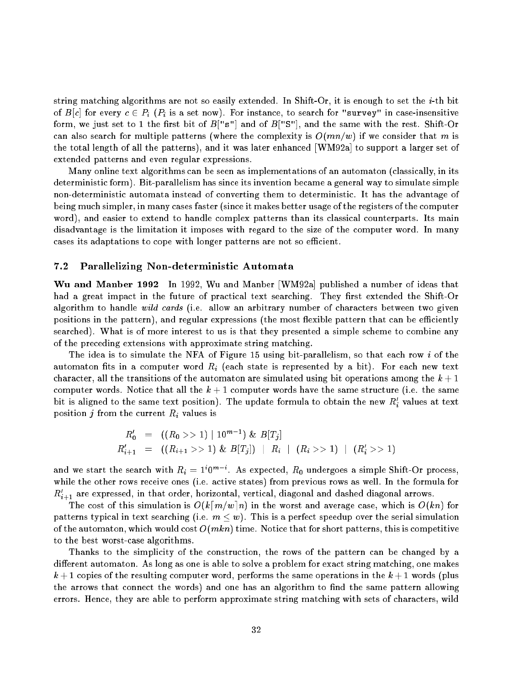string matching algorithms are not so easily extended. In Shift-Or, it is enough to set the  $i$ -th bit of  $B[c]$  for every  $c \in P_i$  ( $P_i$  is a set now). For instance, to search for "survey" in case-insensitive form, we just set to 1 the first bit of  $B[$ "s"] and of  $B[$ "S"], and the same with the rest. Shift-Or can also search for multiple patterns (where the complexity is  $O(mn/w)$  if we consider that m is the total length of all the patterns), and it was later enhanced [WM92a] to support a larger set of extended patterns and even regular expressions.

Many online text algorithms can be seen as implementations of an automaton (classically, in its deterministic form). Bit-parallelism has since its invention became a general way to simulate simple non-deterministic automata instead of converting them to deterministic. It has the advantage of being much simpler, in many cases faster (since it makes better usage of the registers of the computer word), and easier to extend to handle complex patterns than its classical counterparts. Its main disadvantage is the limitation it imposes with regard to the size of the computer word. In many cases its adaptations to cope with longer patterns are not so efficient.

## 7.2 Parallelizing Non-deterministic Automata

Wu and Manber 1992 In 1992, Wu and Manber [WM92a] published a number of ideas that had a great impact in the future of practical text searching. They first extended the Shift-Or algorithm to handle *wild cards* (i.e. allow an arbitrary number of characters between two given positions in the pattern), and regular expressions (the most flexible pattern that can be efficiently searched). What is of more interest to us is that they presented a simple scheme to combine any of the preceding extensions with approximate string matching.

The idea is to simulate the NFA of Figure 15 using bit-parallelism, so that each row i of the automaton fits in a computer word  $R_i$  (each state is represented by a bit). For each new text character, all the transitions of the automaton are simulated using bit operations among the  $k+1$ computer words. Notice that all the  $k + 1$  computer words have the same structure (i.e. the same bit is aligned to the same text position). The update formula to obtain the new  $\kappa_i$  values at text position  $j$  from the current  $R_i$  values is

$$
\begin{array}{lcl} R'_0 & = & ((R_0 \!>>\! 1) \mid 10^{m-1}) \; \& \; B[T_j] \\ R'_{i+1} & = & ((R_{i+1} \!>>\! 1) \; \& \; B[T_j]) \mid \; R_i \; \mid \; (R_i \!>>\! 1) \; \mid \; (R'_i \!>>\! 1) \end{array}
$$

and we start the search with  $\kappa_i =$  1 0  $^{\circ}$  . As expected,  $\kappa_0$  undergoes a simple Shift-Or process, while the other rows receive ones (i.e. active states) from previous rows as well. In the formula for  $\boldsymbol{\mathsf{\kappa}}_{i+1}$  are expressed, in that order, horizontal, vertical, diagonal and dashed diagonal arrows.

The cost of this simulation is  $O(k[m/w]n)$  in the worst and average case, which is  $O(kn)$  for patterns typical in text searching (i.e.  $m \leq w$ ). This is a perfect speedup over the serial simulation of the automaton, which would cost  $O(mkn)$  time. Notice that for short patterns, this is competitive to the best worst-case algorithms.

Thanks to the simplicity of the construction, the rows of the pattern can be changed by a different automaton. As long as one is able to solve a problem for exact string matching, one makes  $k$  + 1 copies of the resulting computer word, performs the same operations in the k + 1 words (plus the arrows that connect the words) and one has an algorithm to find the same pattern allowing errors. Hence, they are able to perform approximate string matching with sets of characters, wild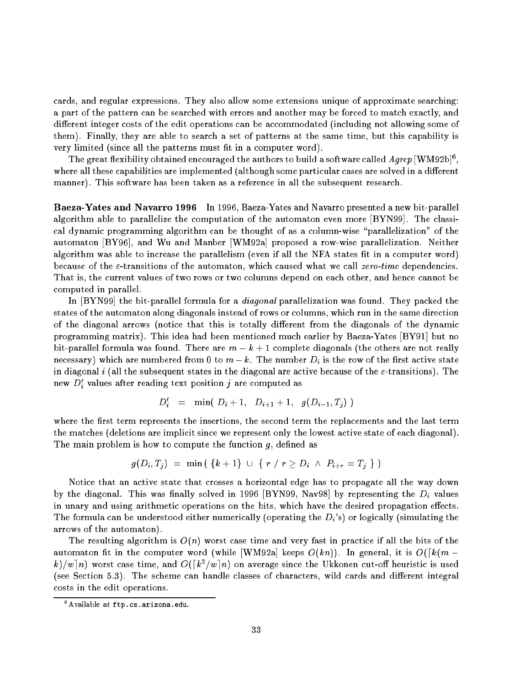cards, and regular expressions. They also allow some extensions unique of approximate searching: a part of the pattern can be searched with errors and another may be forced to match exactly, and different integer costs of the edit operations can be accommodated (including not allowing some of them). Finally, they are able to search a set of patterns at the same time, but this capability is very limited (since all the patterns must fit in a computer word).

The great hexibility obtained encouraged the authors to build a software called  $A$ grep [WM92b]], where all these capabilities are implemented (although some particular cases are solved in a different manner). This software has been taken as a reference in all the subsequent research.

Baeza-Yates and Navarro 1996 In 1996, Baeza-Yates and Navarro presented a new bit-parallel algorithm able to parallelize the computation of the automaton even more [BYN99]. The classical dynamic programming algorithm can be thought of as a column-wise \parallelization" of the automaton [BY96], and Wu and Manber [WM92a] proposed a row-wise parallelization. Neither algorithm was able to increase the parallelism (even if all the NFA states fit in a computer word) because of the  $\varepsilon$ -transitions of the automaton, which caused what we call *zero-time* dependencies. That is, the current values of two rows or two columns depend on each other, and hence cannot be computed in parallel.

In [BYN99] the bit-parallel formula for a diagonal parallelization was found. They packed the states of the automaton along diagonals instead of rows or columns, which run in the same direction of the diagonal arrows (notice that this is totally different from the diagonals of the dynamic programming matrix). This idea had been mentioned much earlier by Baeza-Yates [BY91] but no bit-parallel formula was found. There are  $m - k + 1$  complete diagonals (the others are not really necessary) which are numbered from 0 to  $m-k$ . The number  $D_i$  is the row of the first active state in diagonal i (all the subsequent states in the diagonal are active because of the  $\varepsilon$ -transitions). The new  $D_i$  values after reading text position  $j$  are computed as

$$
D_i' = \min(D_i + 1, D_{i+1} + 1, g(D_{i-1}, T_j))
$$

where the first term represents the insertions, the second term the replacements and the last term the matches (deletions are implicit since we represent only the lowest active state of each diagonal). The main problem is how to compute the function  $g$ , defined as

$$
g(D_i, T_j) = \min\left( \{k+1\} \cup \{ r / r \geq D_i \land P_{i+r} = T_j \} \right)
$$

Notice that an active state that crosses a horizontal edge has to propagate all the way down by the diagonal. This was finally solved in 1996 [BYN99, Nav98] by representing the  $D_i$  values in unary and using arithmetic operations on the bits, which have the desired propagation effects. The formula can be understood either numerically (operating the  $D_i$ 's) or logically (simulating the arrows of the automaton).

The resulting algorithm is  $O(n)$  worst case time and very fast in practice if all the bits of the automaton fit in the computer word (while [WM92a] keeps  $O(kn)$ ). In general, it is  $O([k(m \kappa$ ]/w|n) worst case time, and  $O($ | $\kappa^2/w$ |n) on average since the Ukkonen cut-on neuristic is used (see Section 5.3). The scheme can handle classes of characters, wild cards and different integral costs in the edit operations.

<sup>6</sup> Available at ftp.cs.arizona.edu.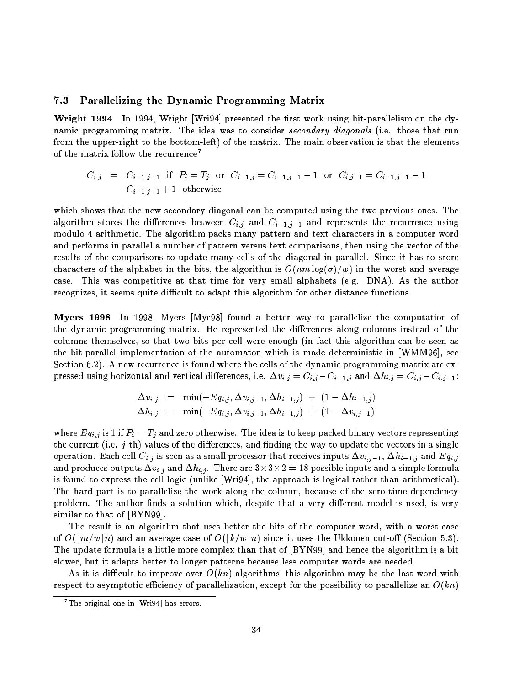## 7.3 Parallelizing the Dynamic Programming Matrix

Wright 1994 In 1994, Wright [Wri94] presented the first work using bit-parallelism on the dynamic programming matrix. The idea was to consider secondary diagonals (i.e. those that run from the upper-right to the bottom-left) of the matrix. The main observation is that the elements of the matrix follow the recurrence<sup>7</sup>

$$
C_{i,j} = C_{i-1,j-1} \text{ if } P_i = T_j \text{ or } C_{i-1,j} = C_{i-1,j-1} - 1 \text{ or } C_{i,j-1} = C_{i-1,j-1} - 1
$$
  

$$
C_{i-1,j-1} + 1 \text{ otherwise}
$$

which shows that the new secondary diagonal can be computed using the two previous ones. The algorithm stores the differences between  $C_{i,j}$  and  $C_{i-1,j-1}$  and represents the recurrence using modulo 4 arithmetic. The algorithm packs many pattern and text characters in a computer word and performs in parallel a number of pattern versus text comparisons, then using the vector of the results of the comparisons to update many cells of the diagonal in parallel. Since it has to store characters of the alphabet in the bits, the algorithm is  $O(nm \log(\sigma)/w)$  in the worst and average case. This was competitive at that time for very small alphabets (e.g. DNA). As the author recognizes, it seems quite difficult to adapt this algorithm for other distance functions.

Myers 1998 In 1998, Myers [Mye98] found a better way to parallelize the computation of the dynamic programming matrix. He represented the differences along columns instead of the columns themselves, so that two bits per cell were enough (in fact this algorithm can be seen as the bit-parallel implementation of the automaton which is made deterministic in [WMM96], see Section 6.2). A new recurrence is found where the cells of the dynamic programming matrix are expressed using horizontal and vertical differences, i.e.  $\Delta v_{i,j} = C_{i,j} - C_{i-1,j}$  and  $\Delta h_{i,j} = C_{i,j} - C_{i,j-1}$ :

$$
\Delta v_{i,j} = \min(-E q_{i,j}, \Delta v_{i,j-1}, \Delta h_{i-1,j}) + (1 - \Delta h_{i-1,j})
$$
  
\n
$$
\Delta h_{i,j} = \min(-E q_{i,j}, \Delta v_{i,j-1}, \Delta h_{i-1,j}) + (1 - \Delta v_{i,j-1})
$$

where  $Eq_{i,j}$  is 1 if  $P_i = T_j$  and zero otherwise. The idea is to keep packed binary vectors representing the current (i.e.  $j$ -th) values of the differences, and finding the way to update the vectors in a single operation. Each cell  $C_{i,j}$  is seen as a small processor that receives inputs  $\Delta v_{i,j-1}$ ,  $\Delta h_{i-1,j}$  and  $Eq_{i,j}$ and produces outputs  $=$   $\alpha_{i,j}$  and  $=$   $\alpha_{i,j}$  . There are 3- $\alpha$  simples formulation and a simple formula is found to express the cell logic (unlike [Wri94], the approach is logical rather than arithmetical). The hard part is to parallelize the work along the column, because of the zero-time dependency problem. The author finds a solution which, despite that a very different model is used, is very similar to that of [BYN99].

The result is an algorithm that uses better the bits of the computer word, with a worst case of  $O([m/w]n)$  and an average case of  $O([k/w]n)$  since it uses the Ukkonen cut-off (Section 5.3). The update formula is a little more complex than that of [BYN99] and hence the algorithm is a bit slower, but it adapts better to longer patterns because less computer words are needed.

As it is difficult to improve over  $O(kn)$  algorithms, this algorithm may be the last word with respect to asymptotic efficiency of parallelization, except for the possibility to parallelize an  $O(kn)$ 

The original one in [Wri94] has errors.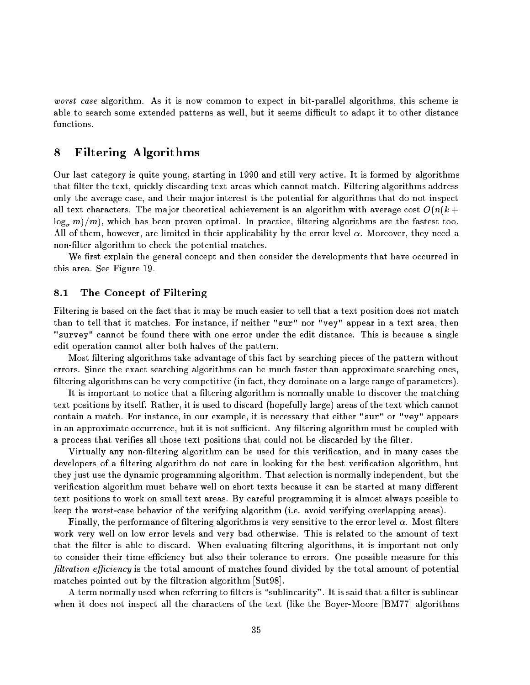worst case algorithm. As it is now common to expect in bit-parallel algorithms, this scheme is able to search some extended patterns as well, but it seems difficult to adapt it to other distance functions.

# 8 Filtering Algorithms

Our last category is quite young, starting in 1990 and still very active. It is formed by algorithms that filter the text, quickly discarding text areas which cannot match. Filtering algorithms address only the average case, and their ma jor interest is the potential for algorithms that do not inspect all text characters. The major theoretical achievement is an algorithm with average cost  $O(n(k +$  $\log_{\sigma} m/m$ , which has been proven optimal. In practice, filtering algorithms are the fastest too. All of them, however, are limited in their applicability by the error level  $\alpha$ . Moreover, they need a non-lter algorithm to check the potential matches.

We first explain the general concept and then consider the developments that have occurred in this area. See Figure 19.

#### $8.1$ 8.1 The Concept of Filtering

Filtering is based on the fact that it may be much easier to tell that a text position does not match than to tell that it matches. For instance, if neither "sur" nor "vey" appear in a text area, then "survey" cannot be found there with one error under the edit distance. This is because a single edit operation cannot alter both halves of the pattern.

Most filtering algorithms take advantage of this fact by searching pieces of the pattern without errors. Since the exact searching algorithms can be much faster than approximate searching ones, filtering algorithms can be very competitive (in fact, they dominate on a large range of parameters).

It is important to notice that a filtering algorithm is normally unable to discover the matching text positions by itself. Rather, it is used to discard (hopefully large) areas of the text which cannot contain a match. For instance, in our example, it is necessary that either "sur" or "vey" appears in an approximate occurrence, but it is not sufficient. Any filtering algorithm must be coupled with a process that verifies all those text positions that could not be discarded by the filter.

Virtually any non-ltering algorithm can be used for this verication, and in many cases the developers of a filtering algorithm do not care in looking for the best verification algorithm, but they just use the dynamic programming algorithm. That selection is normally independent, but the verification algorithm must behave well on short texts because it can be started at many different text positions to work on small text areas. By careful programming it is almost always possible to keep the worst-case behavior of the verifying algorithm (i.e. avoid verifying overlapping areas).

Finally, the performance of filtering algorithms is very sensitive to the error level  $\alpha$ . Most filters work very well on low error levels and very bad otherwise. This is related to the amount of text that the filter is able to discard. When evaluating filtering algorithms, it is important not only to consider their time efficiency but also their tolerance to errors. One possible measure for this filtration efficiency is the total amount of matches found divided by the total amount of potential matches pointed out by the filtration algorithm [Sut98].

A term normally used when referring to filters is "sublinearity". It is said that a filter is sublinear when it does not inspect all the characters of the text (like the Boyer-Moore [BM77] algorithms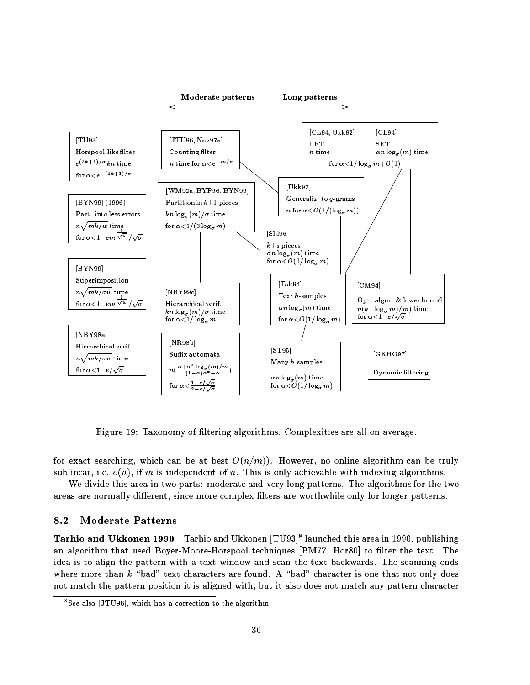

Figure 19: Taxonomy of ltering algorithms. Complexities are all on average.

for exact searching, which can be at best  $O(n/m)$ ). However, no online algorithm can be truly sublinear, i.e.  $o(n)$ , if m is independent of n. This is only achievable with indexing algorithms.

We divide this area in two parts: moderate and very long patterns. The algorithms for the two areas are normally different, since more complex filters are worthwhile only for longer patterns.

#### 8.2 **Moderate Patterns**

Tarhio and Ukkonen 1990 8 launched this area in 1990, publishing an algorithm that used Boyer-Moore-Horspool techniques [BM77, Hor80] to filter the text. The idea is to align the pattern with a text window and scan the text backwards. The scanning ends where more than  $k$  "bad" text characters are found. A "bad" character is one that not only does not match the pattern position it is aligned with, but it also does not match any pattern character

 $\tilde{ }$  see also [JTU96], which has a correction to the algorithm.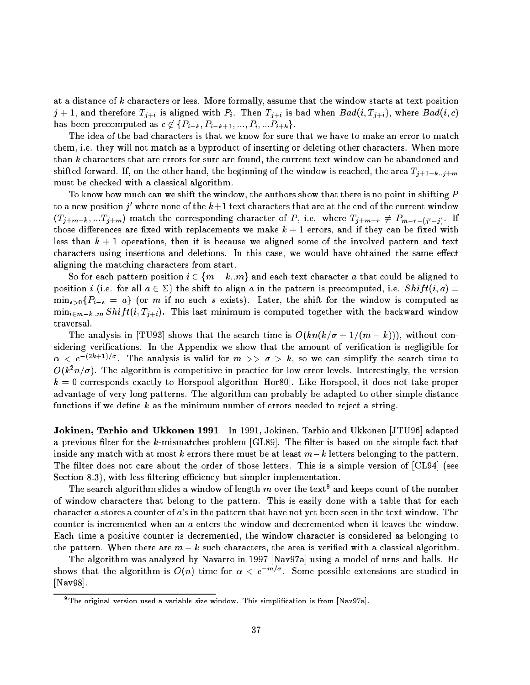at a distance of  $k$  characters or less. More formally, assume that the window starts at text position j + 1, and therefore Tj+i is aligned with Pi. Then Tj+i is bad with Bad(i)  $\pm$  ifili), where Bad(i) c), has been precomputed as  $c \notin \{P_{i-k}, P_{i-k+1}, ..., P_i, ...P_{i+k}\}.$ 

The idea of the bad characters is that we know for sure that we have to make an error to match them, i.e. they will not match as a byproduct of inserting or deleting other characters. When more than  $k$  characters that are errors for sure are found, the current text window can be abandoned and shifted forward. If, on the other hand, the beginning of the window is reached, the area  $T_{j+1-k..j+m}$ must be checked with a classical algorithm.

To know how much can we shift the window, the authors show that there is no point in shifting  $P$ to a new position  $\eta$  -where none of the  $\kappa+1$  text characters that are at the end of the current window  $(T_{j+m-k}, ...T_{j+m})$  match the corresponding character of P, i.e. where  $T_{j+m-r} \neq P_{m-r-(j'-j)}$ . If those differences are fixed with replacements we make  $k+1$  errors, and if they can be fixed with less than  $k + 1$  operations, then it is because we aligned some of the involved pattern and text characters using insertions and deletions. In this case, we would have obtained the same effect aligning the matching characters from start.

So for each pattern position  $i \in \{m - k\cdot m\}$  and each text character a that could be aligned to position i (i.e. for all  $a \in \Sigma$ ) the shift to align a in the pattern is precomputed, i.e. Shift(i, a) =  $\min_{s>0}$   $\{P_{i-s} = a\}$  (or m if no such s exists). Later, the shift for the window is computed as  $\min_{i\in m-k..m} Shift(i, T_{j+i})$ . This last minimum is computed together with the backward window traversal.

The analysis in [TU93] shows that the search time is  $O(kn(k/\sigma + 1/(m - k)))$ , without considering verifications. In the Appendix we show that the amount of verification is negligible for  $\alpha$   $\lt$   $e^{-(2k+1)\pi/2}$ . The analysis is valid for  $m >> \sigma > \kappa$ , so we can simplify the search time to  $O(\kappa^+n/\sigma)$ . The algorithm is competitive in practice for low error levels. Interestingly, the version  $k = 0$  corresponds exactly to Horspool algorithm [Horse]. Hims Horspool, it does not take proper advantage of very long patterns. The algorithm can probably be adapted to other simple distance functions if we define  $k$  as the minimum number of errors needed to reject a string.

Jokinen, Tarhio and Ukkonen 1991 In 1991, Jokinen, Tarhio and Ukkonen [JTU96] adapted a previous filter for the  $k$ -mismatches problem [GL89]. The filter is based on the simple fact that inside any match with at most k errors there must be at least  $m-k$  letters belonging to the pattern. The filter does not care about the order of those letters. This is a simple version of  $\lceil CL94 \rceil$  (see Section 8.3), with less filtering efficiency but simpler implementation.

The search algorithm shues a window of length m over the text- and keeps count of the number of window characters that belong to the pattern. This is easily done with a table that for each character <sup>a</sup> stores a counter of <sup>a</sup>'s in the pattern that have not yet been seen in the text window. The counter is incremented when an <sup>a</sup> enters the window and decremented when it leaves the window. Each time a positive counter is decremented, the window character is considered as belonging to the pattern. When there are  $m - k$  such characters, the area is verified with a classical algorithm.

The algorithm was analyzed by Navarro in 1997 [Nav97a] using a model of urns and balls. He shows that the algorithm is  $O(n)$  time for  $\alpha < e^{-(n+p)}$  . Some possible extensions are studied in [Nav98].

 $^\circ$  The original version used a variable size window. This simplification is from [Nav97a].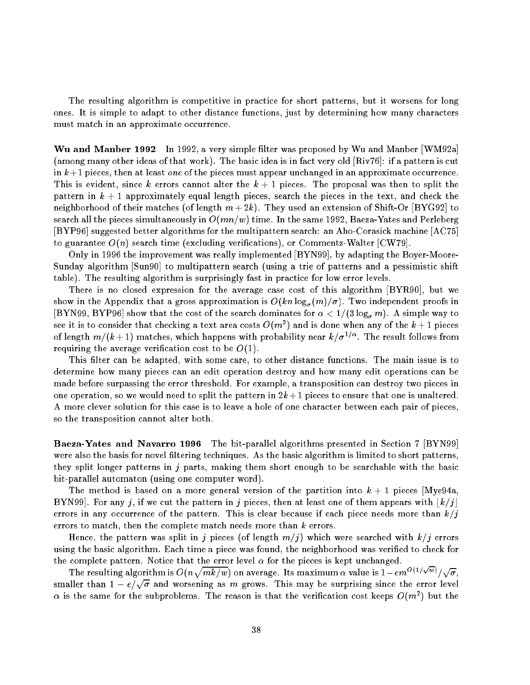The resulting algorithm is competitive in practice for short patterns, but it worsens for long ones. It is simple to adapt to other distance functions, just by determining how many characters must match in an approximate occurrence.

Wu and Manber 1992 In 1992, a very simple filter was proposed by Wu and Manber [WM92a] (among many other ideas of that work). The basic idea is in fact very old [Riv76]: if a pattern is cut in  $k+1$  pieces, then at least one of the pieces must appear unchanged in an approximate occurrence. This is evident, since k errors cannot alter the  $k+1$  pieces. The proposal was then to split the pattern in  $k + 1$  approximately equal length pieces, search the pieces in the text, and check the neighborhood of their matches (of length  $m+2k$ ). They used an extension of Shift-Or [BYG92] to search all the pieces simultaneously in  $O(mn/w)$  time. In the same 1992, Baeza-Yates and Perleberg [BYP96] suggested better algorithms for the multipattern search: an Aho-Corasick machine [AC75] to guarantee  $O(n)$  search time (excluding verifications), or Commentz-Walter [CW79].

Only in 1996 the improvement was really implemented [BYN99], by adapting the Boyer-Moore-Sunday algorithm [Sun90] to multipattern search (using a trie of patterns and a pessimistic shift table). The resulting algorithm is surprisingly fast in practice for low error levels.

There is no closed expression for the average case cost of this algorithm [BYR90], but we show in the Appendix that a gross approximation is  $O(kn\log_{\sigma}(m)/\sigma)$ . Two independent proofs in [BYN99, BYP96] show that the cost of the search dominates for  $\alpha < 1/(3 \log_{\sigma} m)$ . A simple way to see it is to consider that checking a text area costs  $O(m_+)$  and is done when any of the  $\kappa+1$  pieces of length  $m/(k+1)$  matches, which happens with probability near  $k/\sigma^{-1}$  . The result follows from requiring the average verification cost to be  $O(1)$ .

This filter can be adapted, with some care, to other distance functions. The main issue is to determine how many pieces can an edit operation destroy and how many edit operations can be made before surpassing the error threshold. For example, a transposition can destroy two pieces in one operation, so we would need to split the pattern in  $2k + 1$  pieces to ensure that one is unaltered. A more clever solution for this case is to leave a hole of one character between each pair of pieces, so the transposition cannot alter both.

Baeza-Yates and Navarro 1996 The bit-parallel algorithms presented in Section 7 [BYN99] were also the basis for novel filtering techniques. As the basic algorithm is limited to short patterns, they split longer patterns in  $j$  parts, making them short enough to be searchable with the basic bit-parallel automaton (using one computer word).

The method is based on a more general version of the partition into  $k + 1$  pieces [Mye94a, BYN99]. For any j, if we cut the pattern in j pieces, then at least one of them appears with  $\lfloor k/j \rfloor$ errors in any occurrence of the pattern. This is clear because if each piece needs more than  $k/j$ errors to match, then the complete match needs more than k errors.

Hence, the pattern was split in j pieces (of length  $m/j$ ) which were searched with  $k/j$  errors using the basic algorithm. Each time a piece was found, the neighborhood was verified to check for the complete pattern. Notice that the error level  $\alpha$  for the pieces is kept unchanged.

The resulting algorithm is O(n  $\sqrt{mk/w}$  on average. Its maximum  $\alpha$  value is  $1-e m^{O(1/\sqrt{w})}/m$  $\sqrt{\sigma}$ , smaller than  $1-e/\sqrt{\sigma}$  and worsening as m grows. This may be surprising since the error level  $\alpha$  is the same for the subproblems. The reason is that the verification cost keeps  $O(m^2)$  but the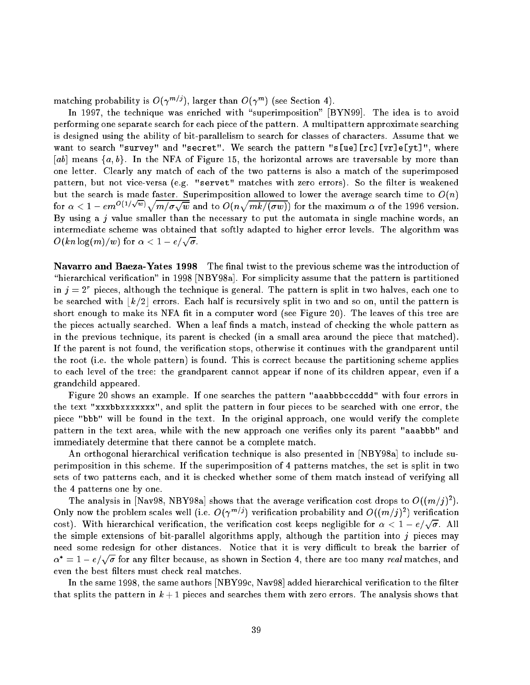matching probability is  $O(\gamma^{m} \gamma)$ , larger than  $O(\gamma^{m})$  (see Section 4).

In 1997, the technique was enriched with "superimposition" [BYN99]. The idea is to avoid performing one separate search for each piece of the pattern. A multipattern approximate searching is designed using the ability of bit-parallelism to search for classes of characters. Assume that we want to search "survey" and "secret". We search the pattern "s[ue][rc][vr]e[yt]", where [ab] means  $\{a, b\}$ . In the NFA of Figure 15, the horizontal arrows are traversable by more than one letter. Clearly any match of each of the two patterns is also a match of the superimposed pattern, but not vice-versa (e.g. "servet" matches with zero errors). So the filter is weakened but the search is made faster. Superimposition allowed to lower the average search time to  $O(n)$ for  $\alpha < 1-e m^{{O(1/\sqrt{w})}}\sqrt{m/\sigma \sqrt{w}}$  and to  $O(n)$ mk=(w)) for the maximum of the 1996 version. By using a j value smaller than the necessary to put the automata in single machine words, an intermediate scheme was obtained that softly adapted to higher error levels. The algorithm was  $O(kn\log(m)/w)$  for  $\alpha < 1-e/\sqrt{\sigma}$ .

Navarro and Baeza-Yates 1998 The final twist to the previous scheme was the introduction of "hierarchical verification" in 1998 [NBY98a]. For simplicity assume that the pattern is partitioned in  $j = 2^r$  pieces, although the technique is general. The pattern is split in two halves, each one to be searched with  $k/2$  errors. Each half is recursively split in two and so on, until the pattern is short enough to make its NFA fit in a computer word (see Figure 20). The leaves of this tree are the pieces actually searched. When a leaf finds a match, instead of checking the whole pattern as in the previous technique, its parent is checked (in a small area around the piece that matched). If the parent is not found, the verification stops, otherwise it continues with the grandparent until the root (i.e. the whole pattern) is found. This is correct because the partitioning scheme applies to each level of the tree: the grandparent cannot appear if none of its children appear, even if a grandchild appeared.

Figure 20 shows an example. If one searches the pattern "aaabbbcccddd" with four errors in the text "xxxbbxxxxxxx", and split the pattern in four pieces to be searched with one error, the piece "bbb" will be found in the text. In the original approach, one would verify the complete pattern in the text area, while with the new approach one veries only its parent "aaabbb" and immediately determine that there cannot be a complete match.

An orthogonal hierarchical verification technique is also presented in [NBY98a] to include superimposition in this scheme. If the superimposition of 4 patterns matches, the set is split in two sets of two patterns each, and it is checked whether some of them match instead of verifying all the 4 patterns one by one.

The analysis in [Nav98, NBY98] shows that the average verification cost drops to  $O((m/\gamma)^*)$ . Only now the problem scales well (i.e.  $\mathcal{O}(\gamma^{m+p})$  verification probability and  $\mathcal{O}((m/f)^*)$  verification cost). With hierarchical verification, the verification cost keeps negligible for  $\alpha < 1-e/\sqrt{\sigma}$ . All the simple extensions of bit-parallel algorithms apply, although the partition into  $j$  pieces may need some redesign for other distances. Notice that it is very difficult to break the barrier of  $\alpha^* = 1 - e/\sqrt{\sigma}$  for any filter because, as shown in Section 4, there are too many real matches, and even the best filters must check real matches.

In the same 1998, the same authors [NBY99c, Nav98] added hierarchical verification to the filter that splits the pattern in  $k+1$  pieces and searches them with zero errors. The analysis shows that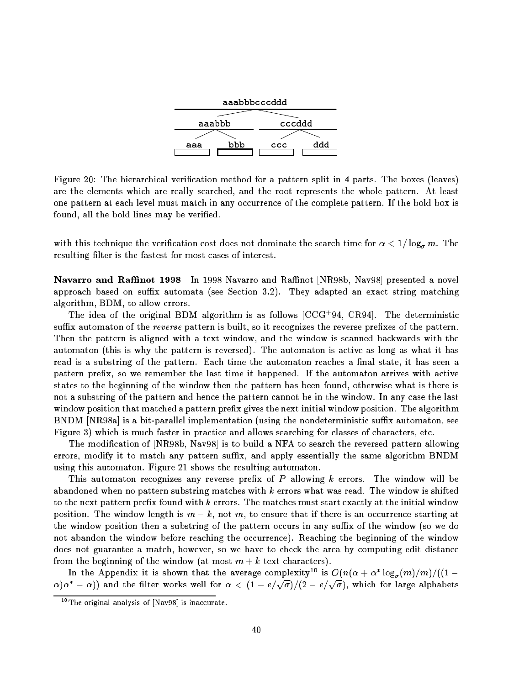

Figure 20: The hierarchical verification method for a pattern split in 4 parts. The boxes (leaves) are the elements which are really searched, and the root represents the whole pattern. At least one pattern at each level must match in any occurrence of the complete pattern. If the bold box is found, all the bold lines may be verified.

with this technique the verification cost does not dominate the search time for  $\alpha < 1/\log_{\sigma} m$ . The resulting filter is the fastest for most cases of interest.

Navarro and Raffinot 1998 In 1998 Navarro and Raffinot [NR98b, Nav98] presented a novel approach based on suffix automata (see Section 3.2). They adapted an exact string matching algorithm, BDM, to allow errors.

The idea of the original BDM algorithm is as follows  $[\cup \cup G_+$  94,  $\cup R$ 94]. The deterministic suffix automaton of the reverse pattern is built, so it recognizes the reverse prefixes of the pattern. Then the pattern is aligned with a text window, and the window is scanned backwards with the automaton (this is why the pattern is reversed). The automaton is active as long as what it has read is a substring of the pattern. Each time the automaton reaches a final state, it has seen a pattern prefix, so we remember the last time it happened. If the automaton arrives with active states to the beginning of the window then the pattern has been found, otherwise what is there is not a substring of the pattern and hence the pattern cannot be in the window. In any case the last window position that matched a pattern prefix gives the next initial window position. The algorithm  $\rm BNDM$  [NR98a] is a bit-parallel implementation (using the nondeterministic suffix automaton, see Figure 3) which is much faster in practice and allows searching for classes of characters, etc.

The modication of [NR98b, Nav98] is to build a NFA to search the reversed pattern allowing errors, modify it to match any pattern suffix, and apply essentially the same algorithm BNDM using this automaton. Figure 21 shows the resulting automaton.

This automaton recognizes any reverse prefix of  $P$  allowing k errors. The window will be abandoned when no pattern substring matches with k errors what was read. The window is shifted to the next pattern prefix found with  $k$  errors. The matches must start exactly at the initial window position. The window length is  $m - k$ , not m, to ensure that if there is an occurrence starting at the window position then a substring of the pattern occurs in any suffix of the window (so we do not abandon the window before reaching the occurrence). Reaching the beginning of the window does not guarantee a match, however, so we have to check the area by computing edit distance from the beginning of the window (at most  $m + k$  text characters).

In the Appendix it is shown that the average complexity<sup>--</sup> is  $O(n(\alpha + \alpha \log_\sigma(m)/m)/((1-\alpha \log_\sigma(m)))$  $(\alpha)$  $(\alpha^* - \alpha)$  and the filter works well for  $\alpha < (1 - e/\sqrt{\sigma})/(2 - e/\sqrt{\sigma})$ , which for large alphabets

<sup>&</sup>lt;sup>10</sup>The original analysis of [Nav98] is inaccurate.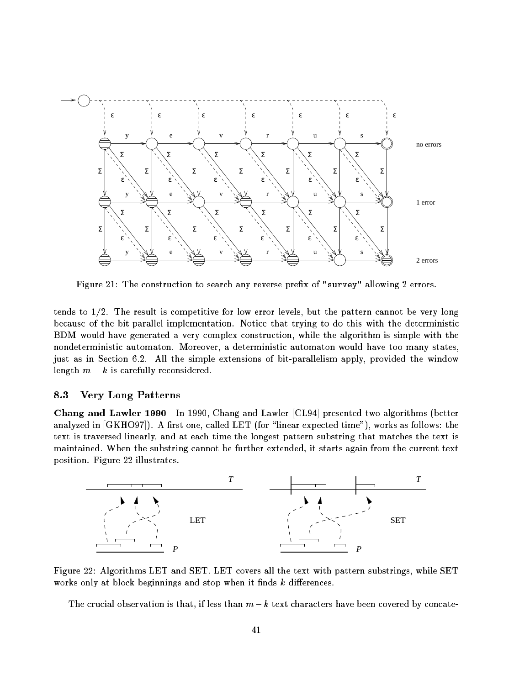

Figure 21: The construction to search any reverse prefix of "survey" allowing 2 errors.

tends to  $1/2$ . The result is competitive for low error levels, but the pattern cannot be very long because of the bit-parallel implementation. Notice that trying to do this with the deterministic BDM would have generated a very complex construction, while the algorithm is simple with the nondeterministic automaton. Moreover, a deterministic automaton would have too many states, just as in Section 6.2. All the simple extensions of bit-parallelism apply, provided the window length  $m - k$  is carefully reconsidered.

## 8.3 Very Long Patterns

Chang and Lawler 1990 In 1990, Chang and Lawler [CL94] presented two algorithms (better analyzed in  $[\rm{GKHO97}]$ ). A first one, called LET (for "linear expected time"), works as follows: the text is traversed linearly, and at each time the longest pattern substring that matches the text is maintained. When the substring cannot be further extended, it starts again from the current text position. Figure 22 illustrates.



Figure 22: Algorithms LET and SET. LET covers all the text with pattern substrings, while SET works only at block beginnings and stop when it finds  $k$  differences.

The crucial observation is that, if less than  $m - k$  text characters have been covered by concate-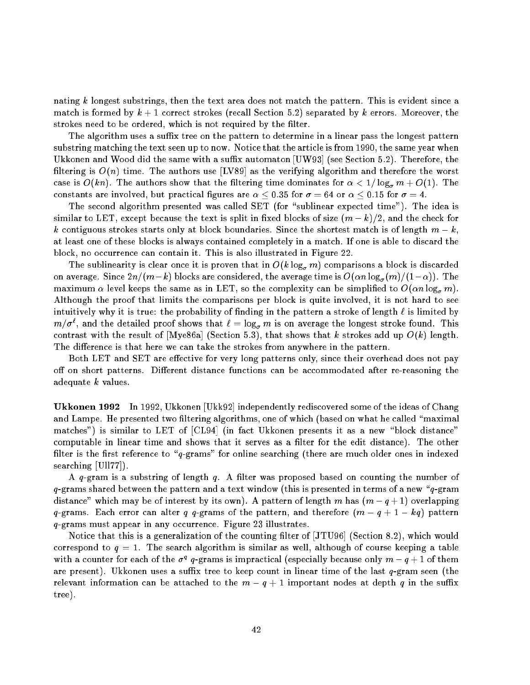nating <sup>k</sup> longest substrings, then the text area does not match the pattern. This is evident since a match is formed by  $k + 1$  correct strokes (recall Section 5.2) separated by k errors. Moreover, the strokes need to be ordered, which is not required by the filter.

The algorithm uses a suffix tree on the pattern to determine in a linear pass the longest pattern substring matching the text seen up to now. Notice that the article is from 1990, the same year when Ukkonen and Wood did the same with a suffix automaton  ${\rm [UW93]}$  (see Section 5.2). Therefore, the filtering is  $O(n)$  time. The authors use [LV89] as the verifying algorithm and therefore the worst case is  $O(kn)$ . The authors show that the filtering time dominates for  $\alpha < 1/\log_{\sigma} m + O(1)$ . The constants are involved, but practical figures are  $\alpha \leq 0.35$  for  $\sigma = 64$  or  $\alpha \leq 0.15$  for  $\sigma = 4$ .

The second algorithm presented was called SET (for "sublinear expected time"). The idea is similar to LET, except because the text is split in fixed blocks of size  $(m-k)/2$ , and the check for k contiguous strokes starts only at block boundaries. Since the shortest match is of length <sup>m</sup> k, at least one of these blocks is always contained completely in a match. If one is able to discard the block, no occurrence can contain it. This is also illustrated in Figure 22.

The sublinearity is clear once it is proven that in  $O(k \log_{\sigma} m)$  comparisons a block is discarded on average. Since  $2n/(m-k)$  blocks are considered, the average time is  $O(\alpha n \log_{\sigma}(m)/(1-\alpha))$ . The maximum  $\alpha$  level keeps the same as in LET, so the complexity can be simplified to  $O(\alpha n \log_{\sigma} m)$ . Although the proof that limits the comparisons per block is quite involved, it is not hard to see intuitively why it is true: the probability of finding in the pattern a stroke of length  $\ell$  is limited by  $m/\sigma$  , and the detailed proof shows that  $\iota = \log_\sigma m$  is on average the longest stroke found. This contrast with the result of  $[Mye86a]$  (Section 5.3), that shows that k strokes add up  $O(k)$  length. The difference is that here we can take the strokes from anywhere in the pattern.

Both LET and SET are effective for very long patterns only, since their overhead does not pay off on short patterns. Different distance functions can be accommodated after re-reasoning the adequate  $k$  values.

Ukkonen 1992 In 1992, Ukkonen [Ukk92] independently rediscovered some of the ideas of Chang and Lampe. He presented two filtering algorithms, one of which (based on what he called "maximal matches") is similar to LET of  $\begin{bmatrix} CL94 \end{bmatrix}$  (in fact Ukkonen presents it as a new "block distance" computable in linear time and shows that it serves as a filter for the edit distance). The other filter is the first reference to " $q$ -grams" for online searching (there are much older ones in indexed searching [Ull77]).

A  $q$ -gram is a substring of length  $q$ . A filter was proposed based on counting the number of  $q$ -grams shared between the pattern and a text window (this is presented in terms of a new " $q$ -gram distance" which may be of interest by its own). A pattern of length m has  $(m - q + 1)$  overlapping  $q$ -grams. Each error can alter  $q$   $q$ -grams of the pattern, and therefore  $\left( m-q+1-kq\right)$  pattern q-grams must appear in any occurrence. Figure 23 illustrates.

Notice that this is a generalization of the counting filter of  $JTU96$  (Section 8.2), which would correspond to  $q = 1$ . The search algorithm is similar as well, although of course keeping a table with a counter for each of the  $\sigma^4$  q-grams is impractical (especially because only  $m - q + 1$  of them are present). Ukkonen uses a suffix tree to keep count in linear time of the last  $q$ -gram seen (the relevant information can be attached to the  $m - q + 1$  important nodes at depth q in the suffix tree).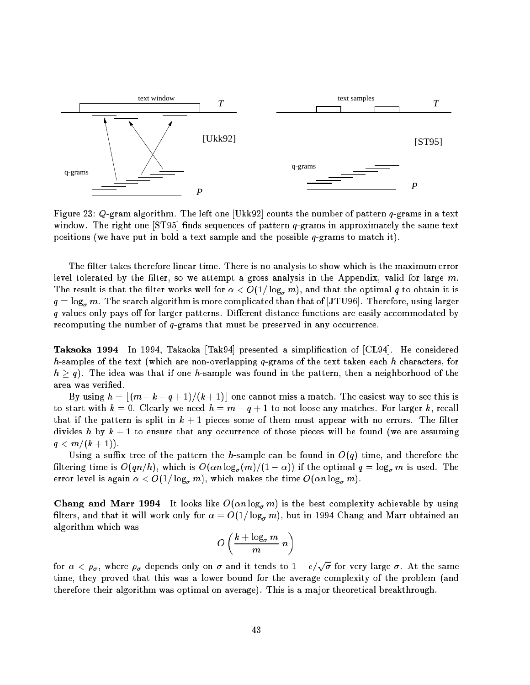

Figure 23:  $Q$ -gram algorithm. The left one [Ukk92] counts the number of pattern q-grams in a text window. The right one  $ST95$  finds sequences of pattern q-grams in approximately the same text positions (we have put in bold a text sample and the possible  $q$ -grams to match it).

The filter takes therefore linear time. There is no analysis to show which is the maximum error level tolerated by the filter, so we attempt a gross analysis in the Appendix, valid for large  $m$ . The result is that the filter works well for  $\alpha < O(1/\log_{\sigma} m)$ , and that the optimal q to obtain it is  $q = \log_{\theta} m$ . The search algorithm is more complicated than that of  $[1, 7, 1]$ . Therefore, using larger q values only pays o for larger patterns. Dierent distance functions are easily accommodated by recomputing the number of q-grams that must be preserved in any occurrence.

Takaoka 1994 In 1994, Takaoka [Tak94] presented a simplication of [CL94]. He considered h-samples of the text (which are non-overlapping  $q$ -grams of the text taken each h characters, for h q). The idea was that if one h-sample was found in the pattern, then a neighborhood of the area was verified.

By using  $h = \lfloor (m - k - q + 1)/(k + 1) \rfloor$  one cannot miss a match. The easiest way to see this is to start with  $k = 0$ . Clearly we need  $h = m - q + 1$  to not loose any matches. For larger k, recall that if the pattern is split in  $k+1$  pieces some of them must appear with no errors. The filter divides h by  $k + 1$  to ensure that any occurrence of those pieces will be found (we are assuming  $q < m/(k + 1)$ ).

Using a suffix tree of the pattern the h-sample can be found in  $O(q)$  time, and therefore the filtering time is  $O(qn/h)$ , which is  $O(\alpha n \log_{\alpha}(m)/(1 - \alpha))$  if the optimal  $q = \log_{\alpha} m$  is used. The error level is again  $\alpha < O(1/\log_\sigma m)$ , which makes the time  $O(\alpha n \log_\sigma m)$ .

**Chang and Marr 1994** It looks like  $O(\alpha n \log_{\alpha} m)$  is the best complexity achievable by using filters, and that it will work only for  $\alpha = O(1/\log_{\sigma} m)$ , but in 1994 Chang and Marr obtained an algorithm which was

$$
O\left(\frac{k+\log_\sigma m}{m}\ n\right)
$$

for  $\alpha < \rho_\sigma$ , where  $\rho_\sigma$  depends only on  $\sigma$  and it tends to  $1-e/\sqrt{\sigma}$  for very large  $\sigma$ . At the same time, they proved that this was a lower bound for the average complexity of the problem (and therefore their algorithm was optimal on average). This is a ma jor theoretical breakthrough.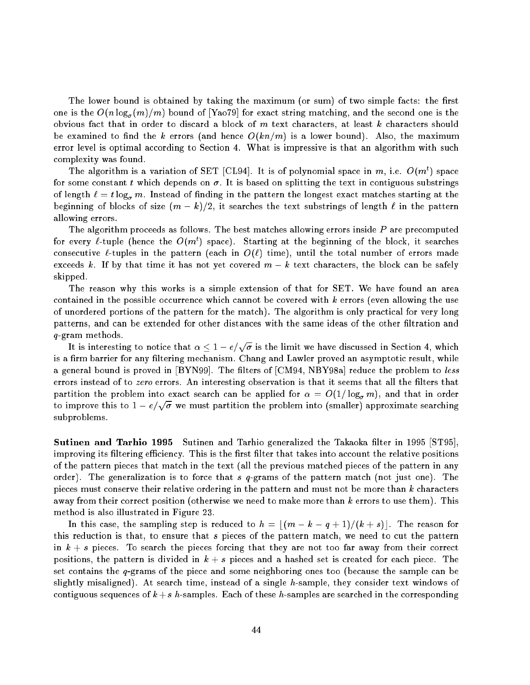The lower bound is obtained by taking the maximum (or sum) of two simple facts: the first one is the  $O(n \log_{\sigma}(m)/m)$  bound of [Yao79] for exact string matching, and the second one is the obvious fact that in order to discard a block of  $m$  text characters, at least  $k$  characters should be examined to find the k errors (and hence  $O(kn/m)$  is a lower bound). Also, the maximum error level is optimal according to Section 4. What is impressive is that an algorithm with such complexity was found.

The algorithm is a variation of SET  $\vert \text{CD94}\vert$ . It is of polynomial space in m, i.e.  $O(m^2)$  space for some constant t which depends on  $\sigma$ . It is based on splitting the text in contiguous substrings of length  $\ell = t \log_{\sigma} m$ . Instead of finding in the pattern the longest exact matches starting at the beginning of blocks of size  $(m-k)/2$ , it searches the text substrings of length  $\ell$  in the pattern allowing errors.

The algorithm proceeds as follows. The best matches allowing errors inside P are precomputed for every  $\ell$ -tuple (nence the  $O(m_+)$  space). Starting at the beginning of the block, it searches consecutive l-tuples in the pattern (each in  $O(\ell)$  time), until the total number of errors made exceeds k. If by that time it has not yet covered  $m - k$  text characters, the block can be safely skipped.

The reason why this works is a simple extension of that for SET. We have found an area contained in the possible occurrence which cannot be covered with  $k$  errors (even allowing the use of unordered portions of the pattern for the match). The algorithm is only practical for very long patterns, and can be extended for other distances with the same ideas of the other filtration and  $q$ -gram methods.

It is interesting to notice that  $\alpha < 1 - e/\sqrt{\sigma}$  is the limit we have discussed in Section 4, which is a firm barrier for any filtering mechanism. Chang and Lawler proved an asymptotic result, while a general bound is proved in [BYN99]. The filters of [CM94, NBY98a] reduce the problem to less errors instead of to zero errors. An interesting observation is that it seems that all the filters that partition the problem into exact search can be applied for  $\alpha = O(1/\log_{\sigma} m)$ , and that in order to improve this to  $1-e/\sqrt{\sigma}$  we must partition the problem into (smaller) approximate searching subproblems.

**Sutinen and Tarhio 1995** Sutinen and Tarhio generalized the Takaoka filter in 1995 [ST95], improving its filtering efficiency. This is the first filter that takes into account the relative positions of the pattern pieces that match in the text (all the previous matched pieces of the pattern in any order). The generalization is to force that s q-grams of the pattern match (not just one). The pieces must conserve their relative ordering in the pattern and must not be more than  $k$  characters away from their correct position (otherwise we need to make more than k errors to use them). This method is also illustrated in Figure 23.

In this case, the sampling step is reduced to  $h = \lfloor (m - k - q + 1)/(k + s) \rfloor$ . The reason for this reduction is that, to ensure that  $s$  pieces of the pattern match, we need to cut the pattern in  $k + s$  pieces. To search the pieces forcing that they are not too far away from their correct positions, the pattern is divided in  $k + s$  pieces and a hashed set is created for each piece. The set contains the q-grams of the piece and some neighboring ones too (because the sample can be slightly misaligned). At search time, instead of a single  $h$ -sample, they consider text windows of contiguous sequences of  $k + s$  h-samples. Each of these h-samples are searched in the corresponding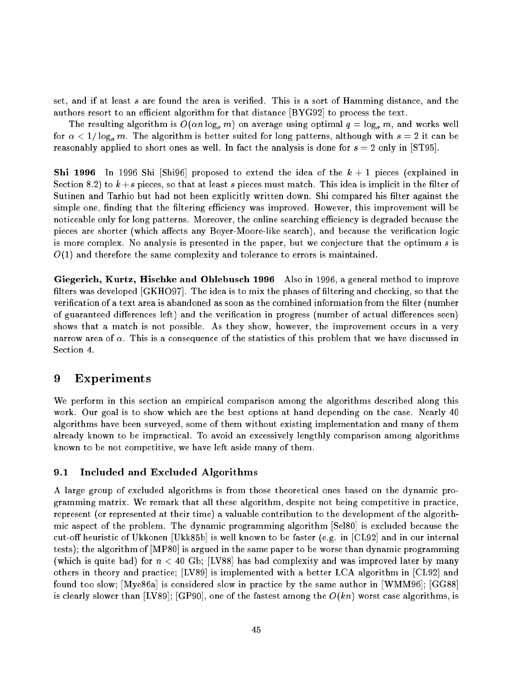set, and if at least s are found the area is verified. This is a sort of Hamming distance, and the authors resort to an efficient algorithm for that distance  $[BYG92]$  to process the text.

The resulting algorithm is  $O(\alpha n \log_{\sigma} m)$  on average using optimal  $q = \log_{\sigma} m$ , and works well for  $\alpha < 1/\log_{\sigma} m$ . The algorithm is better suited for long patterns, although with  $s = 2$  it can be reasonably applied to short ones as well. In fact the analysis is done for  $s = 2$  only in [ST95].

**Shi 1996** In 1996 Shi [Shi96] proposed to extend the idea of the  $k + 1$  pieces (explained in Section 8.2) to  $k+s$  pieces, so that at least s pieces must match. This idea is implicit in the filter of Sutinen and Tarhio but had not been explicitly written down. Shi compared his filter against the simple one, finding that the filtering efficiency was improved. However, this improvement will be noticeable only for long patterns. Moreover, the online searching efficiency is degraded because the pieces are shorter (which affects any Boyer-Moore-like search), and because the verification logic is more complex. No analysis is presented in the paper, but we conjecture that the optimum  $s$  is  $O(1)$  and therefore the same complexity and tolerance to errors is maintained.

Giegerich, Kurtz, Hischke and Ohlebusch 1996 Also in 1996, a general method to improve filters was developed  $[GKHO97]$ . The idea is to mix the phases of filtering and checking, so that the verification of a text area is abandoned as soon as the combined information from the filter (number of guaranteed differences left) and the verification in progress (number of actual differences seen) shows that a match is not possible. As they show, however, the improvement occurs in a very narrow area of  $\alpha$ . This is a consequence of the statistics of this problem that we have discussed in Section 4.

# 9 Experiments

We perform in this section an empirical comparison among the algorithms described along this work. Our goal is to show which are the best options at hand depending on the case. Nearly 40 algorithms have been surveyed, some of them without existing implementation and many of them already known to be impractical. To avoid an excessively lengthly comparison among algorithms known to be not competitive, we have left aside many of them.

#### $9.1$ 9.1 Included and Excluded Algorithms

A large group of excluded algorithms is from those theoretical ones based on the dynamic programming matrix. We remark that all these algorithm, despite not being competitive in practice, represent (or represented at their time) a valuable contribution to the development of the algorithmic aspect of the problem. The dynamic programming algorithm [Sel80] is excluded because the cut-off heuristic of Ukkonen [Ukk85b] is well known to be faster (e.g. in [CL92] and in our internal tests); the algorithm of [MP80] is argued in the same paper to be worse than dynamic programming (which is quite bad) for  $n < 40$  Gb; [LV88] has bad complexity and was improved later by many others in theory and practice; [LV89] is implemented with a better LCA algorithm in [CL92] and found too slow; [Mye86a] is considered slow in practice by the same author in [WMM96]; [GG88] is clearly slower than [LV89]; [GP90], one of the fastest among the  $O(kn)$  worst case algorithms, is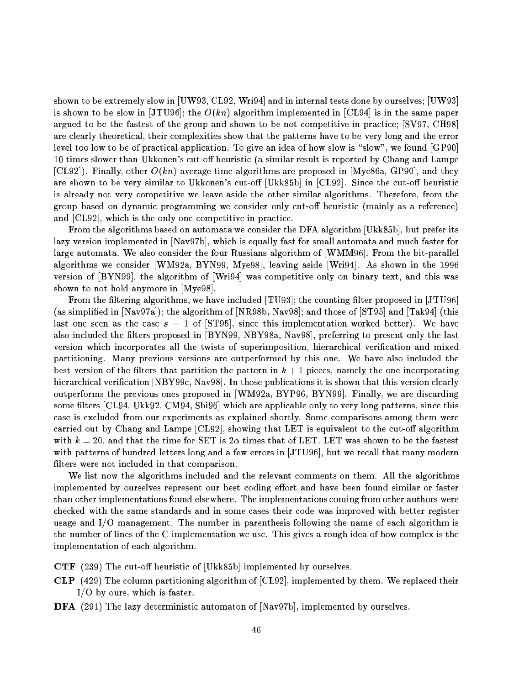shown to be extremely slow in [UW93, CL92, Wri94] and in internal tests done by ourselves; [UW93] is shown to be slow in [JTU96]; the  $O(kn)$  algorithm implemented in [CL94] is in the same paper argued to be the fastest of the group and shown to be not competitive in practice; [SV97, CH98] are clearly theoretical, their complexities show that the patterns have to be very long and the error level too low to be of practical application. To give an idea of how slow is "slow", we found [GP90] 10 times slower than Ukkonen's cut-off heuristic (a similar result is reported by Chang and Lampe  $[CL92]$ . Finally, other  $O(kn)$  average time algorithms are proposed in [Mye86a, GP90], and they are shown to be very similar to Ukkonen's cut-off  $[Ukk85b]$  in  $[CL92]$ . Since the cut-off heuristic is already not very competitive we leave aside the other similar algorithms. Therefore, from the group based on dynamic programming we consider only cut-off heuristic (mainly as a reference) and [CL92], which is the only one competitive in practice.

From the algorithms based on automata we consider the DFA algorithm [Ukk85b], but prefer its lazy version implemented in [Nav97b], which is equally fast for small automata and much faster for large automata. We also consider the four Russians algorithm of [WMM96]. From the bit-parallel algorithms we consider [WM92a, BYN99, Mye98], leaving aside [Wri94]. As shown in the 1996 version of [BYN99], the algorithm of [Wri94] was competitive only on binary text, and this was shown to not hold anymore in [Mye98].

From the filtering algorithms, we have included  $[TU93]$ ; the counting filter proposed in [JTU96] (as simplied in [Nav97a]); the algorithm of [NR98b, Nav98]; and those of [ST95] and [Tak94] (this last one seen as the case  $s = 1$  of [ST95], since this implementation worked better). We have also included the filters proposed in [BYN99, NBY98a, Nav98], preferring to present only the last version which incorporates all the twists of superimposition, hierarchical verification and mixed partitioning. Many previous versions are outperformed by this one. We have also included the best version of the filters that partition the pattern in  $k+1$  pieces, namely the one incorporating hierarchical verification [NBY99c, Nav98]. In those publications it is shown that this version clearly outperforms the previous ones proposed in [WM92a, BYP96, BYN99]. Finally, we are discarding some filters [CL94, Ukk92, CM94, Shi96] which are applicable only to very long patterns, since this case is excluded from our experiments as explained shortly. Some comparisons among them were carried out by Chang and Lampe  $\vert$  CL92 $\vert$ , showing that LET is equivalent to the cut-off algorithm with  $k = 20$ , and that the time for SET is  $2\alpha$  times that of LET. LET was shown to be the fastest with patterns of hundred letters long and a few errors in [JTU96], but we recall that many modern filters were not included in that comparison.

We list now the algorithms included and the relevant comments on them. All the algorithms implemented by ourselves represent our best coding effort and have been found similar or faster than other implementations found elsewhere. The implementations coming from other authors were checked with the same standards and in some cases their code was improved with better register usage and I/O management. The number in parenthesis following the name of each algorithm is the number of lines of the C implementation we use. This gives a rough idea of how complex is the implementation of each algorithm.

- CTF  $(239)$  The cut-off heuristic of [Ukk85b] implemented by ourselves.
- **CLP** (429) The column partitioning algorithm of [CL92], implemented by them. We replaced their I/O by ours, which is faster.
- **DFA** (291) The lazy deterministic automaton of [Nav97b], implemented by ourselves.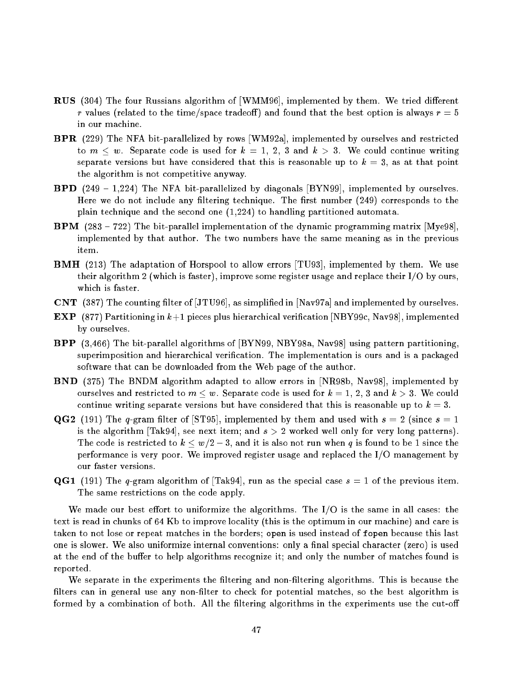- ${\bf RUS}$  (304) The four Russians algorithm of [WMM96], implemented by them. We tried different r values (related to the time/space tradeo ) and found that the best option is always <sup>r</sup> = 5 in our machine.
- $\bf{BPR}$  (229) The NFA bit-parallelized by rows  $\lceil\text{WM92a}\rceil$ , implemented by ourselves and restricted to  $m \leq w$ . Separate code is used for  $k = 1, 2, 3$  and  $k > 3$ . We could continue writing separate versions but have considered that this is reasonable up to  $k = 3$ , as at that point the algorithm is not competitive anyway.
- **BPD**  $(249 1,224)$  The NFA bit-parallelized by diagonals [BYN99], implemented by ourselves. Here we do not include any filtering technique. The first number  $(249)$  corresponds to the plain technique and the second one (1,224) to handling partitioned automata.
- **BPM**  $(283 722)$  The bit-parallel implementation of the dynamic programming matrix  $[Mye98]$ . implemented by that author. The two numbers have the same meaning as in the previous item.
- **BMH** (213) The adaptation of Horspool to allow errors [TU93], implemented by them. We use their algorithm 2 (which is faster), improve some register usage and replace their I/O by ours, which is faster.
- $\textbf{CNT}$  (387) The counting filter of [JTU96], as simplified in [Nav97a] and implemented by ourselves.
- **EXP** (877) Partitioning in  $k+1$  pieces plus hierarchical verification [NBY99c, Nav98], implemented by ourselves.
- BPP (3,466) The bit-parallel algorithms of [BYN99, NBY98a, Nav98] using pattern partitioning, superimposition and hierarchical verification. The implementation is ours and is a packaged software that can be downloaded from the Web page of the author.
- BND (375) The BNDM algorithm adapted to allow errors in [NR98b, Nav98], implemented by ourselves and restricted to  $m \leq w$ . Separate code is used for  $k = 1, 2, 3$  and  $k > 3$ . We could continue writing separate versions but have considered that this is reasonable up to  $k = 3$ .
- **QG2** (191) The g-gram filter of [ST95], implemented by them and used with  $s = 2$  (since  $s = 1$ ) is the algorithm [Tak94], see next item; and  $s > 2$  worked well only for very long patterns). The code is restricted to  $k < w/2 - 3,$  and it is also not run when  $q$  is found to be 1 since the performance is very poor. We improved register usage and replaced the I/O management by our faster versions.
- **QG1** (191) The q-gram algorithm of [Tak94], run as the special case  $s = 1$  of the previous item. The same restrictions on the code apply.

We made our best effort to uniformize the algorithms. The  $I/O$  is the same in all cases: the text is read in chunks of 64 Kb to improve locality (this is the optimum in our machine) and care is taken to not lose or repeat matches in the borders; open is used instead of fopen because this last one is slower. We also uniformize internal conventions: only a final special character (zero) is used at the end of the buffer to help algorithms recognize it; and only the number of matches found is reported.

We separate in the experiments the filtering and non-filtering algorithms. This is because the filters can in general use any non-filter to check for potential matches, so the best algorithm is formed by a combination of both. All the filtering algorithms in the experiments use the cut-off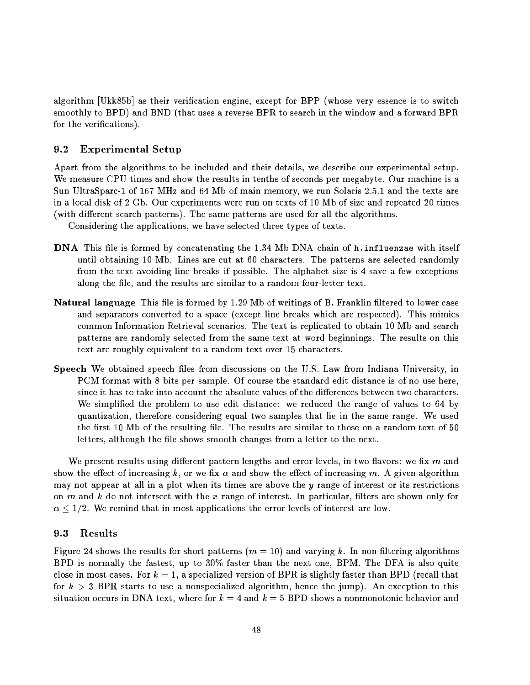algorithm [Ukk85b] as their verication engine, except for BPP (whose very essence is to switch smoothly to BPD) and BND (that uses a reverse BPR to search in the window and a forward BPR for the verifications).

# 9.2 Experimental Setup

Apart from the algorithms to be included and their details, we describe our experimental setup. We measure CPU times and show the results in tenths of seconds per megabyte. Our machine is a Sun UltraSparc-1 of 167 MHz and 64 Mb of main memory, we run Solaris 2.5.1 and the texts are in a local disk of 2 Gb. Our experiments were run on texts of 10 Mb of size and repeated 20 times (with different search patterns). The same patterns are used for all the algorithms.

Considering the applications, we have selected three types of texts.

- **DNA** This file is formed by concatenating the 1.34 Mb DNA chain of h.influenzae with itself until obtaining 10 Mb. Lines are cut at 60 characters. The patterns are selected randomly from the text avoiding line breaks if possible. The alphabet size is 4 save a few exceptions along the file, and the results are similar to a random four-letter text.
- $\bm{\mathrm{Natural\; language\; This\; file\; is\; formed\; by\;} 1.29\; Mb\; of\; writings\; of\; B.\; Franklin\; filtered\; to\; lower\; case}$ and separators converted to a space (except line breaks which are respected). This mimics common Information Retrieval scenarios. The text is replicated to obtain 10 Mb and search patterns are randomly selected from the same text at word beginnings. The results on this text are roughly equivalent to a random text over 15 characters.
- Speech We obtained speech files from discussions on the U.S. Law from Indiana University, in PCM format with 8 bits per sample. Of course the standard edit distance is of no use here, since it has to take into account the absolute values of the differences between two characters. We simplified the problem to use edit distance: we reduced the range of values to 64 by quantization, therefore considering equal two samples that lie in the same range. We used the first 10 Mb of the resulting file. The results are similar to those on a random text of 50 letters, although the file shows smooth changes from a letter to the next.

We present results using different pattern lengths and error levels, in two flavors: we fix  $m$  and show the effect of increasing k, or we fix  $\alpha$  and show the effect of increasing m. A given algorithm may not appear at all in a plot when its times are above the <sup>y</sup> range of interest or its restrictions on  $m$  and  $k$  do not intersect with the  $x$  range of interest. In particular, filters are shown only for 1=2. We remind that in most applications the error levels of interest are low.

## 9.3 Results

Figure 24 shows the results for short patterns  $(m = 10)$  and varying k. In non-filtering algorithms BPD is normally the fastest, up to 30% faster than the next one, BPM. The DFA is also quite close in most cases. For  $k = 1$ , a specialized version of BPR is slightly faster than BPD (recall that for  $k > 3$  BPR starts to use a nonspecialized algorithm, hence the jump). An exception to this situation occurs in DNA text, where for  $k = 4$  and  $k = 5$  BPD shows a nonmonotonic behavior and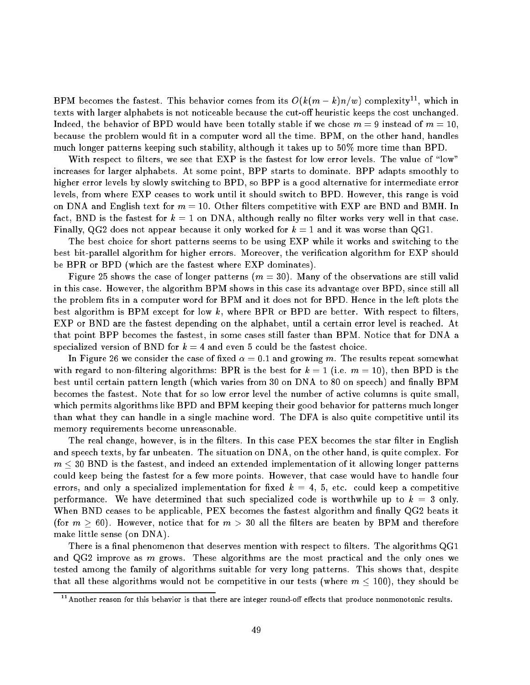BPM becomes the fastest. This behavior comes from its  $O(k(m-k)n/w)$  complexity<sup>11</sup>, which in texts with larger alphabets is not noticeable because the cut-off heuristic keeps the cost unchanged. Indeed, the behavior of BPD would have been totally stable if we chose  $m = 9$  instead of  $m = 10$ , because the problem would fit in a computer word all the time. BPM, on the other hand, handles much longer patterns keeping such stability, although it takes up to 50% more time than BPD.

With respect to filters, we see that EXP is the fastest for low error levels. The value of "low" increases for larger alphabets. At some point, BPP starts to dominate. BPP adapts smoothly to higher error levels by slowly switching to BPD, so BPP is a good alternative for intermediate error levels, from where EXP ceases to work until it should switch to BPD. However, this range is void on DNA and English text for  $m = 10$ . Other filters competitive with EXP are BND and BMH. In fact, BND is the fastest for  $k = 1$  on DNA, although really no filter works very well in that case. Finally, QG2 does not appear because it only worked for  $k = 1$  and it was worse than QG1.

The best choice for short patterns seems to be using EXP while it works and switching to the best bit-parallel algorithm for higher errors. Moreover, the verication algorithm for EXP should be BPR or BPD (which are the fastest where EXP dominates).

Figure 25 shows the case of longer patterns  $(m = 30)$ . Many of the observations are still valid in this case. However, the algorithm BPM shows in this case its advantage over BPD, since still all the problem fits in a computer word for BPM and it does not for BPD. Hence in the left plots the best algorithm is BPM except for low  $k$ , where BPR or BPD are better. With respect to filters, EXP or BND are the fastest depending on the alphabet, until a certain error level is reached. At that point BPP becomes the fastest, in some cases still faster than BPM. Notice that for DNA a specialized version of BND for  $k = 4$  and even 5 could be the fastest choice.

In Figure 26 we consider the case of fixed  $\alpha = 0.1$  and growing m. The results repeat somewhat with regard to non-filtering algorithms: BPR is the best for  $k = 1$  (i.e.  $m = 10$ ), then BPD is the best until certain pattern length (which varies from 30 on DNA to 80 on speech) and finally BPM becomes the fastest. Note that for so low error level the number of active columns is quite small, which permits algorithms like BPD and BPM keeping their good behavior for patterns much longer than what they can handle in a single machine word. The DFA is also quite competitive until its memory requirements become unreasonable.

The real change, however, is in the filters. In this case PEX becomes the star filter in English and speech texts, by far unbeaten. The situation on DNA, on the other hand, is quite complex. For m and best fasterns in the fastest, and indeed an extended implementation of it allowing longer patterns could keep being the fastest for a few more points. However, that case would have to handle four errors, and only a specialized implementation for fixed  $k = 4, 5$ , etc. could keep a competitive performance. We have determined that such specialized code is worthwhile up to  $k = 3$  only. When BND ceases to be applicable,  $PEX$  becomes the fastest algorithm and finally  $QG2$  beats it (for  $m \geq 60$ ). However, notice that for  $m > 30$  all the filters are beaten by BPM and therefore make little sense (on DNA).

There is a final phenomenon that deserves mention with respect to filters. The algorithms  $QG1$ and  $QG2$  improve as  $m$  grows. These algorithms are the most practical and the only ones we tested among the family of algorithms suitable for very long patterns. This shows that, despite that all these algorithms would not be competitive in our tests (where  $m < 100$ ), they should be

 $11$  Another reason for this behavior is that there are integer round-off effects that produce nonmonotonic results.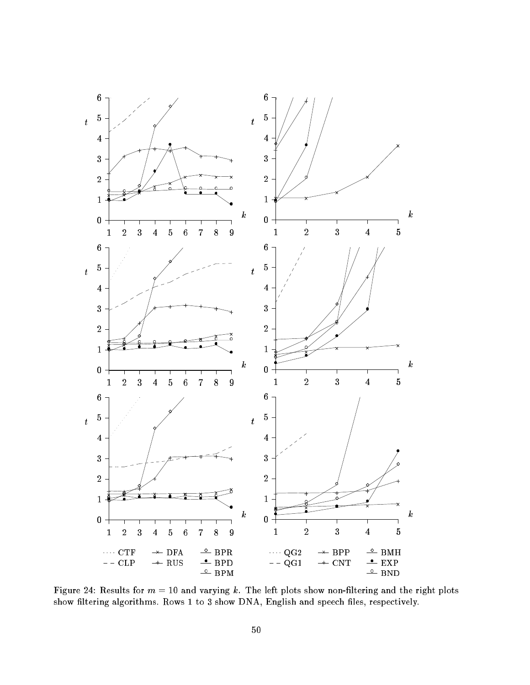

Figure 24: Results for  $m = 10$  and varying k. The left plots show non-filtering and the right plots show filtering algorithms. Rows 1 to 3 show DNA, English and speech files, respectively.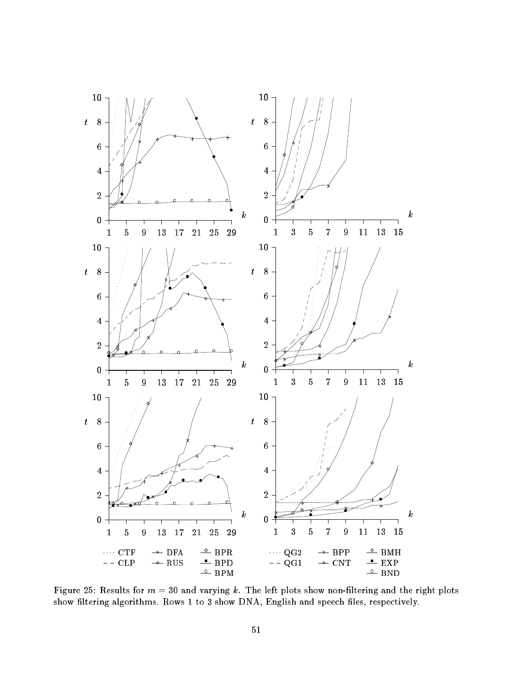

Figure 25: Results for  $m = 30$  and varying k. The left plots show non-filtering and the right plots show filtering algorithms. Rows 1 to 3 show DNA, English and speech files, respectively.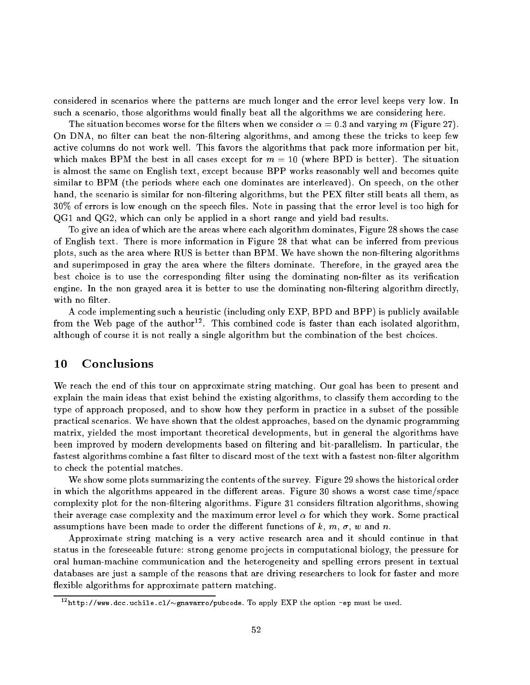considered in scenarios where the patterns are much longer and the error level keeps very low. In such a scenario, those algorithms would finally beat all the algorithms we are considering here.

The situation becomes worse for the filters when we consider  $\alpha = 0.3$  and varying m (Figure 27). On DNA, no filter can beat the non-filtering algorithms, and among these the tricks to keep few active columns do not work well. This favors the algorithms that pack more information per bit, which makes BPM the best in all cases except for  $m = 10$  (where BPD is better). The situation is almost the same on English text, except because BPP works reasonably well and becomes quite similar to BPM (the periods where each one dominates are interleaved). On speech, on the other hand, the scenario is similar for non-filtering algorithms, but the PEX filter still beats all them, as 30% of errors is low enough on the speech les. Note in passing that the error level is too high for QG1 and QG2, which can only be applied in a short range and yield bad results.

To give an idea of which are the areas where each algorithm dominates, Figure 28 shows the case of English text. There is more information in Figure 28 that what can be inferred from previous plots, such as the area where RUS is better than BPM. We have shown the non-filtering algorithms and superimposed in gray the area where the filters dominate. Therefore, in the grayed area the best choice is to use the corresponding filter using the dominating non-filter as its verification engine. In the non grayed area it is better to use the dominating non-filtering algorithm directly, with no filter.

A code implementing such a heuristic (including only EXP, BPD and BPP) is publicly available from the Web page of the author $\,$  . This combined code is faster than each isolated algorithm, although of course it is not really a single algorithm but the combination of the best choices.

# 10 Conclusions

We reach the end of this tour on approximate string matching. Our goal has been to present and explain the main ideas that exist behind the existing algorithms, to classify them according to the type of approach proposed, and to show how they perform in practice in a subset of the possible practical scenarios. We have shown that the oldest approaches, based on the dynamic programming matrix, yielded the most important theoretical developments, but in general the algorithms have been improved by modern developments based on filtering and bit-parallelism. In particular, the fastest algorithms combine a fast filter to discard most of the text with a fastest non-filter algorithm to check the potential matches.

We show some plots summarizing the contents of the survey. Figure 29 shows the historical order in which the algorithms appeared in the different areas. Figure 30 shows a worst case time/space complexity plot for the non-filtering algorithms. Figure 31 considers filtration algorithms, showing their average case complexity and the maximum error level  $\alpha$  for which they work. Some practical assumptions have been made to order the different functions of k, m,  $\sigma$ , w and n.

Approximate string matching is a very active research area and it should continue in that status in the foreseeable future: strong genome projects in computational biology, the pressure for oral human-machine communication and the heterogeneity and spelling errors present in textual databases are just a sample of the reasons that are driving researchers to look for faster and more flexible algorithms for approximate pattern matching.

 $12$ http://www.dcc.uchile.cl/~gnavarro/pubcode. To apply EXP the option -ep must be used.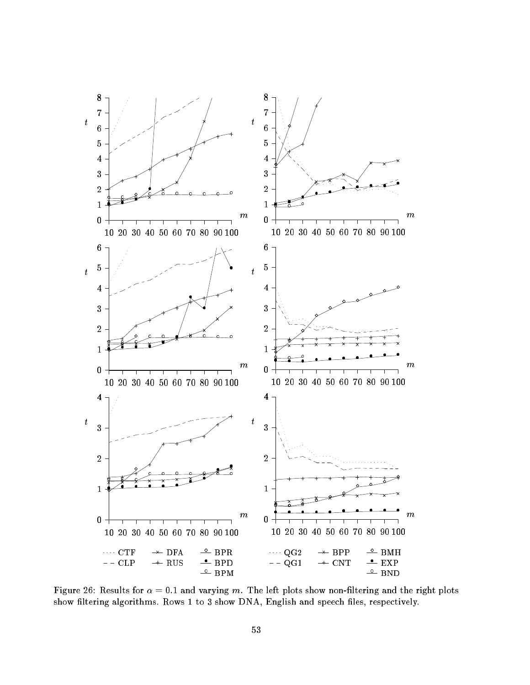

Figure 26: Results for  $\alpha = 0.1$  and varying m. The left plots show non-filtering and the right plots show filtering algorithms. Rows 1 to 3 show DNA, English and speech files, respectively.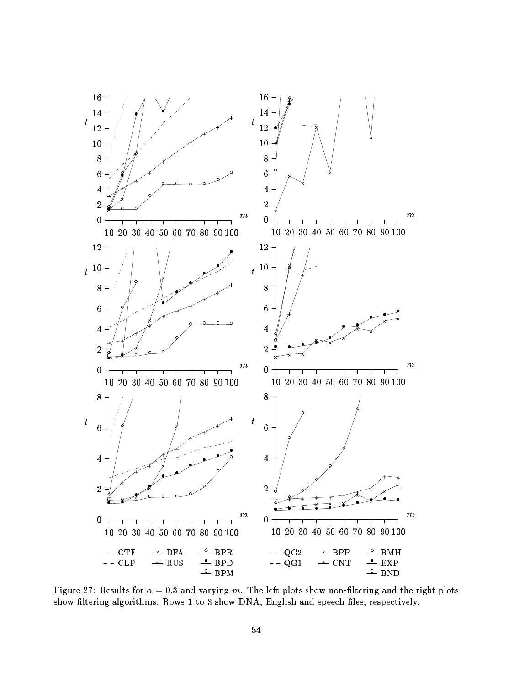

Figure 27: Results for  $\alpha = 0.3$  and varying m. The left plots show non-filtering and the right plots show filtering algorithms. Rows 1 to 3 show DNA, English and speech files, respectively.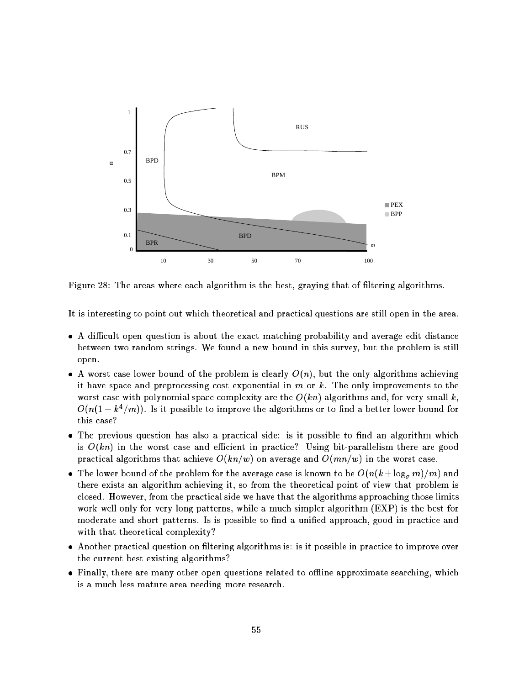

Figure 28: The areas where each algorithm is the best, graying that of filtering algorithms.

It is interesting to point out which theoretical and practical questions are still open in the area.

- A dicult open question is about the exact matching probability and average edit distance between two random strings. We found a new bound in this survey, but the problem is still open.
- A worst case lower bound of the problem is clearly O(n), but the only algorithms achieving it have space and preprocessing cost exponential in  $m$  or  $k$ . The only improvements to the worst case with polynomial space complexity are the  $O(kn)$  algorithms and, for very small k,  $O(n(1 + k^2/m))$ . Is it possible to improve the algorithms or to find a better lower bound for this case?
- The previous question has also a practical side: is it possible to nd an algorithm which is  $O(kn)$  in the worst case and efficient in practice? Using bit-parallelism there are good practical algorithms that achieve  $O(kn/w)$  on average and  $O(mn/w)$  in the worst case.
- The lower bound of the problem for the average case is known to be  $\binom{n}{k+1}$  and  $\binom{m}{k+1}$  and there exists an algorithm achieving it, so from the theoretical point of view that problem is closed. However, from the practical side we have that the algorithms approaching those limits work well only for very long patterns, while a much simpler algorithm (EXP) is the best for moderate and short patterns. Is is possible to find a unified approach, good in practice and with that theoretical complexity?
- Another practical question on ltering algorithms is: is it possible in practice to improve over the current best existing algorithms?
- Finally, there are many other open questions related to oine approximate searching, which is a much less mature area needing more research.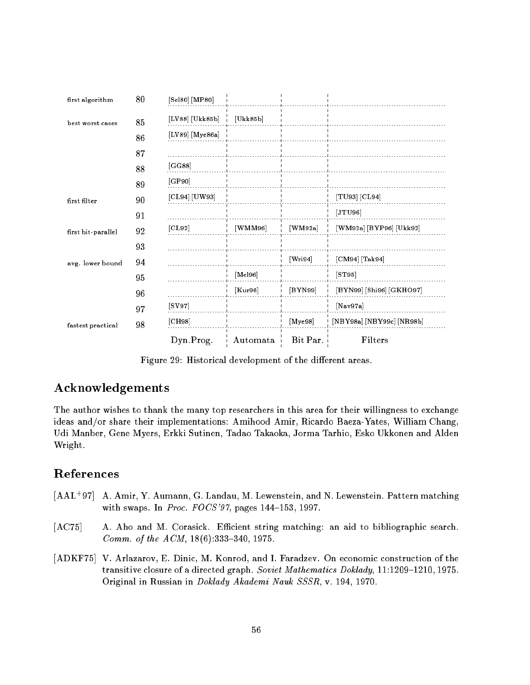|                    |    | Dyn.Prog.                 | Automata | Bit Par.         | Filters                   |
|--------------------|----|---------------------------|----------|------------------|---------------------------|
| fastest practical  | 98 | $[{\rm CH}98]$            |          | [Mye98]          | [NBY98a] [NBY99c] [NR98b] |
|                    | 97 | [SV97]                    |          |                  | [Na v 97a]                |
|                    | 96 |                           | [Kur96]  | [BYN99]          | [BYN99] [Shi96] [GKHO97]  |
|                    | 95 |                           | [Mel96]  |                  | [ST95]                    |
| avg. lower bound   | 94 |                           |          | $ \text{Wri94} $ | $[CM94]$ $[Take94]$       |
|                    | 93 |                           |          |                  |                           |
| first bit-parallel | 92 | $\left[{\rm CL92}\right]$ | [WMM96]  | [WM92a]          | [WM92a] [BYP96] [Ukk92]   |
|                    | 91 |                           |          |                  | [JTU96]                   |
| first filter       | 90 | $[CL94]$ $[UW93]$         |          |                  | $[TU93]$ [CL94]           |
|                    | 89 | [GP90]                    |          |                  |                           |
|                    | 88 | [GG88]                    |          |                  |                           |
|                    | 87 |                           |          |                  |                           |
|                    | 86 | $[LV89]$ [Mye86a]         |          |                  |                           |
| best worst cases   | 85 | [UV88] [Ukk85b]           | [Ukk85b] |                  |                           |
| first algorithm    | 80 | [Sel80] [MP80]            |          |                  |                           |

Figure 29: Historical development of the different areas.

# Acknowledgements

The author wishes to thank the many top researchers in this area for their willingness to exchange ideas and/or share their implementations: Amihood Amir, Ricardo Baeza-Yates, William Chang, Udi Manber, Gene Myers, Erkki Sutinen, Tadao Takaoka, Jorma Tarhio, Esko Ukkonen and Alden Wright.

# References

- ${\rm [AAL+97]}$   ${\rm [A. AIIIII, I. AIIIIII, G. Lauudau, M. Lewenstein, and N. Lewenstein. Fauterin inducting]}$ with swaps. In Proc. FOCS'97, pages  $144-153$ , 1997.
- [AC75] A. Aho and M. Corasick. Efficient string matching: an aid to bibliographic search. Comm. of the  $ACM$ ,  $18(6):333-340$ , 1975.
- [ADKF75] V. Arlazarov, E. Dinic, M. Konrod, and I. Faradzev. On economic construction of the transitive closure of a directed graph. Soviet Mathematics Doklady, 11:1209-1210, 1975. Original in Russian in Doklady Akademi Nauk SSSR, v. 194, 1970.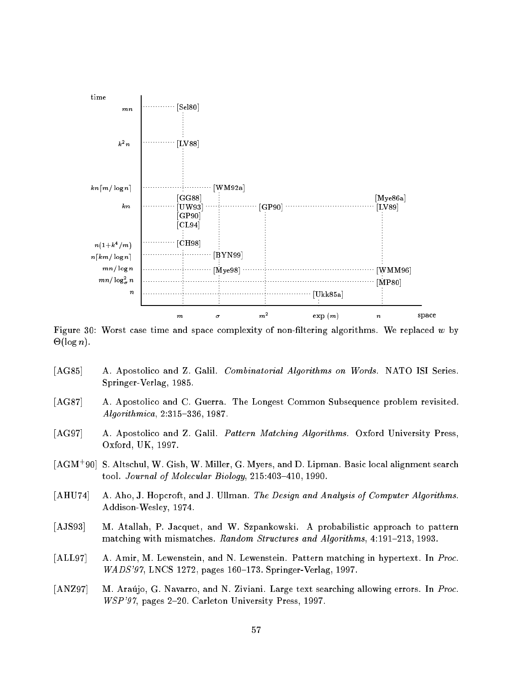

Figure 30: Worst case time and space complexity of non-filtering algorithms. We replaced  $w$  by -(log n).

- [AG85] A. Apostolico and Z. Galil. Combinatorial Algorithms on Words. NATO ISI Series. Springer-Verlag, 1985.
- [AG87] A. Apostolico and C. Guerra. The Longest Common Subsequence problem revisited.  $Algorithmica, 2:315–336, 1987.$
- [AG97] A. Apostolico and Z. Galil. Pattern Matching Algorithms. Oxford University Press, Oxford, UK, 1997.
- [AGM+ 90] S. Altschul, W. Gish, W. Miller, G. Myers, and D. Lipman. Basic local alignment search tool. Journal of Molecular Biology,  $215:403-410$ , 1990.
- [AHU74] A. Aho, J. Hopcroft, and J. Ullman. The Design and Analysis of Computer Algorithms. Addison-Wesley, 1974.
- [AJS93] M. Atallah, P. Jacquet, and W. Szpankowski. A probabilistic approach to pattern matching with mismatches. Random Structures and Algorithms, 4:191-213, 1993.
- [ALL97] A. Amir, M. Lewenstein, and N. Lewenstein. Pattern matching in hypertext. In Proc. WADS'97, LNCS 1272, pages 160-173. Springer-Verlag, 1997.
- [ANZ97] M. Araújo, G. Navarro, and N. Ziviani. Large text searching allowing errors. In Proc. WSP'97, pages 2-20. Carleton University Press, 1997.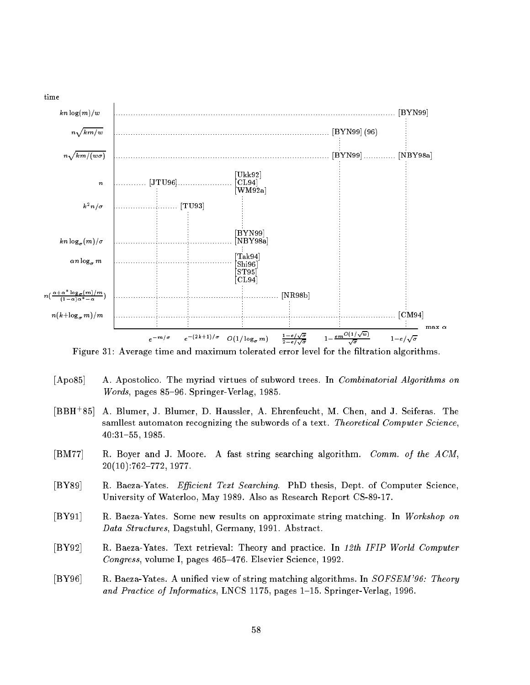

Figure 31: Average time and maximum tolerated error level for the filtration algorithms.

- [Apo85] A. Apostolico. The myriad virtues of subword trees. In *Combinatorial Algorithms on* Words, pages 85-96. Springer-Verlag, 1985.
- $[BBH+85]$ 85] A. Blumer, J. Blumer, D. Haussler, A. Ehrenfeucht, M. Chen, and J. Seiferas. The samllest automaton recognizing the subwords of a text. Theoretical Computer Science,  $40:31{-}55, 1985.$
- [BM77] R. Boyer and J. Moore. A fast string searching algorithm. Comm. of the ACM,  $20(10):762{-}772,1977.$
- [BY89] R. Baeza-Yates. Efficient Text Searching. PhD thesis, Dept. of Computer Science, University of Waterloo, May 1989. Also as Research Report CS-89-17.
- [BY91] R. Baeza-Yates. Some new results on approximate string matching. In Workshop on Data Structures, Dagstuhl, Germany, 1991. Abstract.
- [BY92] R. Baeza-Yates. Text retrieval: Theory and practice. In 12th IFIP World Computer Congress, volume I, pages 465-476. Elsevier Science, 1992.
- [BY96] R. Baeza-Yates. A unified view of string matching algorithms. In SOFSEM'96: Theory and Practice of Informatics, LNCS 1175, pages 1-15. Springer-Verlag, 1996.

58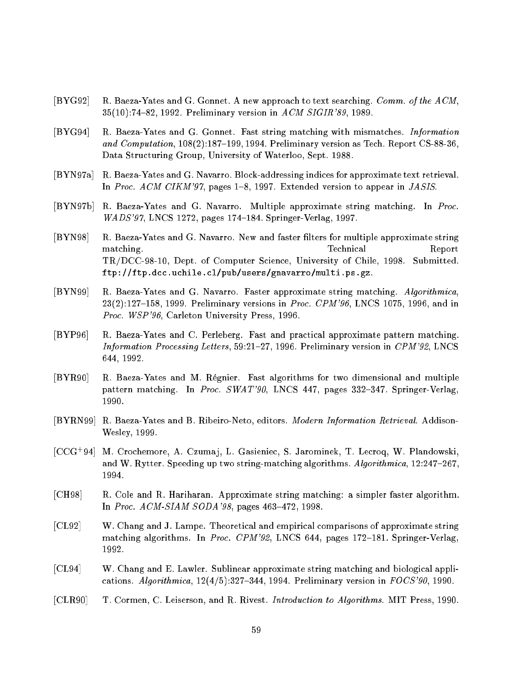- [BYG92] R. Baeza-Yates and G. Gonnet. A new approach to text searching. Comm. of the ACM,  $35(10):74{-}82, 1992.$  Preliminary version in  $ACM$   $SIGIR'89, 1989.$
- [BYG94] R. Baeza-Yates and G. Gonnet. Fast string matching with mismatches. Information and Computation,  $108(2)$ :187-199, 1994. Preliminary version as Tech. Report CS-88-36, Data Structuring Group, University of Waterloo, Sept. 1988.
- [BYN97a] R. Baeza-Yates and G. Navarro. Block-addressing indices for approximate text retrieval. In Proc. ACM CIKM'97, pages 1-8, 1997. Extended version to appear in JASIS.
- [BYN97b] R. Baeza-Yates and G. Navarro. Multiple approximate string matching. In Proc. WADS'97, LNCS 1272, pages 174-184. Springer-Verlag, 1997.
- [BYN98] R. Baeza-Yates and G. Navarro. New and faster lters for multiple approximate string matching. Technical matching. Technical Report TR/DCC-98-10, Dept. of Computer Science, University of Chile, 1998. Submitted. ftp://ftp.dcc.uchile.cl/pub/users/gnavarro/multi.ps.gz.
- [BYN99] R. Baeza-Yates and G. Navarro. Faster approximate string matching. Algorithmica,  $23(2)$ :127-158, 1999. Preliminary versions in *Proc. CPM'96*, LNCS 1075, 1996, and in Proc. WSP'96, Carleton University Press, 1996.
- [BYP96] R. Baeza-Yates and C. Perleberg. Fast and practical approximate pattern matching. Information Processing Letters, 59:21-27, 1996. Preliminary version in CPM'92, LNCS 644, 1992.
- [BYR90] R. Baeza-Yates and M. Regnier. Fast algorithms for two dimensional and multiple pattern matching. In Proc.  $SWAT'90$ , LNCS 447, pages 332-347. Springer-Verlag, 1990.
- [BYRN99] R. Baeza-Yates and B. Ribeiro-Neto, editors. Modern Information Retrieval. Addison-Wesley, 1999.
- $[CCG+94]$ M. Crochemore, A. Czumaj, L. Gasieniec, S. Jarominek, T. Lecroq, W. Plandowski. and W. Rytter. Speeding up two string-matching algorithms. Algorithmica,  $12:247-267$ , 1994.
- [CH98] R. Cole and R. Hariharan. Approximate string matching: a simpler faster algorithm. In Proc.  $ACM-SIAM SODA'98$ , pages 463-472, 1998.
- [CL92] W. Chang and J. Lampe. Theoretical and empirical comparisons of approximate string matching algorithms. In Proc. CPM'92, LNCS 644, pages 172-181. Springer-Verlag, 1992.
- [CL94] W. Chang and E. Lawler. Sublinear approximate string matching and biological applications. Algorithmica,  $12(4/5):327{-}344$ , 1994. Preliminary version in  $FOCS'90$ , 1990.
- [CLR90] T. Cormen, C. Leiserson, and R. Rivest. Introduction to Algorithms. MIT Press, 1990.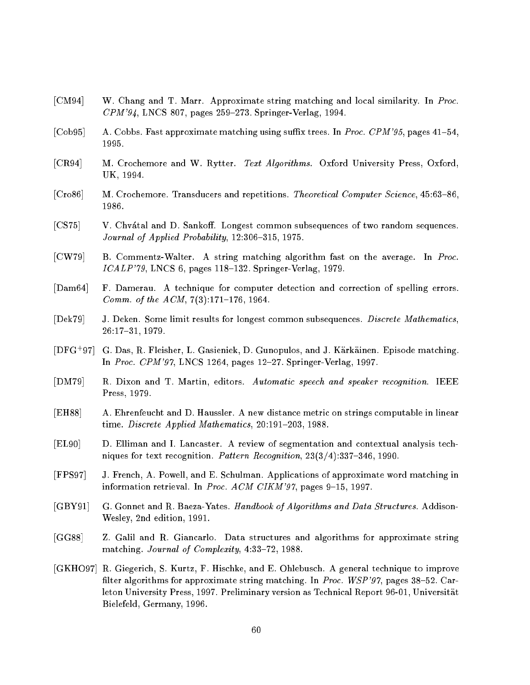- [CM94] W. Chang and T. Marr. Approximate string matching and local similarity. In Proc.  $CPM'94$ , LNCS 807, pages 259-273. Springer-Verlag, 1994.
- [Cob95] A. Cobbs. Fast approximate matching using suffix trees. In *Proc. CPM'95*, pages 41–54. 1995.
- [CR94] M. Crochemore and W. Rytter. Text Algorithms. Oxford University Press, Oxford, UK, 1994.
- [Cro86] M. Crochemore. Transducers and repetitions. Theoretical Computer Science, 45:63-86, 1986.
- [CS75] V. Chvátal and D. Sankoff. Longest common subsequences of two random sequences. Journal of Applied Probability,  $12:306-315$ ,  $1975$ .
- [CW79] B. Commentz-Walter. A string matching algorithm fast on the average. In Proc.  $ICALP'79$ , LNCS 6, pages 118-132. Springer-Verlag, 1979.
- [Dam64] F. Damerau. A technique for computer detection and correction of spelling errors. Comm. of the  $ACM$ ,  $7(3):171-176$ , 1964.
- [Dek79] J. Deken. Some limit results for longest common subsequences. *Discrete Mathematics*, 26:17{31, 1979.
- [DFG+ 97] G. Das, R. Fleisher, L. Gasieniek, D. Gunopulos, and J. Karkainen. Episode matching. In Proc. CPM'97, LNCS 1264, pages  $12-27$ . Springer-Verlag, 1997.
- [DM79] R. Dixon and T. Martin, editors. Automatic speech and speaker recognition. IEEE Press, 1979.
- [EH88] A. Ehrenfeucht and D. Haussler. A new distance metric on strings computable in linear time. Discrete Applied Mathematics,  $20:191-203$ , 1988.
- [EL90] D. Elliman and I. Lancaster. A review of segmentation and contextual analysis techniques for text recognition. Pattern Recognition,  $23(3/4):337-346$ , 1990.
- [FPS97] J. French, A. Powell, and E. Schulman. Applications of approximate word matching in information retrieval. In Proc.  $ACM$  CIKM'97, pages 9-15, 1997.
- [GBY91] G. Gonnet and R. Baeza-Yates. Handbook of Algorithms and Data Structures. Addison-Wesley, 2nd edition, 1991.
- [GG88] Z. Galil and R. Giancarlo. Data structures and algorithms for approximate string matching. Journal of Complexity, 4:33-72, 1988.
- [GKHO97] R. Giegerich, S. Kurtz, F. Hischke, and E. Ohlebusch. A general technique to improve filter algorithms for approximate string matching. In *Proc. WSP'97*, pages  $38-52$ . Carleton University Press, 1997. Preliminary version as Technical Report 96-01, Universitat Bielefeld, Germany, 1996.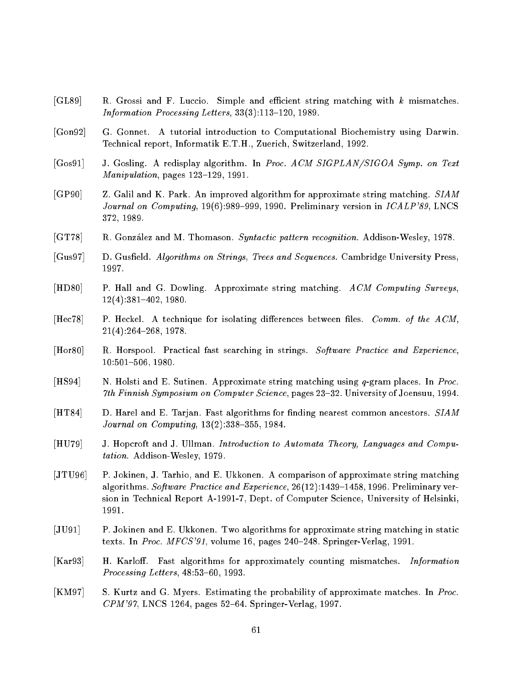- $[GL89]$  R. Grossi and F. Luccio. Simple and efficient string matching with k mismatches. Information Processing Letters,  $33(3):113-120$ , 1989.
- [Gon92] G. Gonnet. A tutorial introduction to Computational Biochemistry using Darwin. Technical report, Informatik E.T.H., Zuerich, Switzerland, 1992.
- [Gos91] J. Gosling. A redisplay algorithm. In Proc. ACM SIGPLAN/SIGOA Symp. on Text Manipulation, pages  $123-129$ , 1991.
- $[GP90]$  Z. Galil and K. Park. An improved algorithm for approximate string matching. SIAM Journal on Computing, 19(6):989-999, 1990. Preliminary version in  $ICALP'89$ , LNCS 372, 1989.
- [GT78] R. González and M. Thomason. Syntactic pattern recognition. Addison-Wesley, 1978.
- [Gus97] D. Gusfield. Algorithms on Strings, Trees and Sequences. Cambridge University Press, 1997.
- [HD80] P. Hall and G. Dowling. Approximate string matching. ACM Computing Surveys,  $12(4):381{-}402, 1980.$
- $[Hec78]$  P. Heckel. A technique for isolating differences between files. *Comm. of the ACM*.  $21(4):264–268,1978.$
- [Hor80] R. Horspool. Practical fast searching in strings. Software Practice and Experience, 10:501-506, 1980.
- [HS94] N. Holsti and E. Sutinen. Approximate string matching using  $q$ -gram places. In *Proc.* 7th Finnish Symposium on Computer Science, pages 23-32. University of Joensuu, 1994.
- $[HT84]$  D. Harel and E. Tarjan. Fast algorithms for finding nearest common ancestors.  $SIAM$ Journal on Computing,  $13(2):338-355, 1984$ .
- $[HU79]$  J. Hopcroft and J. Ullman. Introduction to Automata Theory, Languages and Computation. Addison-Wesley, 1979.
- [JTU96] P. Jokinen, J. Tarhio, and E. Ukkonen. A comparison of approximate string matching algorithms. Software Practice and Experience,  $26(12)$ :1439–1458, 1996. Preliminary version in Technical Report A-1991-7, Dept. of Computer Science, University of Helsinki, 1991.
- [JU91] P. Jokinen and E. Ukkonen. Two algorithms for approximate string matching in static texts. In Proc.  $MFCS'91$ , volume 16, pages 240-248. Springer-Verlag, 1991.
- [Kar93] H. Karloff. Fast algorithms for approximately counting mismatches. Information Processing Letters,  $48.53{-}60, 1993$ .
- [KM97] S. Kurtz and G. Myers. Estimating the probability of approximate matches. In Proc.  $CPM'97$ , LNCS 1264, pages 52-64. Springer-Verlag, 1997.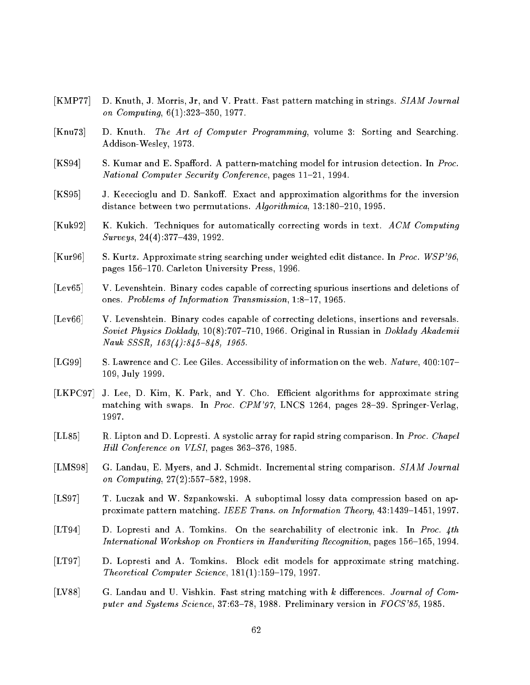- [KMP77] D. Knuth, J. Morris, Jr, and V. Pratt. Fast pattern matching in strings. SIAM Journal on Computing,  $6(1):323-350$ , 1977.
- [Knu73] D. Knuth. The Art of Computer Programming, volume 3: Sorting and Searching. Addison-Wesley, 1973.
- [KS94] S. Kumar and E. Spafford. A pattern-matching model for intrusion detection. In Proc. National Computer Security Conference, pages 11-21, 1994.
- [KS95] J. Kececioglu and D. Sankoff. Exact and approximation algorithms for the inversion distance between two permutations.  $Algorithmica$ , 13:180-210, 1995.
- [Kuk92] K. Kukich. Techniques for automatically correcting words in text. ACM Computing  $Suvveys, 24(4):377–439, 1992.$
- [Kur96] S. Kurtz. Approximate string searching under weighted edit distance. In Proc. WSP'96, pages 156-170. Carleton University Press, 1996.
- [Lev65] V. Levenshtein. Binary codes capable of correcting spurious insertions and deletions of ones. Problems of Information Transmission, 1:8-17, 1965.
- [Lev66] V. Levenshtein. Binary codes capable of correcting deletions, insertions and reversals. Soviet Physics Doklady,  $10(8)$ :707-710, 1966. Original in Russian in Doklady Akademii  $Nauk SSSR, 163(4):845-848, 1965.$
- [LG99] S. Lawrence and C. Lee Giles. Accessibility of information on the web. Nature, 400:107– 109, July 1999.
- [LKPC97] J. Lee, D. Kim, K. Park, and Y. Cho. Efficient algorithms for approximate string matching with swaps. In Proc. CPM'97, LNCS 1264, pages  $28-39$ . Springer-Verlag, 1997.
- [LL85] R. Lipton and D. Lopresti. A systolic array for rapid string comparison. In Proc. Chapel Hill Conference on VLSI, pages 363-376, 1985.
- [LMS98] G. Landau, E. Myers, and J. Schmidt. Incremental string comparison. SIAM Journal on Computing,  $27(2):557{-}582$ , 1998.
- [LS97] T. Luczak and W. Szpankowski. A suboptimal lossy data compression based on approximate pattern matching. IEEE Trans. on Information Theory, 43:1439-1451, 1997.
- [LT94] D. Lopresti and A. Tomkins. On the searchability of electronic ink. In Proc. 4th International Workshop on Frontiers in Handwriting Recognition, pages 156-165, 1994.
- [LT97] D. Lopresti and A. Tomkins. Block edit models for approximate string matching. Theoretical Computer Science,  $181(1):159-179$ , 1997.
- [LV88] G. Landau and U. Vishkin. Fast string matching with k differences. Journal of Computer and Systems Science, 37:63-78, 1988. Preliminary version in FOCS'85, 1985.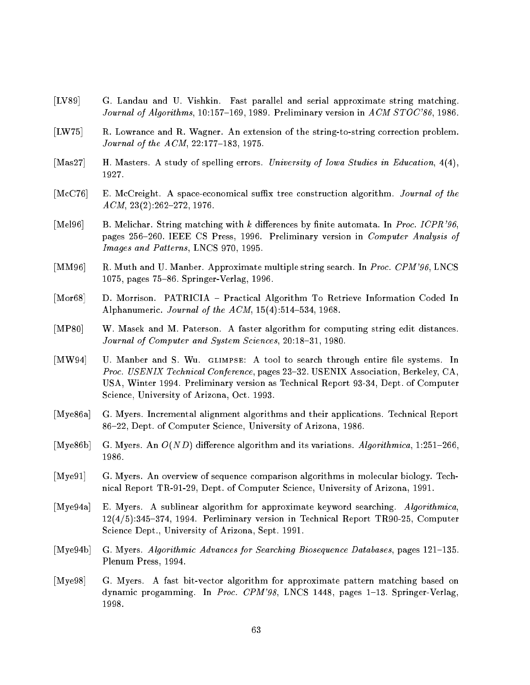- [LV89] G. Landau and U. Vishkin. Fast parallel and serial approximate string matching. Journal of Algorithms, 10:157-169, 1989. Preliminary version in  $ACM STOC'86$ , 1986.
- [LW75] R. Lowrance and R. Wagner. An extension of the string-to-string correction problem. Journal of the  $ACM$ ,  $22:177-183$ , 1975.
- [Mas27] H. Masters. A study of spelling errors. University of Iowa Studies in Education, 4(4), 1927.
- $[{\rm McC76}]$  E. McCreight. A space-economical suffix tree construction algorithm. Journal of the  $ACM$ ,  $23(2):262{-}272$ , 1976.
- [Mel96] B. Melichar. String matching with  $k$  differences by finite automata. In Proc. ICPR'96, pages 256-260. IEEE CS Press, 1996. Preliminary version in Computer Analysis of Images and Patterns, LNCS 970, 1995.
- [MM96] R. Muth and U. Manber. Approximate multiple string search. In Proc. CPM'96, LNCS 1075, pages 75-86. Springer-Verlag, 1996.
- [Mor68] D. Morrison. PATRICIA Practical Algorithm To Retrieve Information Coded In Alphanumeric. Journal of the  $ACM$ ,  $15(4):514-534$ , 1968.
- [MP80] W. Masek and M. Paterson. A faster algorithm for computing string edit distances. Journal of Computer and System Sciences, 20:18-31, 1980.
- [MW94] U. Manber and S. Wu. GLIMPSE: A tool to search through entire file systems. In Proc. USENIX Technical Conference, pages 23-32. USENIX Association, Berkeley, CA, USA, Winter 1994. Preliminary version as Technical Report 93-34, Dept. of Computer Science, University of Arizona, Oct. 1993.
- [Mye86a] G. Myers. Incremental alignment algorithms and their applications. Technical Report 86-22, Dept. of Computer Science, University of Arizona, 1986.
- [Mye86b] G. Myers. An  $O(ND)$  difference algorithm and its variations. Algorithmica, 1:251-266, 1986.
- [Mye91] G. Myers. An overview of sequence comparison algorithms in molecular biology. Technical Report TR-91-29, Dept. of Computer Science, University of Arizona, 1991.
- [Mye94a] E. Myers. A sublinear algorithm for approximate keyword searching. Algorithmica,  $12(4/5):345{-}374$ , 1994. Perliminary version in Technical Report TR90-25, Computer Science Dept., University of Arizona, Sept. 1991.
- $[Mye94b]$  G. Myers. Algorithmic Advances for Searching Biosequence Databases, pages 121–135. Plenum Press, 1994.
- [Mye98] G. Myers. A fast bit-vector algorithm for approximate pattern matching based on dynamic progamming. In Proc.  $CPM'98$ , LNCS 1448, pages 1-13. Springer-Verlag, 1998.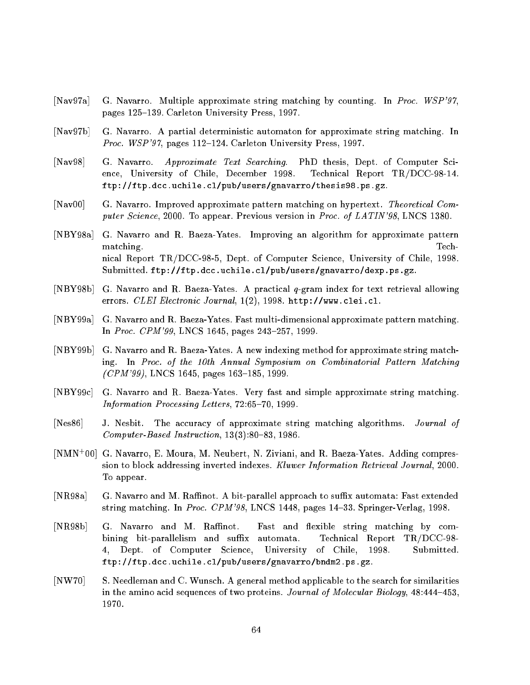- [Nav97a] G. Navarro. Multiple approximate string matching by counting. In Proc. WSP'97, pages 125-139. Carleton University Press, 1997.
- [Nav97b] G. Navarro. A partial deterministic automaton for approximate string matching. In Proc. WSP'97, pages 112-124. Carleton University Press, 1997.
- [Nav98] G. Navarro. Approximate Text Searching. PhD thesis, Dept. of Computer Science, University of Chile, December 1998. Technical Report TR/DCC-98-14. ftp://ftp.dcc.uchile.cl/pub/users/gnavarro/thesis98.ps.gz.
- [Nav00] G. Navarro. Improved approximate pattern matching on hypertext. Theoretical Computer Science, 2000. To appear. Previous version in Proc. of LATIN'98, LNCS 1380.
- [NBY98a] G. Navarro and R. Baeza-Yates. Improving an algorithm for approximate pattern matching. The contract of the contract of the contract of the contract of the contract of the contract of the contract of the contract of the contract of the contract of the contract of the contract of the contract of the nical Report TR/DCC-98-5, Dept. of Computer Science, University of Chile, 1998. Submitted. ftp://ftp.dcc.uchile.cl/pub/users/gnavarro/dexp.ps.gz.
- [NBY98b] G. Navarro and R. Baeza-Yates. A practical q-gram index for text retrieval allowing errors. CLEI Electronic Journal, 1(2), 1998. http://www.clei.cl.
- [NBY99a] G. Navarro and R. Baeza-Yates. Fast multi-dimensional approximate pattern matching. In *Proc. CPM'99*, LNCS 1645, pages  $243-257$ , 1999.
- [NBY99b] G. Navarro and R. Baeza-Yates. A new indexing method for approximate string matching. In Proc. of the 10th Annual Symposium on Combinatorial Pattern Matching  $(CPM'99)$ , LNCS 1645, pages 163-185, 1999.
- [NBY99c] G. Navarro and R. Baeza-Yates. Very fast and simple approximate string matching. Information Processing Letters, 72:65-70, 1999.
- [Nes86] J. Nesbit. The accuracy of approximate string matching algorithms. Journal of Computer-Based Instruction,  $13(3):80-83$ ,  $1986$ .
- [NMN+ 00] G. Navarro, E. Moura, M. Neubert, N. Ziviani, and R. Baeza-Yates. Adding compression to block addressing inverted indexes. Kluwer Information Retrieval Journal, 2000. To appear.
- [NR98a] G. Navarro and M. Raffinot. A bit-parallel approach to suffix automata: Fast extended string matching. In *Proc. CPM'98*, LNCS 1448, pages  $14-33$ . Springer-Verlag, 1998.
- [NR98b] G. Navarro and M. Raffinot. Fast and flexible string matching by combining bit-parallelism and suffix automata. Technical Report  $TR/DCC-98-$ 4, Dept. of Computer Science, University of Chile, 1998. Submitted. ftp://ftp.dcc.uchile.cl/pub/users/gnavarro/bndm2.ps.gz.
- [NW70] S. Needleman and C. Wunsch. A general method applicable to the search for similarities in the amino acid sequences of two proteins. Journal of Molecular Biology,  $48:444-453$ , 1970.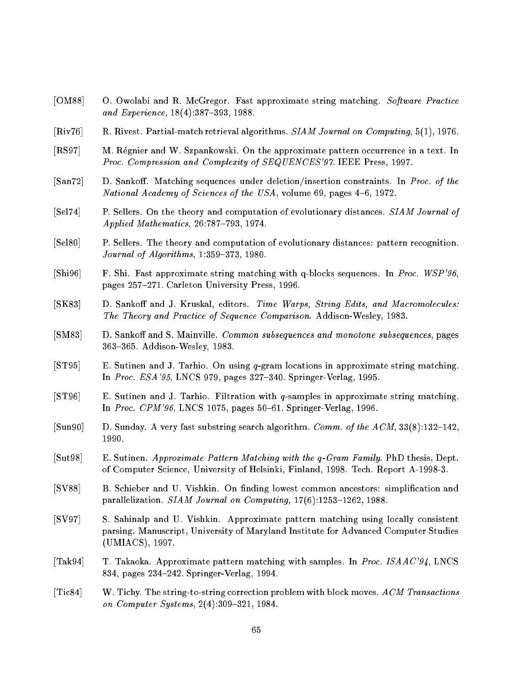- [OM88] O. Owolabi and R. McGregor. Fast approximate string matching. Software Practice and Experience,  $18(4):387-393, 1988$ .
- $[\text{Riv76}]$  R. Rivest. Partial-match retrieval algorithms. SIAM Journal on Computing, 5(1), 1976.
- [RS97] M. Régnier and W. Szpankowski. On the approximate pattern occurrence in a text. In Proc. Compression and Complexity of SEQUENCES'97. IEEE Press, 1997.
- [San72] D. Sankoff. Matching sequences under deletion/insertion constraints. In Proc. of the National Academy of Sciences of the USA, volume 69, pages  $4-6$ , 1972.
- [Sel74] P. Sellers. On the theory and computation of evolutionary distances. SIAM Journal of  $A$ pplied Mathematics, 26:787-793, 1974.
- [Sel80] P. Sellers. The theory and computation of evolutionary distances: pattern recognition. Journal of Algorithms,  $1:359-373$ ,  $1980$ .
- [Shi96] F. Shi. Fast approximate string matching with q-blocks sequences. In Proc. WSP'96, pages 257-271. Carleton University Press, 1996.
- [SK83] D. Sankoff and J. Kruskal, editors. Time Warps, String Edits, and Macromolecules: The Theory and Practice of Sequence Comparison. Addison-Wesley, 1983.
- [SM83] D. Sankoff and S. Mainville. *Common subsequences and monotone subsequences*, pages 363{365. Addison-Wesley, 1983.
- [ST95] E. Sutinen and J. Tarhio. On using q-gram locations in approximate string matching. In Proc. ESA'95, LNCS 979, pages  $327-340$ . Springer-Verlag, 1995.
- $[ST96]$  E. Sutinen and J. Tarhio. Filtration with q-samples in approximate string matching. In Proc. CPM'96, LNCS 1075, pages  $50-61$ . Springer-Verlag, 1996.
- [Sun90] D. Sunday. A very fast substring search algorithm. Comm. of the  $ACM$ ,  $33(8):132-142$ , 1990.
- [Sut98] E. Sutinen. Approximate Pattern Matching with the q-Gram Family. PhD thesis, Dept. of Computer Science, University of Helsinki, Finland, 1998. Tech. Report A-1998-3.
- [SV88] B. Schieber and U. Vishkin. On finding lowest common ancestors: simplification and parallelization.  $SIAM\ Journal\ on\ Computing, 17(6):1253-1262, 1988.$
- [SV97] S. Sahinalp and U. Vishkin. Approximate pattern matching using locally consistent parsing. Manuscript, University of Maryland Institute for Advanced Computer Studies (UMIACS), 1997.
- [Tak94] T. Takaoka. Approximate pattern matching with samples. In Proc. ISAAC'94, LNCS 834, pages 234-242. Springer-Verlag, 1994.
- $[Tick]$  W. Tichy. The string-to-string correction problem with block moves. ACM Transactions on Computer Systems,  $2(4):309-321$ , 1984.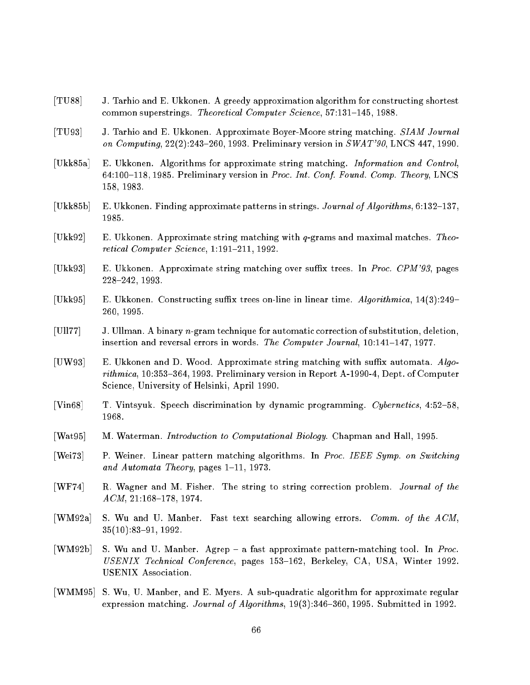- [TU88] J. Tarhio and E. Ukkonen. A greedy approximation algorithm for constructing shortest common superstrings. Theoretical Computer Science, 57:131-145, 1988.
- [TU93] J. Tarhio and E. Ukkonen. Approximate Boyer-Moore string matching. SIAM Journal on Computing,  $22(2):243{-}260, 1993$ . Preliminary version in  $SWAT'90$ , LNCS 447, 1990.
- [Ukk85a] E. Ukkonen. Algorithms for approximate string matching. Information and Control,  $64:100-118$ , 1985. Preliminary version in *Proc. Int. Conf. Found. Comp. Theory*, LNCS 158, 1983.
- [Ukk85b] E. Ukkonen. Finding approximate patterns in strings. Journal of Algorithms,  $6:132-137$ , 1985.
- [Ukk92] E. Ukkonen. Approximate string matching with q-grams and maximal matches. Theoretical Computer Science,  $1:191-211$ , 1992.
- [Ukk93] E. Ukkonen. Approximate string matching over suffix trees. In Proc. CPM'93, pages 228-242, 1993.
- [Ukk95] E. Ukkonen. Constructing suffix trees on-line in linear time.  $Algorithmica$ ,  $14(3):249-$ 260, 1995.
- [Ull77] J. Ullman. A binary n-gram technique for automatic correction of substitution, deletion, insertion and reversal errors in words. The Computer Journal,  $10:141-147$ , 1977.
- [UW93] E. Ukkonen and D. Wood. Approximate string matching with suffix automata.  $Algo$  $rithmica$ , 10:353-364, 1993. Preliminary version in Report A-1990-4, Dept. of Computer Science, University of Helsinki, April 1990.
- [Vin68] T. Vintsyuk. Speech discrimination by dynamic programming. Cybernetics, 4:52-58, 1968.
- [Wat95] M. Waterman. *Introduction to Computational Biology*. Chapman and Hall, 1995.
- [Wei73] P. Weiner. Linear pattern matching algorithms. In Proc. IEEE Symp. on Switching and Automata Theory, pages  $1{-}11$ , 1973.
- [WF74] R. Wagner and M. Fisher. The string to string correction problem. Journal of the  $ACM$ ,  $21:168-178$ ,  $1974$ .
- [WM92a] S. Wu and U. Manber. Fast text searching allowing errors. Comm. of the ACM,  $35(10):83{-}91, 1992.$
- [WM92b] S. Wu and U. Manber. Agrep  $-$  a fast approximate pattern-matching tool. In *Proc.* USENIX Technical Conference, pages 153-162, Berkeley, CA, USA, Winter 1992. USENIX Association.
- [WMM95] S. Wu, U. Manber, and E. Myers. A sub-quadratic algorithm for approximate regular expression matching. Journal of Algorithms,  $19(3):346-360$ , 1995. Submitted in 1992.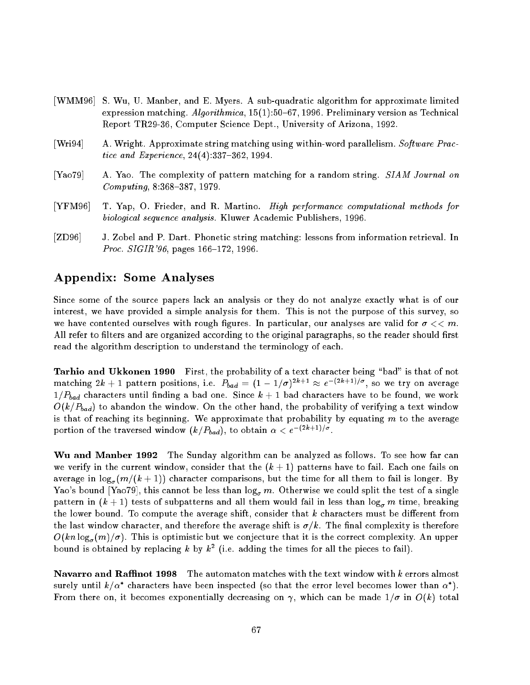- [WMM96] S. Wu, U. Manber, and E. Myers. A sub-quadratic algorithm for approximate limited expression matching.  $Algorithmica$ ,  $15(1):50–67$ , 1996. Preliminary version as Technical Report TR29-36, Computer Science Dept., University of Arizona, 1992.
- [Wri94] A. Wright. Approximate string matching using within-word parallelism. Software Practice and Experience,  $24(4):337-362$ , 1994.
- [Yao79] A. Yao. The complexity of pattern matching for a random string. SIAM Journal on  $Computing, 8:368-387, 1979.$
- [YFM96] T. Yap, O. Frieder, and R. Martino. High performance computational methods for biological sequence analysis. Kluwer Academic Publishers, 1996.
- [ZD96] J. Zobel and P. Dart. Phonetic string matching: lessons from information retrieval. In *Proc. SIGIR'96*, pages  $166-172$ , 1996.

# Appendix: Some Analyses

Since some of the source papers lack an analysis or they do not analyze exactly what is of our interest, we have provided a simple analysis for them. This is not the purpose of this survey, so we have contented ourselves with rough figures. In particular, our analyses are valid for  $\sigma \ll m$ . All refer to filters and are organized according to the original paragraphs, so the reader should first read the algorithm description to understand the terminology of each.

Tarhio and Ukkonen 1990 First, the probability of a text character being "bad" is that of not matching  $2\kappa + 1$  pattern positions, i.e.  $F_{bad} \equiv (1 - 1/\sigma)^{-(\gamma + 1)} \approx e^{-(\gamma + 1)/\gamma}$ , so we try on average  $1/P_{bad}$  characters until finding a bad one. Since  $k + 1$  bad characters have to be found, we work  $O(k/P_{bad})$  to abandon the window. On the other hand, the probability of verifying a text window is that of reaching its beginning. We approximate that probability by equating  $m$  to the average portion of the traversed window  $(\kappa/ P_{bad})$ , to obtain  $\alpha < e^{-(2\alpha + 1)/\alpha}$ .

Wu and Manber 1992 The Sunday algorithm can be analyzed as follows. To see how far can we verify in the current window, consider that the  $(k + 1)$  patterns have to fail. Each one fails on average in  $\log_{\sigma}(m/(k + 1))$  character comparisons, but the time for all them to fail is longer. By Yao's bound [Yao79], this cannot be less than  $\log_{\sigma} m$ . Otherwise we could split the test of a single pattern in  $(k + 1)$  tests of subpatterns and all them would fail in less than  $\log_{\sigma} m$  time, breaking the lower bound. To compute the average shift, consider that  $k$  characters must be different from the last window character, and therefore the average shift is  $\sigma/k$ . The final complexity is therefore  $O(kn\log_{\sigma}(m)/\sigma)$ . This is optimistic but we conjecture that it is the correct complexity. An upper bound is obtained by replacing  $\kappa$  by  $\kappa$  - (i.e. adding the times for all the pieces to fail).

**Navarro and Raffinot 1998** The automaton matches with the text window with  $k$  errors almost surely until  $\kappa/\alpha$  -characters have been inspected (so that the error level becomes lower than  $\alpha$  ). From there on, it becomes exponentially decreasing on  $\gamma$ , which can be made  $1/\sigma$  in  $O(k)$  total